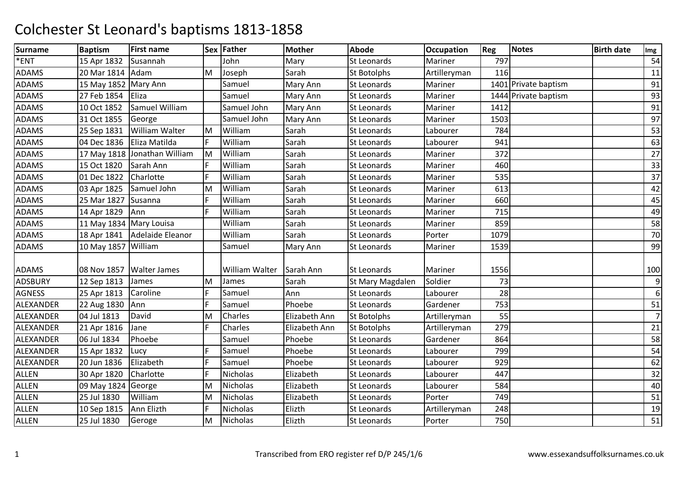| <b>Surname</b> | <b>Baptism</b>          | <b>First name</b>              |    | Sex Father            | <b>Mother</b> | <b>Abode</b>       | <b>Occupation</b> | <b>Reg</b> | Notes                | <b>Birth date</b> | Img            |
|----------------|-------------------------|--------------------------------|----|-----------------------|---------------|--------------------|-------------------|------------|----------------------|-------------------|----------------|
| *ENT           | 15 Apr 1832             | Susannah                       |    | John                  | Mary          | <b>St Leonards</b> | Mariner           | 797        |                      |                   | 54             |
| <b>ADAMS</b>   | 20 Mar 1814 Adam        |                                | M  | Joseph                | Sarah         | <b>St Botolphs</b> | Artilleryman      | 116        |                      |                   | 11             |
| <b>ADAMS</b>   | 15 May 1852 Mary Ann    |                                |    | Samuel                | Mary Ann      | St Leonards        | Mariner           |            | 1401 Private baptism |                   | 91             |
| <b>ADAMS</b>   | 27 Feb 1854             | Eliza                          |    | Samuel                | Mary Ann      | <b>St Leonards</b> | Mariner           |            | 1444 Private baptism |                   | 93             |
| ADAMS          | 10 Oct 1852             | Samuel William                 |    | Samuel John           | Mary Ann      | <b>St Leonards</b> | Mariner           | 1412       |                      |                   | 91             |
| <b>ADAMS</b>   | 31 Oct 1855             | George                         |    | Samuel John           | Mary Ann      | <b>St Leonards</b> | Mariner           | 1503       |                      |                   | 97             |
| <b>ADAMS</b>   | 25 Sep 1831             | <b>William Walter</b>          | M  | William               | Sarah         | <b>St Leonards</b> | Labourer          | 784        |                      |                   | 53             |
| <b>ADAMS</b>   | 04 Dec 1836             | Eliza Matilda                  | F. | William               | Sarah         | <b>St Leonards</b> | Labourer          | 941        |                      |                   | 63             |
| <b>ADAMS</b>   |                         | 17 May 1818 Jonathan William   | M  | William               | Sarah         | St Leonards        | Mariner           | 372        |                      |                   | 27             |
| ADAMS          | 15 Oct 1820             | Sarah Ann                      | F. | William               | Sarah         | St Leonards        | Mariner           | 460        |                      |                   | 33             |
| <b>ADAMS</b>   | 01 Dec 1822             | Charlotte                      | F. | William               | Sarah         | St Leonards        | Mariner           | 535        |                      |                   | 37             |
| ADAMS          | 03 Apr 1825             | Samuel John                    | M  | William               | Sarah         | <b>St Leonards</b> | Mariner           | 613        |                      |                   | 42             |
| <b>ADAMS</b>   | 25 Mar 1827             | Susanna                        |    | William               | Sarah         | St Leonards        | Mariner           | 660        |                      |                   | 45             |
| <b>ADAMS</b>   | 14 Apr 1829             | Ann                            | F. | William               | Sarah         | <b>St Leonards</b> | Mariner           | 715        |                      |                   | 49             |
| <b>ADAMS</b>   | 11 May 1834 Mary Louisa |                                |    | William               | Sarah         | St Leonards        | Mariner           | 859        |                      |                   | 58             |
| <b>ADAMS</b>   |                         | 18 Apr 1841   Adelaide Eleanor |    | William               | Sarah         | <b>St Leonards</b> | Porter            | 1079       |                      |                   | 70             |
| <b>ADAMS</b>   | 10 May 1857 William     |                                |    | Samuel                | Mary Ann      | St Leonards        | Mariner           | 1539       |                      |                   | 99             |
| ADAMS          | 08 Nov 1857             | <b>Walter James</b>            |    | <b>William Walter</b> | Sarah Ann     | <b>St Leonards</b> | Mariner           | 1556       |                      |                   | 100            |
| <b>ADSBURY</b> | 12 Sep 1813             | James                          | M  | James                 | Sarah         | St Mary Magdalen   | Soldier           | 73         |                      |                   | 9              |
| <b>AGNESS</b>  | 25 Apr 1813             | Caroline                       | F. | Samuel                | Ann           | <b>St Leonards</b> | Labourer          | 28         |                      |                   | 6              |
| ALEXANDER      | 22 Aug 1830             | Ann                            | F. | Samuel                | Phoebe        | St Leonards        | Gardener          | 753        |                      |                   | 51             |
| ALEXANDER      | 04 Jul 1813             | David                          | M  | Charles               | Elizabeth Ann | <b>St Botolphs</b> | Artilleryman      | 55         |                      |                   | $\overline{7}$ |
| ALEXANDER      | 21 Apr 1816             | Jane                           | F. | Charles               | Elizabeth Ann | <b>St Botolphs</b> | Artilleryman      | 279        |                      |                   | 21             |
| ALEXANDER      | 06 Jul 1834             | Phoebe                         |    | Samuel                | Phoebe        | St Leonards        | Gardener          | 864        |                      |                   | 58             |
| ALEXANDER      | 15 Apr 1832             | Lucy                           | F. | Samuel                | Phoebe        | St Leonards        | Labourer          | 799        |                      |                   | 54             |
| ALEXANDER      | 20 Jun 1836             | Elizabeth                      | F. | Samuel                | Phoebe        | St Leonards        | Labourer          | 929        |                      |                   | 62             |
| <b>ALLEN</b>   | 30 Apr 1820             | Charlotte                      | F  | Nicholas              | Elizabeth     | <b>St Leonards</b> | Labourer          | 447        |                      |                   | 32             |
| ALLEN          | 09 May 1824 George      |                                | M  | Nicholas              | Elizabeth     | St Leonards        | Labourer          | 584        |                      |                   | 40             |
| <b>ALLEN</b>   | 25 Jul 1830             | William                        | M  | Nicholas              | Elizabeth     | St Leonards        | Porter            | 749        |                      |                   | 51             |
| <b>ALLEN</b>   | 10 Sep 1815             | Ann Elizth                     | F. | Nicholas              | Elizth        | <b>St Leonards</b> | Artilleryman      | 248        |                      |                   | 19             |
| <b>ALLEN</b>   | 25 Jul 1830             | Geroge                         | M  | Nicholas              | Elizth        | <b>St Leonards</b> | Porter            | 750        |                      |                   | 51             |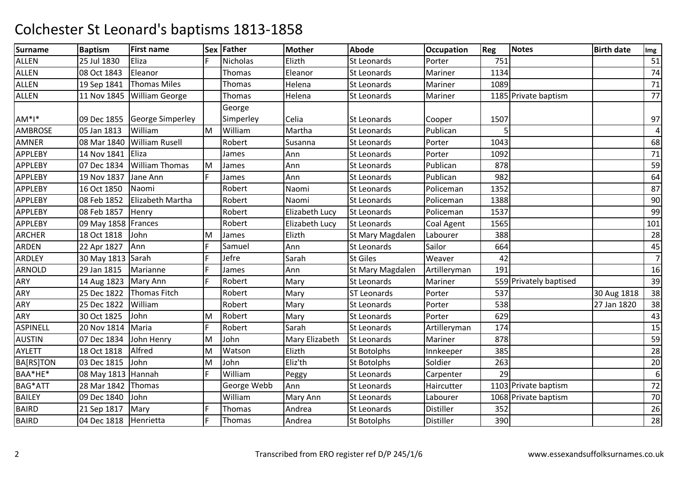| <b>Surname</b>  | <b>Baptism</b>        | <b>First name</b>     |    | Sex Father      | <b>Mother</b>         | <b>Abode</b>       | <b>Occupation</b> | Reg  | Notes                  | <b>Birth date</b> | Img            |
|-----------------|-----------------------|-----------------------|----|-----------------|-----------------------|--------------------|-------------------|------|------------------------|-------------------|----------------|
| <b>ALLEN</b>    | 25 Jul 1830           | Eliza                 | F. | <b>Nicholas</b> | Elizth                | <b>St Leonards</b> | Porter            | 751  |                        |                   | 51             |
| <b>ALLEN</b>    | 08 Oct 1843           | Eleanor               |    | <b>Thomas</b>   | Eleanor               | <b>St Leonards</b> | Mariner           | 1134 |                        |                   | 74             |
| <b>ALLEN</b>    | 19 Sep 1841           | <b>Thomas Miles</b>   |    | Thomas          | Helena                | St Leonards        | Mariner           | 1089 |                        |                   | 71             |
| <b>ALLEN</b>    | 11 Nov 1845           | <b>William George</b> |    | Thomas          | Helena                | <b>St Leonards</b> | Mariner           |      | 1185 Private baptism   |                   | 77             |
|                 |                       |                       |    | George          |                       |                    |                   |      |                        |                   |                |
| $AM*I*$         | 09 Dec 1855           | George Simperley      |    | Simperley       | Celia                 | <b>St Leonards</b> | Cooper            | 1507 |                        |                   | 97             |
| <b>AMBROSE</b>  | 05 Jan 1813           | William               | M  | William         | Martha                | <b>St Leonards</b> | Publican          |      |                        |                   | 4              |
| <b>AMNER</b>    | 08 Mar 1840           | <b>William Rusell</b> |    | Robert          | Susanna               | St Leonards        | Porter            | 1043 |                        |                   | 68             |
| <b>APPLEBY</b>  | 14 Nov 1841           | Eliza                 |    | James           | Ann                   | St Leonards        | Porter            | 1092 |                        |                   | 71             |
| <b>APPLEBY</b>  | 07 Dec 1834           | <b>William Thomas</b> | M  | James           | Ann                   | <b>St Leonards</b> | Publican          | 878  |                        |                   | 59             |
| <b>APPLEBY</b>  | 19 Nov 1837           | Jane Ann              | F  | James           | Ann                   | <b>St Leonards</b> | Publican          | 982  |                        |                   | 64             |
| <b>APPLEBY</b>  | 16 Oct 1850           | Naomi                 |    | Robert          | Naomi                 | St Leonards        | Policeman         | 1352 |                        |                   | 87             |
| <b>APPLEBY</b>  | 08 Feb 1852           | Elizabeth Martha      |    | Robert          | Naomi                 | St Leonards        | Policeman         | 1388 |                        |                   | 90             |
| <b>APPLEBY</b>  | 08 Feb 1857           | Henry                 |    | Robert          | <b>Elizabeth Lucy</b> | <b>St Leonards</b> | Policeman         | 1537 |                        |                   | 99             |
| <b>APPLEBY</b>  | 09 May 1858   Frances |                       |    | Robert          | <b>Elizabeth Lucy</b> | St Leonards        | Coal Agent        | 1565 |                        |                   | 101            |
| <b>ARCHER</b>   | 18 Oct 1818           | John                  | M  | James           | Elizth                | St Mary Magdalen   | Labourer          | 388  |                        |                   | 28             |
| <b>ARDEN</b>    | 22 Apr 1827           | Ann                   | F. | Samuel          | Ann                   | <b>St Leonards</b> | Sailor            | 664  |                        |                   | 45             |
| ARDLEY          | 30 May 1813 Sarah     |                       | F. | Jefre           | Sarah                 | <b>St Giles</b>    | Weaver            | 42   |                        |                   | $\overline{7}$ |
| <b>ARNOLD</b>   | 29 Jan 1815           | Marianne              | F. | James           | Ann                   | St Mary Magdalen   | Artilleryman      | 191  |                        |                   | 16             |
| ARY             | 14 Aug 1823           | Mary Ann              |    | Robert          | Mary                  | St Leonards        | Mariner           |      | 559 Privately baptised |                   | 39             |
| ARY             | 25 Dec 1822           | <b>Thomas Fitch</b>   |    | Robert          | Mary                  | <b>ST Leonards</b> | Porter            | 537  |                        | 30 Aug 1818       | 38             |
| ARY             | 25 Dec 1822           | William               |    | Robert          | Mary                  | St Leonards        | Porter            | 538  |                        | 27 Jan 1820       | 38             |
| ARY             | 30 Oct 1825           | John                  | M  | Robert          | Mary                  | <b>St Leonards</b> | Porter            | 629  |                        |                   | 43             |
| <b>ASPINELL</b> | 20 Nov 1814           | Maria                 | F. | Robert          | Sarah                 | <b>St Leonards</b> | Artilleryman      | 174  |                        |                   | 15             |
| <b>AUSTIN</b>   | 07 Dec 1834           | John Henry            | M  | John            | Mary Elizabeth        | St Leonards        | Mariner           | 878  |                        |                   | 59             |
| <b>AYLETT</b>   | 18 Oct 1818           | Alfred                | M  | Watson          | Elizth                | St Botolphs        | Innkeeper         | 385  |                        |                   | 28             |
| BA[RS]TON       | 03 Dec 1815           | John                  | M  | John            | Eliz'th               | <b>St Botolphs</b> | Soldier           | 263  |                        |                   | 20             |
| BAA*HE*         | 08 May 1813 Hannah    |                       | F. | William         | Peggy                 | St Leonards        | Carpenter         | 29   |                        |                   | 6              |
| <b>BAG*ATT</b>  | 28 Mar 1842 Thomas    |                       |    | George Webb     | Ann                   | <b>St Leonards</b> | Haircutter        |      | 1103 Private baptism   |                   | 72             |
| <b>BAILEY</b>   | 09 Dec 1840           | John                  |    | William         | Mary Ann              | St Leonards        | Labourer          |      | 1068 Private baptism   |                   | 70             |
| <b>BAIRD</b>    | 21 Sep 1817           | Mary                  |    | Thomas          | Andrea                | St Leonards        | Distiller         | 352  |                        |                   | 26             |
| <b>BAIRD</b>    | 04 Dec 1818           | Henrietta             | F. | Thomas          | Andrea                | St Botolphs        | Distiller         | 390  |                        |                   | 28             |
|                 |                       |                       |    |                 |                       |                    |                   |      |                        |                   |                |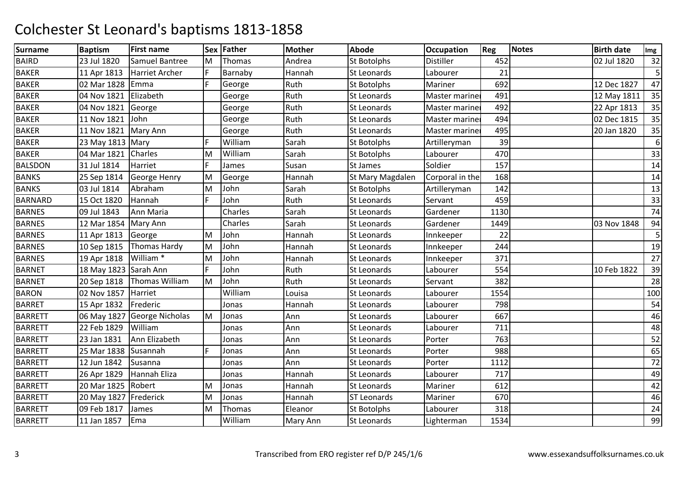| <b>Surname</b> | <b>Baptism</b>        | <b>First name</b>           |   | Sex Father | <b>Mother</b> | <b>Abode</b>       | <b>Occupation</b> | Reg  | <b>Notes</b> | <b>Birth date</b> | Img |
|----------------|-----------------------|-----------------------------|---|------------|---------------|--------------------|-------------------|------|--------------|-------------------|-----|
| <b>BAIRD</b>   | 23 Jul 1820           | Samuel Bantree              | M | Thomas     | Andrea        | St Botolphs        | Distiller         | 452  |              | 02 Jul 1820       | 32  |
| <b>BAKER</b>   | 11 Apr 1813           | Harriet Archer              | F | Barnaby    | Hannah        | St Leonards        | Labourer          | 21   |              |                   | 5   |
| <b>BAKER</b>   | 02 Mar 1828           | Emma                        | F | George     | Ruth          | <b>St Botolphs</b> | Mariner           | 692  |              | 12 Dec 1827       | 47  |
| <b>BAKER</b>   | 04 Nov 1821           | Elizabeth                   |   | George     | Ruth          | St Leonards        | Master marine     | 491  |              | 12 May 1811       | 35  |
| <b>BAKER</b>   | 04 Nov 1821           | George                      |   | George     | Ruth          | St Leonards        | Master mariner    | 492  |              | 22 Apr 1813       | 35  |
| <b>BAKER</b>   | 11 Nov 1821           | John                        |   | George     | Ruth          | St Leonards        | Master mariner    | 494  |              | 02 Dec 1815       | 35  |
| <b>BAKER</b>   | 11 Nov 1821           | Mary Ann                    |   | George     | Ruth          | <b>St Leonards</b> | Master mariner    | 495  |              | 20 Jan 1820       | 35  |
| <b>BAKER</b>   | 23 May 1813 Mary      |                             | F | William    | Sarah         | <b>St Botolphs</b> | Artilleryman      | 39   |              |                   | 6   |
| <b>BAKER</b>   | 04 Mar 1821           | Charles                     | M | William    | Sarah         | St Botolphs        | Labourer          | 470  |              |                   | 33  |
| <b>BALSDON</b> | 31 Jul 1814           | Harriet                     | F | James      | Susan         | <b>St James</b>    | Soldier           | 157  |              |                   | 14  |
| <b>BANKS</b>   | 25 Sep 1814           | George Henry                | M | George     | Hannah        | St Mary Magdalen   | Corporal in the   | 168  |              |                   | 14  |
| <b>BANKS</b>   | 03 Jul 1814           | Abraham                     | M | John       | Sarah         | <b>St Botolphs</b> | Artilleryman      | 142  |              |                   | 13  |
| <b>BARNARD</b> | 15 Oct 1820           | Hannah                      | F | John       | Ruth          | St Leonards        | Servant           | 459  |              |                   | 33  |
| <b>BARNES</b>  | 09 Jul 1843           | Ann Maria                   |   | Charles    | Sarah         | <b>St Leonards</b> | Gardener          | 1130 |              |                   | 74  |
| <b>BARNES</b>  | 12 Mar 1854           | Mary Ann                    |   | Charles    | Sarah         | <b>St Leonards</b> | Gardener          | 1449 |              | 03 Nov 1848       | 94  |
| <b>BARNES</b>  | 11 Apr 1813           | George                      | M | John       | Hannah        | <b>St Leonards</b> | Innkeeper         | 22   |              |                   | 5   |
| <b>BARNES</b>  | 10 Sep 1815           | Thomas Hardy                | M | John       | Hannah        | St Leonards        | Innkeeper         | 244  |              |                   | 19  |
| <b>BARNES</b>  | 19 Apr 1818           | William <sup>*</sup>        | M | John       | Hannah        | <b>St Leonards</b> | Innkeeper         | 371  |              |                   | 27  |
| <b>BARNET</b>  | 18 May 1823 Sarah Ann |                             | F | John       | Ruth          | <b>St Leonards</b> | Labourer          | 554  |              | 10 Feb 1822       | 39  |
| <b>BARNET</b>  | 20 Sep 1818           | <b>Thomas William</b>       | M | John       | Ruth          | St Leonards        | Servant           | 382  |              |                   | 28  |
| <b>BARON</b>   | 02 Nov 1857           | Harriet                     |   | William    | Louisa        | St Leonards        | Labourer          | 1554 |              |                   | 100 |
| <b>BARRET</b>  | 15 Apr 1832           | Frederic                    |   | Jonas      | Hannah        | <b>St Leonards</b> | Labourer          | 798  |              |                   | 54  |
| <b>BARRETT</b> |                       | 06 May 1827 George Nicholas | M | Jonas      | Ann           | <b>St Leonards</b> | Labourer          | 667  |              |                   | 46  |
| <b>BARRETT</b> | 22 Feb 1829           | William                     |   | Jonas      | Ann           | <b>St Leonards</b> | Labourer          | 711  |              |                   | 48  |
| <b>BARRETT</b> | 23 Jan 1831           | Ann Elizabeth               |   | Jonas      | Ann           | St Leonards        | Porter            | 763  |              |                   | 52  |
| <b>BARRETT</b> | 25 Mar 1838           | Susannah                    | E | Jonas      | Ann           | <b>St Leonards</b> | Porter            | 988  |              |                   | 65  |
| <b>BARRETT</b> | 12 Jun 1842           | Susanna                     |   | Jonas      | Ann           | <b>St Leonards</b> | Porter            | 1112 |              |                   | 72  |
| <b>BARRETT</b> | 26 Apr 1829           | Hannah Eliza                |   | Jonas      | Hannah        | <b>St Leonards</b> | Labourer          | 717  |              |                   | 49  |
| <b>BARRETT</b> | 20 Mar 1825           | Robert                      | M | Jonas      | Hannah        | St Leonards        | Mariner           | 612  |              |                   | 42  |
| <b>BARRETT</b> | 20 May 1827 Frederick |                             | M | Jonas      | Hannah        | <b>ST Leonards</b> | Mariner           | 670  |              |                   | 46  |
| <b>BARRETT</b> | 09 Feb 1817           | James                       | M | Thomas     | Eleanor       | <b>St Botolphs</b> | Labourer          | 318  |              |                   | 24  |
| <b>BARRETT</b> | 11 Jan 1857           | Ema                         |   | William    | Mary Ann      | St Leonards        | Lighterman        | 1534 |              |                   | 99  |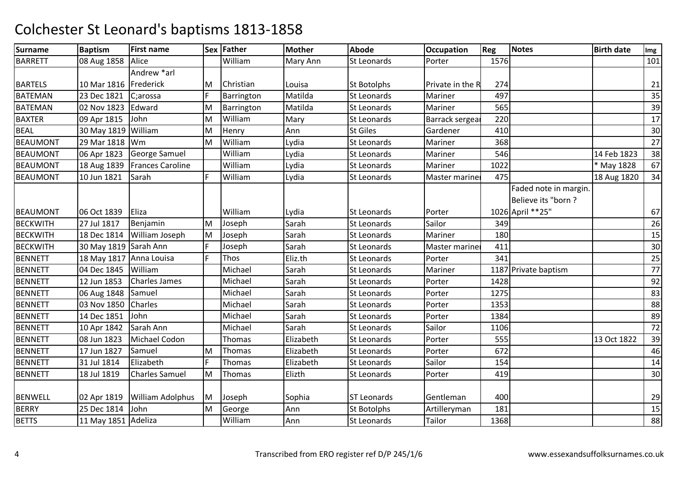| <b>Surname</b>  | <b>Baptism</b>          | <b>First name</b>       |    | Sex Father    | <b>Mother</b> | <b>Abode</b>       | <b>Occupation</b> | Reg  | <b>Notes</b>                                | <b>Birth date</b> | Img |
|-----------------|-------------------------|-------------------------|----|---------------|---------------|--------------------|-------------------|------|---------------------------------------------|-------------------|-----|
| <b>BARRETT</b>  | 08 Aug 1858             | Alice                   |    | William       | Mary Ann      | St Leonards        | Porter            | 1576 |                                             |                   | 101 |
|                 |                         | Andrew *arl             |    |               |               |                    |                   |      |                                             |                   |     |
| <b>BARTELS</b>  | 10 Mar 1816             | Frederick               | M  | Christian     | Louisa        | <b>St Botolphs</b> | Private in the R  | 274  |                                             |                   | 21  |
| <b>BATEMAN</b>  | 23 Dec 1821             | C;arossa                | F  | Barrington    | Matilda       | St Leonards        | Mariner           | 497  |                                             |                   | 35  |
| <b>BATEMAN</b>  | 02 Nov 1823             | Edward                  | M  | Barrington    | Matilda       | St Leonards        | Mariner           | 565  |                                             |                   | 39  |
| <b>BAXTER</b>   | 09 Apr 1815             | John                    | M  | William       | Mary          | <b>St Leonards</b> | Barrack sergea    | 220  |                                             |                   | 17  |
| <b>BEAL</b>     | 30 May 1819             | William                 | M  | Henry         | Ann           | <b>St Giles</b>    | Gardener          | 410  |                                             |                   | 30  |
| <b>BEAUMONT</b> | 29 Mar 1818   Wm        |                         | M  | William       | Lydia         | St Leonards        | Mariner           | 368  |                                             |                   | 27  |
| <b>BEAUMONT</b> | 06 Apr 1823             | <b>George Samuel</b>    |    | William       | Lydia         | St Leonards        | Mariner           | 546  |                                             | 14 Feb 1823       | 38  |
| <b>BEAUMONT</b> | 18 Aug 1839             | <b>Frances Caroline</b> |    | William       | Lydia         | <b>St Leonards</b> | Mariner           | 1022 |                                             | * May 1828        | 67  |
| <b>BEAUMONT</b> | 10 Jun 1821             | Sarah                   | F. | William       | Lydia         | <b>St Leonards</b> | Master mariner    | 475  |                                             | 18 Aug 1820       | 34  |
|                 |                         |                         |    |               |               |                    |                   |      | Faded note in margin.<br>Believe its "born? |                   |     |
| <b>BEAUMONT</b> | 06 Oct 1839             | Eliza                   |    | William       | Lydia         | <b>St Leonards</b> | Porter            |      | 1026 April ** 25"                           |                   | 67  |
| <b>BECKWITH</b> | 27 Jul 1817             | Benjamin                | M  | Joseph        | Sarah         | <b>St Leonards</b> | Sailor            | 349  |                                             |                   | 26  |
| <b>BECKWITH</b> | 18 Dec 1814             | William Joseph          | M  | Joseph        | Sarah         | <b>St Leonards</b> | Mariner           | 180  |                                             |                   | 15  |
| <b>BECKWITH</b> | 30 May 1819 Sarah Ann   |                         | F  | Joseph        | Sarah         | St Leonards        | Master mariner    | 411  |                                             |                   | 30  |
| <b>BENNETT</b>  | 18 May 1817 Anna Louisa |                         | F. | <b>Thos</b>   | Eliz.th       | St Leonards        | Porter            | 341  |                                             |                   | 25  |
| <b>BENNETT</b>  | 04 Dec 1845             | William                 |    | Michael       | Sarah         | <b>St Leonards</b> | Mariner           |      | 1187 Private baptism                        |                   | 77  |
| <b>BENNETT</b>  | 12 Jun 1853             | <b>Charles James</b>    |    | Michael       | Sarah         | <b>St Leonards</b> | Porter            | 1428 |                                             |                   | 92  |
| <b>BENNETT</b>  | 06 Aug 1848             | Samuel                  |    | Michael       | Sarah         | <b>St Leonards</b> | Porter            | 1275 |                                             |                   | 83  |
| <b>BENNETT</b>  | 03 Nov 1850             | Charles                 |    | Michael       | Sarah         | <b>St Leonards</b> | Porter            | 1353 |                                             |                   | 88  |
| <b>BENNETT</b>  | 14 Dec 1851             | John                    |    | Michael       | Sarah         | <b>St Leonards</b> | Porter            | 1384 |                                             |                   | 89  |
| <b>BENNETT</b>  | 10 Apr 1842             | Sarah Ann               |    | Michael       | Sarah         | <b>St Leonards</b> | Sailor            | 1106 |                                             |                   | 72  |
| <b>BENNETT</b>  | 08 Jun 1823             | Michael Codon           |    | <b>Thomas</b> | Elizabeth     | St Leonards        | Porter            | 555  |                                             | 13 Oct 1822       | 39  |
| <b>BENNETT</b>  | 17 Jun 1827             | Samuel                  | M  | Thomas        | Elizabeth     | St Leonards        | Porter            | 672  |                                             |                   | 46  |
| <b>BENNETT</b>  | 31 Jul 1814             | Elizabeth               | F. | Thomas        | Elizabeth     | <b>St Leonards</b> | Sailor            | 154  |                                             |                   | 14  |
| <b>BENNETT</b>  | 18 Jul 1819             | <b>Charles Samuel</b>   | M  | Thomas        | Elizth        | <b>St Leonards</b> | Porter            | 419  |                                             |                   | 30  |
| <b>BENWELL</b>  | 02 Apr 1819             | <b>William Adolphus</b> | Iм | Joseph        | Sophia        | <b>ST Leonards</b> | Gentleman         | 400  |                                             |                   | 29  |
| <b>BERRY</b>    | 25 Dec 1814             | John                    | M  | George        | Ann           | <b>St Botolphs</b> | Artilleryman      | 181  |                                             |                   | 15  |
| <b>BETTS</b>    | 11 May 1851 Adeliza     |                         |    | William       | Ann           | <b>St Leonards</b> | Tailor            | 1368 |                                             |                   | 88  |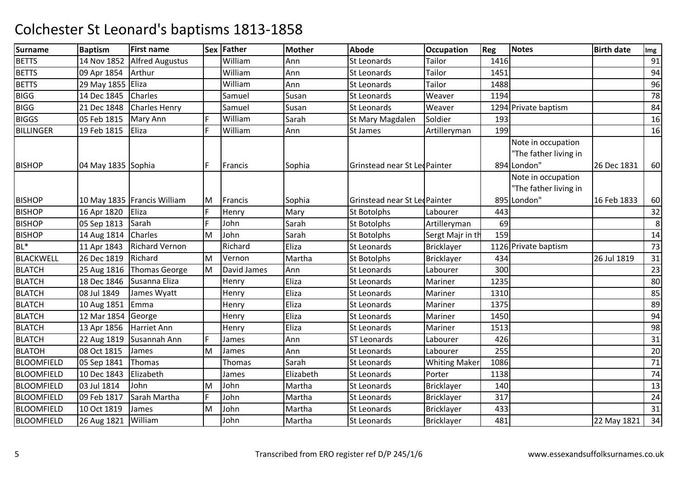| <b>Surname</b>    | <b>Baptism</b>     | <b>First name</b>             |    | Sex Father  | <b>Mother</b> | <b>Abode</b>                  | <b>Occupation</b>    | Reg  | <b>Notes</b>                                               | <b>Birth date</b> | Img |
|-------------------|--------------------|-------------------------------|----|-------------|---------------|-------------------------------|----------------------|------|------------------------------------------------------------|-------------------|-----|
| <b>BETTS</b>      | 14 Nov 1852        | <b>Alfred Augustus</b>        |    | William     | Ann           | <b>St Leonards</b>            | Tailor               | 1416 |                                                            |                   | 91  |
| <b>BETTS</b>      | 09 Apr 1854        | Arthur                        |    | William     | Ann           | St Leonards                   | Tailor               | 1451 |                                                            |                   | 94  |
| <b>BETTS</b>      | 29 May 1855 Eliza  |                               |    | William     | Ann           | St Leonards                   | Tailor               | 1488 |                                                            |                   | 96  |
| <b>BIGG</b>       | 14 Dec 1845        | <b>Charles</b>                |    | Samuel      | Susan         | St Leonards                   | Weaver               | 1194 |                                                            |                   | 78  |
| <b>BIGG</b>       | 21 Dec 1848        | <b>Charles Henry</b>          |    | Samuel      | Susan         | St Leonards                   | Weaver               |      | 1294 Private baptism                                       |                   | 84  |
| <b>BIGGS</b>      | 05 Feb 1815        | Mary Ann                      | F  | William     | Sarah         | St Mary Magdalen              | Soldier              | 193  |                                                            |                   | 16  |
| <b>BILLINGER</b>  | 19 Feb 1815        | Eliza                         | F. | William     | Ann           | <b>St James</b>               | Artilleryman         | 199  |                                                            |                   | 16  |
| <b>BISHOP</b>     | 04 May 1835 Sophia |                               | F  | Francis     | Sophia        | Grinstead near St Lec Painter |                      |      | Note in occupation<br>"The father living in<br>894 London" | 26 Dec 1831       | 60  |
| <b>BISHOP</b>     |                    | 10 May 1835   Francis William | M  | Francis     | Sophia        | Grinstead near St Led Painter |                      |      | Note in occupation<br>"The father living in<br>895 London" | 16 Feb 1833       | 60  |
| <b>BISHOP</b>     | 16 Apr 1820        | Eliza                         | F  | Henry       | Mary          | <b>St Botolphs</b>            | Labourer             | 443  |                                                            |                   | 32  |
| <b>BISHOP</b>     | 05 Sep 1813        | Sarah                         | F  | John        | Sarah         | <b>St Botolphs</b>            | Artilleryman         | 69   |                                                            |                   | 8   |
| <b>BISHOP</b>     | 14 Aug 1814        | Charles                       | M  | John        | Sarah         | <b>St Botolphs</b>            | Sergt Majr in th     | 159  |                                                            |                   | 14  |
| $BL^*$            | 11 Apr 1843        | <b>Richard Vernon</b>         |    | Richard     | Eliza         | <b>St Leonards</b>            | <b>Bricklayer</b>    |      | 1126 Private baptism                                       |                   | 73  |
| <b>BLACKWELL</b>  | 26 Dec 1819        | Richard                       | İΜ | Vernon      | Martha        | <b>St Botolphs</b>            | <b>Bricklayer</b>    | 434  |                                                            | 26 Jul 1819       | 31  |
| <b>BLATCH</b>     | 25 Aug 1816        | <b>Thomas George</b>          | M  | David James | Ann           | St Leonards                   | Labourer             | 300  |                                                            |                   | 23  |
| <b>BLATCH</b>     | 18 Dec 1846        | Susanna Eliza                 |    | Henry       | Eliza         | <b>St Leonards</b>            | Mariner              | 1235 |                                                            |                   | 80  |
| <b>BLATCH</b>     | 08 Jul 1849        | James Wyatt                   |    | Henry       | Eliza         | <b>St Leonards</b>            | Mariner              | 1310 |                                                            |                   | 85  |
| <b>BLATCH</b>     | 10 Aug 1851        | Emma                          |    | Henry       | Eliza         | St Leonards                   | Mariner              | 1375 |                                                            |                   | 89  |
| <b>BLATCH</b>     | 12 Mar 1854        | George                        |    | Henry       | Eliza         | <b>St Leonards</b>            | Mariner              | 1450 |                                                            |                   | 94  |
| <b>BLATCH</b>     | 13 Apr 1856        | <b>Harriet Ann</b>            |    | Henry       | Eliza         | St Leonards                   | Mariner              | 1513 |                                                            |                   | 98  |
| <b>BLATCH</b>     | 22 Aug 1819        | Susannah Ann                  | F  | James       | Ann           | <b>ST Leonards</b>            | Labourer             | 426  |                                                            |                   | 31  |
| <b>BLATOH</b>     | 08 Oct 1815        | James                         | M  | James       | Ann           | St Leonards                   | Labourer             | 255  |                                                            |                   | 20  |
| <b>BLOOMFIELD</b> | 05 Sep 1841        | Thomas                        |    | Thomas      | Sarah         | St Leonards                   | <b>Whiting Maker</b> | 1086 |                                                            |                   | 71  |
| <b>BLOOMFIELD</b> | 10 Dec 1843        | Elizabeth                     |    | James       | Elizabeth     | St Leonards                   | Porter               | 1138 |                                                            |                   | 74  |
| <b>BLOOMFIELD</b> | 03 Jul 1814        | John                          | M  | John        | Martha        | <b>St Leonards</b>            | Bricklayer           | 140  |                                                            |                   | 13  |
| <b>BLOOMFIELD</b> | 09 Feb 1817        | Sarah Martha                  | F. | John        | Martha        | St Leonards                   | Bricklayer           | 317  |                                                            |                   | 24  |
| <b>BLOOMFIELD</b> | 10 Oct 1819        | James                         | M  | John        | Martha        | St Leonards                   | <b>Bricklayer</b>    | 433  |                                                            |                   | 31  |
| <b>BLOOMFIELD</b> | 26 Aug 1821        | William                       |    | John        | Martha        | St Leonards                   | <b>Bricklayer</b>    | 481  |                                                            | 22 May 1821       | 34  |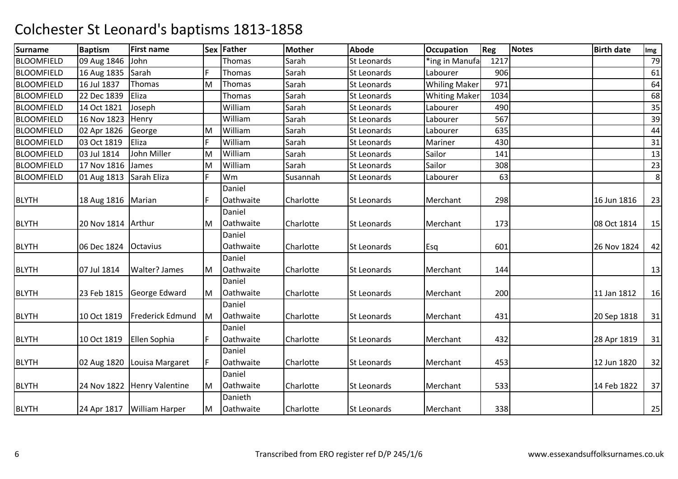| <b>Surname</b>    | <b>Baptism</b>          | <b>First name</b>           |    | Sex Father | <b>Mother</b> | <b>Abode</b>       | <b>Occupation</b>    | Reg  | <b>Notes</b> | <b>Birth date</b> | Img |
|-------------------|-------------------------|-----------------------------|----|------------|---------------|--------------------|----------------------|------|--------------|-------------------|-----|
| <b>BLOOMFIELD</b> | 09 Aug 1846             | John                        |    | Thomas     | Sarah         | St Leonards        | *ing in Manufa       | 1217 |              |                   | 79  |
| <b>BLOOMFIELD</b> | 16 Aug 1835             | Sarah                       | F  | Thomas     | Sarah         | St Leonards        | Labourer             | 906  |              |                   | 61  |
| <b>BLOOMFIELD</b> | 16 Jul 1837             | Thomas                      | M  | Thomas     | Sarah         | <b>St Leonards</b> | <b>Whiling Maker</b> | 971  |              |                   | 64  |
| <b>BLOOMFIELD</b> | 22 Dec 1839             | Eliza                       |    | Thomas     | Sarah         | St Leonards        | <b>Whiting Maker</b> | 1034 |              |                   | 68  |
| <b>BLOOMFIELD</b> | 14 Oct 1821             | Joseph                      |    | William    | Sarah         | St Leonards        | Labourer             | 490  |              |                   | 35  |
| <b>BLOOMFIELD</b> | 16 Nov 1823             | Henry                       |    | William    | Sarah         | St Leonards        | Labourer             | 567  |              |                   | 39  |
| <b>BLOOMFIELD</b> | 02 Apr 1826             | George                      | M  | William    | Sarah         | St Leonards        | Labourer             | 635  |              |                   | 44  |
| <b>BLOOMFIELD</b> | 03 Oct 1819             | Eliza                       | F  | William    | Sarah         | St Leonards        | Mariner              | 430  |              |                   | 31  |
| <b>BLOOMFIELD</b> | 03 Jul 1814             | <b>John Miller</b>          | M  | William    | Sarah         | St Leonards        | Sailor               | 141  |              |                   | 13  |
| <b>BLOOMFIELD</b> | 17 Nov 1816             | James                       | M  | William    | Sarah         | St Leonards        | Sailor               | 308  |              |                   | 23  |
| <b>BLOOMFIELD</b> | 01 Aug 1813 Sarah Eliza |                             | F. | Wm         | Susannah      | St Leonards        | Labourer             | 63   |              |                   | 8   |
|                   |                         |                             |    | Daniel     |               |                    |                      |      |              |                   |     |
| <b>BLYTH</b>      | 18 Aug 1816   Marian    |                             | F  | Oathwaite  | Charlotte     | <b>St Leonards</b> | Merchant             | 298  |              | 16 Jun 1816       | 23  |
|                   |                         |                             |    | Daniel     |               |                    |                      |      |              |                   |     |
| <b>BLYTH</b>      | 20 Nov 1814   Arthur    |                             | ΙM | Oathwaite  | Charlotte     | <b>St Leonards</b> | Merchant             | 173  |              | 08 Oct 1814       | 15  |
|                   |                         |                             |    | Daniel     |               |                    |                      |      |              |                   |     |
| <b>BLYTH</b>      | 06 Dec 1824             | Octavius                    |    | Oathwaite  | Charlotte     | <b>St Leonards</b> | <b>Esq</b>           | 601  |              | 26 Nov 1824       | 42  |
|                   |                         |                             |    | Daniel     |               |                    |                      |      |              |                   |     |
| <b>BLYTH</b>      | 07 Jul 1814             | Walter? James               | ΙM | Oathwaite  | Charlotte     | <b>St Leonards</b> | Merchant             | 144  |              |                   | 13  |
|                   |                         |                             |    | Daniel     |               |                    |                      |      |              |                   |     |
| <b>BLYTH</b>      | 23 Feb 1815             | George Edward               | M  | Oathwaite  | Charlotte     | <b>St Leonards</b> | Merchant             | 200  |              | 11 Jan 1812       | 16  |
|                   |                         |                             |    | Daniel     |               |                    |                      |      |              |                   |     |
| <b>BLYTH</b>      | 10 Oct 1819             | <b>Frederick Edmund</b>     | lм | Oathwaite  | Charlotte     | <b>St Leonards</b> | Merchant             | 431  |              | 20 Sep 1818       | 31  |
|                   |                         |                             |    | Daniel     |               |                    |                      |      |              |                   |     |
| <b>BLYTH</b>      | 10 Oct 1819             | Ellen Sophia                | F  | Oathwaite  | Charlotte     | St Leonards        | Merchant             | 432  |              | 28 Apr 1819       | 31  |
|                   |                         |                             |    | Daniel     |               |                    |                      |      |              |                   |     |
| <b>BLYTH</b>      | 02 Aug 1820             | Louisa Margaret             | F  | Oathwaite  | Charlotte     | <b>St Leonards</b> | Merchant             | 453  |              | 12 Jun 1820       | 32  |
|                   |                         |                             |    | Daniel     |               |                    |                      |      |              |                   |     |
| <b>BLYTH</b>      |                         | 24 Nov 1822 Henry Valentine | M  | Oathwaite  | Charlotte     | <b>St Leonards</b> | Merchant             | 533  |              | 14 Feb 1822       | 37  |
|                   |                         |                             |    | Danieth    |               |                    |                      |      |              |                   |     |
| <b>BLYTH</b>      |                         | 24 Apr 1817 William Harper  | M  | Oathwaite  | Charlotte     | <b>St Leonards</b> | Merchant             | 338  |              |                   | 25  |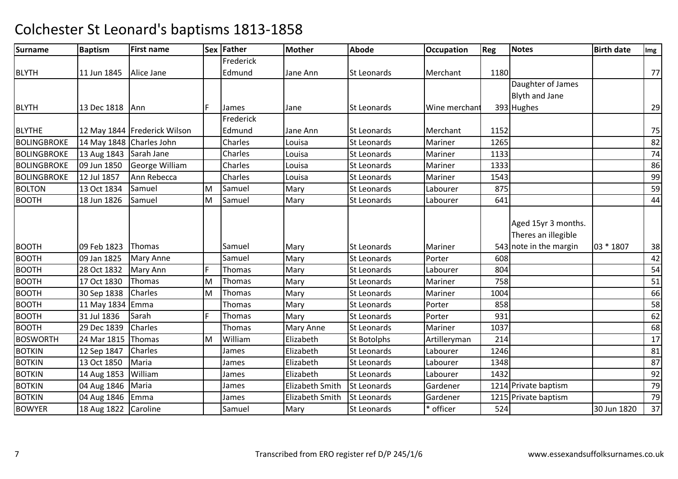| Img | <b>Birth date</b> | Notes                                                                | Reg                                                      | <b>Occupation</b>                                                                                                    | <b>Abode</b>                                                                                                                                                                   | <b>Mother</b>                                                                                                               | Sex Father                                                                                   |        | <b>First name</b>                                                                                     | <b>Baptism</b>                                                                                                                                     | <b>Surname</b>                                                                                                                                                 |
|-----|-------------------|----------------------------------------------------------------------|----------------------------------------------------------|----------------------------------------------------------------------------------------------------------------------|--------------------------------------------------------------------------------------------------------------------------------------------------------------------------------|-----------------------------------------------------------------------------------------------------------------------------|----------------------------------------------------------------------------------------------|--------|-------------------------------------------------------------------------------------------------------|----------------------------------------------------------------------------------------------------------------------------------------------------|----------------------------------------------------------------------------------------------------------------------------------------------------------------|
|     |                   |                                                                      |                                                          |                                                                                                                      |                                                                                                                                                                                |                                                                                                                             | Frederick                                                                                    |        |                                                                                                       |                                                                                                                                                    |                                                                                                                                                                |
| 77  |                   |                                                                      | 1180                                                     | Merchant                                                                                                             | St Leonards                                                                                                                                                                    | Jane Ann                                                                                                                    | Edmund                                                                                       |        | Alice Jane                                                                                            | 11 Jun 1845                                                                                                                                        | <b>BLYTH</b>                                                                                                                                                   |
|     |                   | Daughter of James                                                    |                                                          |                                                                                                                      |                                                                                                                                                                                |                                                                                                                             |                                                                                              |        |                                                                                                       |                                                                                                                                                    |                                                                                                                                                                |
|     |                   | <b>Blyth and Jane</b>                                                |                                                          |                                                                                                                      |                                                                                                                                                                                |                                                                                                                             |                                                                                              |        |                                                                                                       |                                                                                                                                                    |                                                                                                                                                                |
| 29  |                   | 393 Hughes                                                           |                                                          | Wine merchant                                                                                                        | <b>St Leonards</b>                                                                                                                                                             | Jane                                                                                                                        | James                                                                                        | F      | Ann                                                                                                   | 13 Dec 1818                                                                                                                                        | <b>BLYTH</b>                                                                                                                                                   |
|     |                   |                                                                      |                                                          |                                                                                                                      |                                                                                                                                                                                |                                                                                                                             | Frederick                                                                                    |        |                                                                                                       |                                                                                                                                                    |                                                                                                                                                                |
| 75  |                   |                                                                      | 1152                                                     | Merchant                                                                                                             | <b>St Leonards</b>                                                                                                                                                             | Jane Ann                                                                                                                    | Edmund                                                                                       |        | 12 May 1844 Frederick Wilson                                                                          |                                                                                                                                                    | <b>BLYTHE</b>                                                                                                                                                  |
| 82  |                   |                                                                      | 1265                                                     | Mariner                                                                                                              | <b>St Leonards</b>                                                                                                                                                             | Louisa                                                                                                                      | Charles                                                                                      |        |                                                                                                       | 14 May 1848 Charles John                                                                                                                           | <b>BOLINGBROKE</b>                                                                                                                                             |
| 74  |                   |                                                                      | 1133                                                     | Mariner                                                                                                              | St Leonards                                                                                                                                                                    | Louisa                                                                                                                      | Charles                                                                                      |        | Sarah Jane                                                                                            | 13 Aug 1843                                                                                                                                        | <b>BOLINGBROKE</b>                                                                                                                                             |
| 86  |                   |                                                                      | 1333                                                     | Mariner                                                                                                              | St Leonards                                                                                                                                                                    | Louisa                                                                                                                      | Charles                                                                                      |        | George William                                                                                        | 09 Jun 1850                                                                                                                                        | <b>BOLINGBROKE</b>                                                                                                                                             |
| 99  |                   |                                                                      | 1543                                                     | Mariner                                                                                                              | <b>St Leonards</b>                                                                                                                                                             | Louisa                                                                                                                      | Charles                                                                                      |        | Ann Rebecca                                                                                           | 12 Jul 1857                                                                                                                                        | <b>BOLINGBROKE</b>                                                                                                                                             |
| 59  |                   |                                                                      | 875                                                      | Labourer                                                                                                             | St Leonards                                                                                                                                                                    | Mary                                                                                                                        | Samuel                                                                                       | M      | Samuel                                                                                                | 13 Oct 1834                                                                                                                                        | <b>BOLTON</b>                                                                                                                                                  |
| 44  |                   |                                                                      | 641                                                      | Labourer                                                                                                             | St Leonards                                                                                                                                                                    | Mary                                                                                                                        | Samuel                                                                                       | M      | Samuel                                                                                                | 18 Jun 1826                                                                                                                                        | <b>BOOTH</b>                                                                                                                                                   |
| 38  | 03 * 1807         | Aged 15yr 3 months.<br>Theres an illegible<br>543 note in the margin |                                                          | Mariner                                                                                                              | <b>St Leonards</b>                                                                                                                                                             | Mary                                                                                                                        | Samuel                                                                                       |        | Thomas                                                                                                | 09 Feb 1823                                                                                                                                        | <b>BOOTH</b>                                                                                                                                                   |
| 42  |                   |                                                                      | 608                                                      | Porter                                                                                                               | St Leonards                                                                                                                                                                    | Mary                                                                                                                        | Samuel                                                                                       |        | <b>Mary Anne</b>                                                                                      | 09 Jan 1825                                                                                                                                        | <b>BOOTH</b>                                                                                                                                                   |
| 54  |                   |                                                                      | 804                                                      | Labourer                                                                                                             | St Leonards                                                                                                                                                                    | Mary                                                                                                                        | <b>Thomas</b>                                                                                | F      | Mary Ann                                                                                              | 28 Oct 1832                                                                                                                                        | <b>BOOTH</b>                                                                                                                                                   |
| 51  |                   |                                                                      | 758                                                      | Mariner                                                                                                              | St Leonards                                                                                                                                                                    | Mary                                                                                                                        | Thomas                                                                                       | M      | Thomas                                                                                                | 17 Oct 1830                                                                                                                                        | <b>BOOTH</b>                                                                                                                                                   |
| 66  |                   |                                                                      | 1004                                                     |                                                                                                                      | St Leonards                                                                                                                                                                    |                                                                                                                             | Thomas                                                                                       |        | <b>Charles</b>                                                                                        |                                                                                                                                                    | <b>BOOTH</b>                                                                                                                                                   |
| 58  |                   |                                                                      |                                                          | Mariner                                                                                                              |                                                                                                                                                                                | Mary                                                                                                                        |                                                                                              | M      |                                                                                                       | 30 Sep 1838                                                                                                                                        |                                                                                                                                                                |
| 62  |                   |                                                                      |                                                          |                                                                                                                      |                                                                                                                                                                                |                                                                                                                             |                                                                                              |        |                                                                                                       |                                                                                                                                                    |                                                                                                                                                                |
| 68  |                   |                                                                      |                                                          |                                                                                                                      |                                                                                                                                                                                |                                                                                                                             |                                                                                              |        |                                                                                                       |                                                                                                                                                    |                                                                                                                                                                |
| 17  |                   |                                                                      |                                                          |                                                                                                                      |                                                                                                                                                                                |                                                                                                                             |                                                                                              |        |                                                                                                       |                                                                                                                                                    |                                                                                                                                                                |
| 81  |                   |                                                                      |                                                          |                                                                                                                      |                                                                                                                                                                                |                                                                                                                             |                                                                                              |        |                                                                                                       |                                                                                                                                                    |                                                                                                                                                                |
| 87  |                   |                                                                      |                                                          |                                                                                                                      |                                                                                                                                                                                |                                                                                                                             |                                                                                              |        |                                                                                                       |                                                                                                                                                    |                                                                                                                                                                |
| 92  |                   |                                                                      |                                                          |                                                                                                                      |                                                                                                                                                                                |                                                                                                                             |                                                                                              |        |                                                                                                       |                                                                                                                                                    |                                                                                                                                                                |
| 79  |                   |                                                                      |                                                          |                                                                                                                      |                                                                                                                                                                                |                                                                                                                             |                                                                                              |        |                                                                                                       |                                                                                                                                                    |                                                                                                                                                                |
| 79  |                   |                                                                      |                                                          |                                                                                                                      |                                                                                                                                                                                |                                                                                                                             |                                                                                              |        |                                                                                                       |                                                                                                                                                    |                                                                                                                                                                |
| 37  |                   |                                                                      |                                                          |                                                                                                                      |                                                                                                                                                                                |                                                                                                                             |                                                                                              |        |                                                                                                       |                                                                                                                                                    |                                                                                                                                                                |
|     | 30 Jun 1820       | 1214 Private baptism<br>1215 Private baptism                         | 858<br>931<br>1037<br>214<br>1246<br>1348<br>1432<br>524 | Porter<br>Porter<br>Mariner<br>Artilleryman<br>Labourer<br>Labourer<br>Labourer<br>Gardener<br>Gardener<br>* officer | St Leonards<br><b>St Leonards</b><br><b>St Leonards</b><br>St Botolphs<br><b>St Leonards</b><br>St Leonards<br>St Leonards<br>St Leonards<br><b>St Leonards</b><br>St Leonards | Mary<br>Mary<br>Mary Anne<br>Elizabeth<br>Elizabeth<br>Elizabeth<br>Elizabeth<br>Elizabeth Smith<br>Elizabeth Smith<br>Mary | Thomas<br>Thomas<br>Thomas<br>William<br>James<br>James<br>James<br>James<br>James<br>Samuel | F<br>M | Emma<br>Sarah<br><b>Charles</b><br>Thomas<br>Charles<br>Maria<br>William<br>Maria<br>Emma<br>Caroline | 11 May 1834<br>31 Jul 1836<br>29 Dec 1839<br>24 Mar 1815<br>12 Sep 1847<br>13 Oct 1850<br>14 Aug 1853<br>04 Aug 1846<br>04 Aug 1846<br>18 Aug 1822 | <b>BOOTH</b><br><b>BOOTH</b><br>ВООТН<br><b>BOSWORTH</b><br><b>BOTKIN</b><br><b>BOTKIN</b><br><b>BOTKIN</b><br><b>BOTKIN</b><br><b>BOTKIN</b><br><b>BOWYER</b> |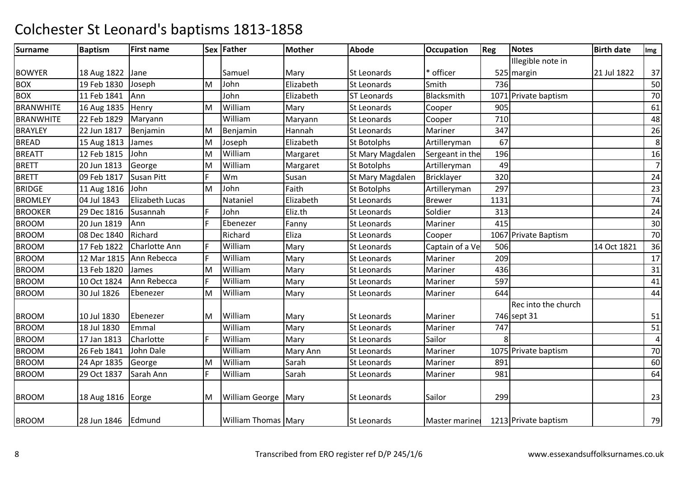| <b>Surname</b>   | <b>Baptism</b>      | <b>First name</b>      |    | Sex Father                 | <b>Mother</b>   | <b>Abode</b>       | <b>Occupation</b> | <b>Reg</b> | <b>Notes</b>         | <b>Birth date</b> | Img            |
|------------------|---------------------|------------------------|----|----------------------------|-----------------|--------------------|-------------------|------------|----------------------|-------------------|----------------|
|                  |                     |                        |    |                            |                 |                    |                   |            | Illegible note in    |                   |                |
| <b>BOWYER</b>    | 18 Aug 1822         | Jane                   |    | Samuel                     | Mary            | <b>St Leonards</b> | * officer         |            | 525 margin           | 21 Jul 1822       | 37             |
| <b>BOX</b>       | 19 Feb 1830         | Joseph                 | M  | John                       | Elizabeth       | St Leonards        | Smith             | 736        |                      |                   | 50             |
| <b>BOX</b>       | 11 Feb 1841         | Ann                    |    | John                       | Elizabeth       | <b>ST Leonards</b> | Blacksmith        |            | 1071 Private baptism |                   | 70             |
| <b>BRANWHITE</b> | 16 Aug 1835         | Henry                  | M  | William                    | Mary            | St Leonards        | Cooper            | 905        |                      |                   | 61             |
| <b>BRANWHITE</b> | 22 Feb 1829         | Maryann                |    | William                    | Maryann         | St Leonards        | Cooper            | 710        |                      |                   | 48             |
| <b>BRAYLEY</b>   | 22 Jun 1817         | Benjamin               | M  | Benjamin                   | Hannah          | <b>St Leonards</b> | Mariner           | 347        |                      |                   | 26             |
| <b>BREAD</b>     | 15 Aug 1813         | James                  | M  | Joseph                     | Elizabeth       | <b>St Botolphs</b> | Artilleryman      | 67         |                      |                   | $\,8\,$        |
| <b>BREATT</b>    | 12 Feb 1815         | John                   | M  | William                    | Margaret        | St Mary Magdalen   | Sergeant in the   | 196        |                      |                   | 16             |
| <b>BRETT</b>     | 20 Jun 1813         | George                 | M  | William                    | Margaret        | St Botolphs        | Artilleryman      | 49         |                      |                   | $\overline{7}$ |
| <b>BRETT</b>     | 09 Feb 1817         | Susan Pitt             | F  | Wm                         | Susan           | St Mary Magdalen   | Bricklayer        | 320        |                      |                   | 24             |
| <b>BRIDGE</b>    | 11 Aug 1816         | John                   | M  | John                       | Faith           | St Botolphs        | Artilleryman      | 297        |                      |                   | 23             |
| <b>BROMLEY</b>   | 04 Jul 1843         | <b>Elizabeth Lucas</b> |    | Nataniel                   | Elizabeth       | St Leonards        | <b>Brewer</b>     | 1131       |                      |                   | 74             |
| <b>BROOKER</b>   | 29 Dec 1816         | Susannah               | F. | John                       | Eliz.th         | <b>St Leonards</b> | Soldier           | 313        |                      |                   | 24             |
| <b>BROOM</b>     | 20 Jun 1819         | Ann                    | F  | Ebenezer                   | Fanny           | St Leonards        | Mariner           | 415        |                      |                   | 30             |
| <b>BROOM</b>     | 08 Dec 1840         | Richard                |    | Richard                    | Eliza           | <b>St Leonards</b> | Cooper            |            | 1067 Private Baptism |                   | 70             |
| <b>BROOM</b>     | 17 Feb 1822         | Charlotte Ann          | F  | William                    | Mary            | St Leonards        | Captain of a Ve   | 506        |                      | 14 Oct 1821       | 36             |
| <b>BROOM</b>     | 12 Mar 1815         | Ann Rebecca            | F. | William                    | Mary            | <b>St Leonards</b> | Mariner           | 209        |                      |                   | 17             |
| <b>BROOM</b>     | 13 Feb 1820         | James                  | İΜ | William                    | Mary            | St Leonards        | Mariner           | 436        |                      |                   | 31             |
| <b>BROOM</b>     | 10 Oct 1824         | Ann Rebecca            | F  | William                    | Mary            | <b>St Leonards</b> | Mariner           | 597        |                      |                   | 41             |
| <b>BROOM</b>     | 30 Jul 1826         | Ebenezer               | M  | William                    | Mary            | St Leonards        | Mariner           | 644        |                      |                   | 44             |
|                  |                     |                        |    |                            |                 |                    |                   |            | Rec into the church  |                   |                |
| <b>BROOM</b>     | 10 Jul 1830         | Ebenezer               | ΙM | William                    | Mary            | <b>St Leonards</b> | Mariner           |            | 746 sept 31          |                   | 51             |
| <b>BROOM</b>     | 18 Jul 1830         | Emmal                  |    | William                    | Mary            | <b>St Leonards</b> | Mariner           | 747        |                      |                   | 51             |
| <b>BROOM</b>     | 17 Jan 1813         | Charlotte              | F  | William                    | Mary            | St Leonards        | Sailor            |            |                      |                   | $\overline{a}$ |
| <b>BROOM</b>     | 26 Feb 1841         | John Dale              |    | William                    | <b>Mary Ann</b> | <b>St Leonards</b> | Mariner           |            | 1075 Private baptism |                   | $70\,$         |
| <b>BROOM</b>     | 24 Apr 1835         | George                 | M  | William                    | Sarah           | <b>St Leonards</b> | Mariner           | 891        |                      |                   | 60             |
| <b>BROOM</b>     | 29 Oct 1837         | Sarah Ann              | F  | William                    | Sarah           | <b>St Leonards</b> | Mariner           | 981        |                      |                   | 64             |
| <b>BROOM</b>     | 18 Aug 1816   Eorge |                        | M  | <b>William George Mary</b> |                 | <b>St Leonards</b> | Sailor            | 299        |                      |                   | 23             |
| <b>BROOM</b>     | 28 Jun 1846         | Edmund                 |    | William Thomas Mary        |                 | <b>St Leonards</b> | Master mariner    |            | 1213 Private baptism |                   | 79             |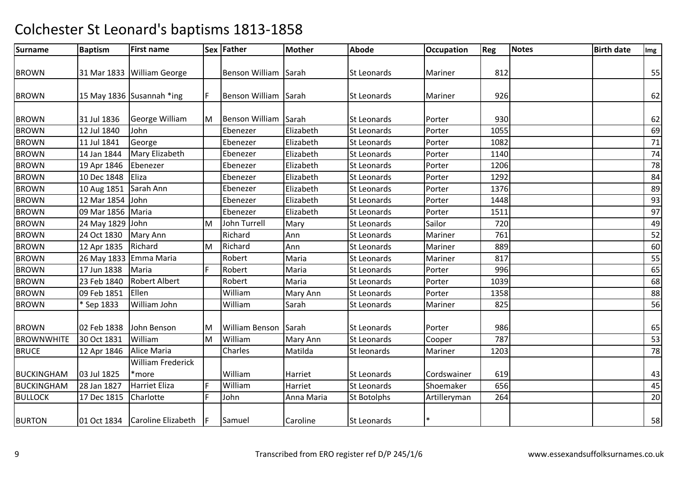| Surname           | <b>Baptism</b>   | <b>First name</b>              |     | Sex Father            | <b>Mother</b> | <b>Abode</b>       | <b>Occupation</b> | Reg  | Notes | <b>Birth date</b> | Img             |
|-------------------|------------------|--------------------------------|-----|-----------------------|---------------|--------------------|-------------------|------|-------|-------------------|-----------------|
|                   |                  |                                |     |                       |               |                    |                   |      |       |                   |                 |
| <b>BROWN</b>      |                  | 31 Mar 1833 William George     |     | Benson William Sarah  |               | <b>St Leonards</b> | Mariner           | 812  |       |                   | 55              |
|                   |                  |                                |     |                       |               |                    |                   |      |       |                   |                 |
| <b>BROWN</b>      |                  | 15 May 1836 Susannah *ing      | IF. | <b>Benson William</b> | Sarah         | <b>St Leonards</b> | Mariner           | 926  |       |                   | 62              |
| <b>BROWN</b>      | 31 Jul 1836      | George William                 | lм  | <b>Benson William</b> | Sarah         | <b>St Leonards</b> | Porter            | 930  |       |                   | 62              |
| <b>BROWN</b>      | 12 Jul 1840      | John                           |     | Ebenezer              | Elizabeth     | <b>St Leonards</b> | Porter            | 1055 |       |                   | 69              |
| <b>BROWN</b>      | 11 Jul 1841      | George                         |     | Ebenezer              | Elizabeth     | <b>St Leonards</b> | Porter            | 1082 |       |                   | 71              |
| <b>BROWN</b>      | 14 Jan 1844      | Mary Elizabeth                 |     | Ebenezer              | Elizabeth     | <b>St Leonards</b> | Porter            | 1140 |       |                   | 74              |
| <b>BROWN</b>      | 19 Apr 1846      | Ebenezer                       |     | Ebenezer              | Elizabeth     | St Leonards        | Porter            | 1206 |       |                   | 78              |
| <b>BROWN</b>      | 10 Dec 1848      | Eliza                          |     | Ebenezer              | Elizabeth     | St Leonards        | Porter            | 1292 |       |                   | 84              |
| <b>BROWN</b>      | 10 Aug 1851      | Sarah Ann                      |     | Ebenezer              | Elizabeth     | <b>St Leonards</b> | Porter            | 1376 |       |                   | 89              |
| <b>BROWN</b>      | 12 Mar 1854      | John                           |     | Ebenezer              | Elizabeth     | <b>St Leonards</b> | Porter            | 1448 |       |                   | 93              |
| <b>BROWN</b>      | 09 Mar 1856      | Maria                          |     | Ebenezer              | Elizabeth     | <b>St Leonards</b> | Porter            | 1511 |       |                   | 97              |
| <b>BROWN</b>      | 24 May 1829 John |                                | M   | <b>John Turrell</b>   | Mary          | <b>St Leonards</b> | Sailor            | 720  |       |                   | 49              |
| <b>BROWN</b>      | 24 Oct 1830      | Mary Ann                       |     | Richard               | Ann           | St Leonards        | Mariner           | 761  |       |                   | 52              |
| <b>BROWN</b>      | 12 Apr 1835      | Richard                        | M   | Richard               | Ann           | St Leonards        | Mariner           | 889  |       |                   | 60              |
| <b>BROWN</b>      |                  | 26 May 1833 Emma Maria         |     | Robert                | Maria         | St Leonards        | Mariner           | 817  |       |                   | 55              |
| <b>BROWN</b>      | 17 Jun 1838      | Maria                          | F   | Robert                | Maria         | St Leonards        | Porter            | 996  |       |                   | 65              |
| <b>BROWN</b>      | 23 Feb 1840      | <b>Robert Albert</b>           |     | Robert                | Maria         | St Leonards        | Porter            | 1039 |       |                   | 68              |
| <b>BROWN</b>      | 09 Feb 1851      | Ellen                          |     | William               | Mary Ann      | <b>St Leonards</b> | Porter            | 1358 |       |                   | 88              |
| <b>BROWN</b>      | * Sep 1833       | William John                   |     | William               | Sarah         | <b>St Leonards</b> | Mariner           | 825  |       |                   | 56              |
|                   |                  |                                |     |                       |               |                    |                   |      |       |                   |                 |
| <b>BROWN</b>      | 02 Feb 1838      | John Benson                    | ΙM  | William Benson Sarah  |               | <b>St Leonards</b> | Porter            | 986  |       |                   | 65              |
| <b>BROWNWHITE</b> | 30 Oct 1831      | William                        | M   | William               | Mary Ann      | St Leonards        | Cooper            | 787  |       |                   | $\overline{53}$ |
| <b>BRUCE</b>      | 12 Apr 1846      | Alice Maria                    |     | Charles               | Matilda       | St leonards        | Mariner           | 1203 |       |                   | 78              |
|                   |                  | William Frederick              |     |                       |               |                    |                   |      |       |                   |                 |
| <b>BUCKINGHAM</b> | 03 Jul 1825      | *more                          |     | William               | Harriet       | <b>St Leonards</b> | Cordswainer       | 619  |       |                   | 43              |
| <b>BUCKINGHAM</b> | 28 Jan 1827      | <b>Harriet Eliza</b>           | F   | William               | Harriet       | <b>St Leonards</b> | Shoemaker         | 656  |       |                   | 45              |
| <b>BULLOCK</b>    | 17 Dec 1815      | Charlotte                      | E   | John                  | Anna Maria    | <b>St Botolphs</b> | Artilleryman      | 264  |       |                   | 20              |
| <b>BURTON</b>     |                  | 01 Oct 1834 Caroline Elizabeth | IF. | Samuel                | Caroline      | <b>St Leonards</b> |                   |      |       |                   | 58              |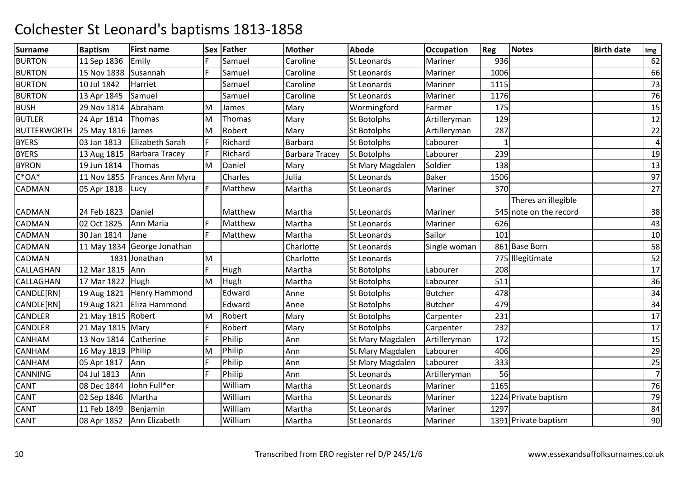| <b>Surname</b>     | <b>Baptism</b>     | <b>First name</b>           |    | Sex Father | <b>Mother</b>         | <b>Abode</b>       | <b>Occupation</b> | Reg  | <b>Notes</b>                                  | <b>Birth date</b> | Img            |
|--------------------|--------------------|-----------------------------|----|------------|-----------------------|--------------------|-------------------|------|-----------------------------------------------|-------------------|----------------|
| <b>BURTON</b>      | 11 Sep 1836        | Emily                       |    | Samuel     | Caroline              | <b>St Leonards</b> | Mariner           | 936  |                                               |                   | 62             |
| <b>BURTON</b>      | 15 Nov 1838        | Susannah                    | F. | Samuel     | Caroline              | St Leonards        | Mariner           | 1006 |                                               |                   | 66             |
| <b>BURTON</b>      | 10 Jul 1842        | Harriet                     |    | Samuel     | Caroline              | St Leonards        | Mariner           | 1115 |                                               |                   | 73             |
| <b>BURTON</b>      | 13 Apr 1845        | Samuel                      |    | Samuel     | Caroline              | <b>St Leonards</b> | Mariner           | 1176 |                                               |                   | 76             |
| <b>BUSH</b>        | 29 Nov 1814        | Abraham                     | M  | James      | Mary                  | Wormingford        | Farmer            | 175  |                                               |                   | 15             |
| <b>BUTLER</b>      | 24 Apr 1814        | Thomas                      | M  | Thomas     | Mary                  | <b>St Botolphs</b> | Artilleryman      | 129  |                                               |                   | 12             |
| <b>BUTTERWORTH</b> | 25 May 1816        | James                       | M  | Robert     | Mary                  | <b>St Botolphs</b> | Artilleryman      | 287  |                                               |                   | 22             |
| <b>BYERS</b>       | 03 Jan 1813        | Elizabeth Sarah             | F  | Richard    | <b>Barbara</b>        | <b>St Botolphs</b> | Labourer          |      |                                               |                   | $\overline{4}$ |
| <b>BYERS</b>       | 13 Aug 1815        | <b>Barbara Tracey</b>       | F  | Richard    | <b>Barbara Tracey</b> | <b>St Botolphs</b> | Labourer          | 239  |                                               |                   | 19             |
| <b>BYRON</b>       | 19 Jun 1814        | Thomas                      | M  | Daniel     | Mary                  | St Mary Magdalen   | Soldier           | 138  |                                               |                   | 13             |
| $C^*OA^*$          | 11 Nov 1855        | Frances Ann Myra            |    | Charles    | Julia                 | <b>St Leonards</b> | <b>Baker</b>      | 1506 |                                               |                   | 97             |
| CADMAN             | 05 Apr 1818        | Lucy                        | F  | Matthew    | Martha                | <b>St Leonards</b> | Mariner           | 370  |                                               |                   | 27             |
| CADMAN             | 24 Feb 1823        | Daniel                      |    | Matthew    | Martha                | <b>St Leonards</b> | Mariner           |      | Theres an illegible<br>545 note on the record |                   | 38             |
| CADMAN             | 02 Oct 1825        | Ann Maria                   | F. | Matthew    | Martha                | <b>St Leonards</b> | Mariner           | 626  |                                               |                   | 43             |
| CADMAN             | 30 Jan 1814        | Jane                        | F  | Matthew    | Martha                | <b>St Leonards</b> | Sailor            | 101  |                                               |                   | 10             |
| CADMAN             |                    | 11 May 1834 George Jonathan |    |            | Charlotte             | St Leonards        | Single woman      |      | 861 Base Born                                 |                   | 58             |
| CADMAN             |                    | 1831 Jonathan               | M  |            | Charlotte             | St Leonards        |                   |      | 775 Illegitimate                              |                   | 52             |
| CALLAGHAN          | 12 Mar 1815        | Ann                         | F. | Hugh       | Martha                | <b>St Botolphs</b> | Labourer          | 208  |                                               |                   | 17             |
| CALLAGHAN          | 17 Mar 1822        | Hugh                        | M  | Hugh       | Martha                | <b>St Botolphs</b> | Labourer          | 511  |                                               |                   | 36             |
| CANDLE[RN]         | 19 Aug 1821        | Henry Hammond               |    | Edward     | Anne                  | St Botolphs        | <b>Butcher</b>    | 478  |                                               |                   | 34             |
| CANDLE[RN]         | 19 Aug 1821        | Eliza Hammond               |    | Edward     | Anne                  | <b>St Botolphs</b> | Butcher           | 479  |                                               |                   | 34             |
| CANDLER            | 21 May 1815 Robert |                             | M  | Robert     | Mary                  | <b>St Botolphs</b> | Carpenter         | 231  |                                               |                   | 17             |
| CANDLER            | 21 May 1815 Mary   |                             | F  | Robert     | Mary                  | <b>St Botolphs</b> | Carpenter         | 232  |                                               |                   | 17             |
| CANHAM             | 13 Nov 1814        | Catherine                   | F. | Philip     | Ann                   | St Mary Magdalen   | Artilleryman      | 172  |                                               |                   | 15             |
| CANHAM             | 16 May 1819 Philip |                             | M  | Philip     | Ann                   | St Mary Magdalen   | Labourer          | 406  |                                               |                   | 29             |
| CANHAM             | 05 Apr 1817        | Ann                         | F. | Philip     | Ann                   | St Mary Magdalen   | Labourer          | 333  |                                               |                   | 25             |
| CANNING            | 04 Jul 1813        | Ann                         | F. | Philip     | Ann                   | <b>St Leonards</b> | Artilleryman      | 56   |                                               |                   | $\overline{7}$ |
| CANT               | 08 Dec 1844        | John Full*er                |    | William    | Martha                | St Leonards        | Mariner           | 1165 |                                               |                   | 76             |
| CANT               | 02 Sep 1846        | Martha                      |    | William    | Martha                | St Leonards        | Mariner           |      | 1224 Private baptism                          |                   | 79             |
| CANT               | 11 Feb 1849        | Benjamin                    |    | William    | Martha                | St Leonards        | Mariner           | 1297 |                                               |                   | 84             |
| CANT               | 08 Apr 1852        | Ann Elizabeth               |    | William    | Martha                | <b>St Leonards</b> | Mariner           |      | 1391 Private baptism                          |                   | 90             |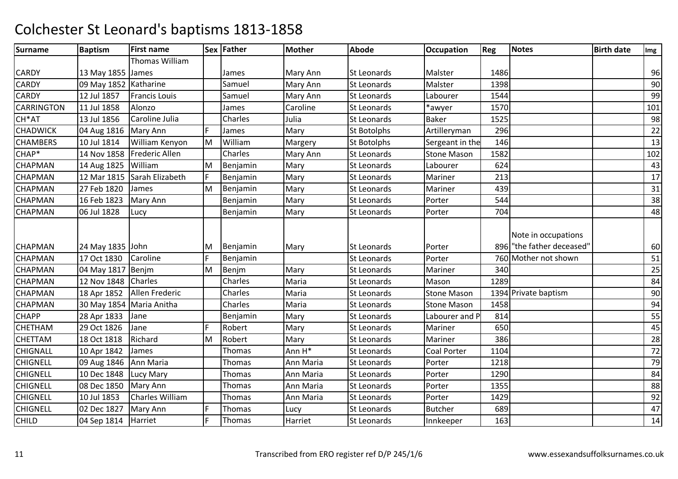| <b>Surname</b>  | <b>Baptism</b>         | <b>First name</b>           |    | Sex Father | <b>Mother</b>   | <b>Abode</b>       | <b>Occupation</b>  | <b>Reg</b> | <b>Notes</b>             | <b>Birth date</b> | Img |
|-----------------|------------------------|-----------------------------|----|------------|-----------------|--------------------|--------------------|------------|--------------------------|-------------------|-----|
|                 |                        | Thomas William              |    |            |                 |                    |                    |            |                          |                   |     |
| CARDY           | 13 May 1855 James      |                             |    | James      | <b>Mary Ann</b> | St Leonards        | Malster            | 1486       |                          |                   | 96  |
| <b>CARDY</b>    | 09 May 1852 Katharine  |                             |    | Samuel     | Mary Ann        | St Leonards        | Malster            | 1398       |                          |                   | 90  |
| CARDY           | 12 Jul 1857            | <b>Francis Louis</b>        |    | Samuel     | Mary Ann        | St Leonards        | Labourer           | 1544       |                          |                   | 99  |
| CARRINGTON      | 11 Jul 1858            | Alonzo                      |    | James      | Caroline        | <b>St Leonards</b> | *awyer             | 1570       |                          |                   | 101 |
| CH*AT           | 13 Jul 1856            | Caroline Julia              |    | Charles    | Julia           | <b>St Leonards</b> | <b>Baker</b>       | 1525       |                          |                   | 98  |
| CHADWICK        | 04 Aug 1816   Mary Ann |                             | E  | James      | Mary            | <b>St Botolphs</b> | Artilleryman       | 296        |                          |                   | 22  |
| <b>CHAMBERS</b> | 10 Jul 1814            | William Kenyon              | M  | William    | Margery         | <b>St Botolphs</b> | Sergeant in the    | 146        |                          |                   | 13  |
| CHAP*           | 14 Nov 1858            | <b>Frederic Allen</b>       |    | Charles    | Mary Ann        | <b>St Leonards</b> | <b>Stone Mason</b> | 1582       |                          |                   | 102 |
| CHAPMAN         | 14 Aug 1825            | William                     | M  | Benjamin   | Mary            | <b>St Leonards</b> | Labourer           | 624        |                          |                   | 43  |
| CHAPMAN         |                        | 12 Mar 1815 Sarah Elizabeth | F  | Benjamin   | Mary            | St Leonards        | Mariner            | 213        |                          |                   | 17  |
| CHAPMAN         | 27 Feb 1820            | James                       | M  | Benjamin   | Mary            | <b>St Leonards</b> | Mariner            | 439        |                          |                   | 31  |
| CHAPMAN         | 16 Feb 1823            | Mary Ann                    |    | Benjamin   | Mary            | <b>St Leonards</b> | Porter             | 544        |                          |                   | 38  |
| CHAPMAN         | 06 Jul 1828            | Lucy                        |    | Benjamin   | Mary            | <b>St Leonards</b> | Porter             | 704        |                          |                   | 48  |
|                 |                        |                             |    |            |                 |                    |                    |            | Note in occupations      |                   |     |
| CHAPMAN         | 24 May 1835 John       |                             | M  | Benjamin   | Mary            | St Leonards        | Porter             |            | 896 The father deceased" |                   | 60  |
| CHAPMAN         | 17 Oct 1830            | Caroline                    | E  | Benjamin   |                 | <b>St Leonards</b> | Porter             |            | 760 Mother not shown     |                   | 51  |
| CHAPMAN         | 04 May 1817            | Benjm                       | M  | Benjm      | Mary            | <b>St Leonards</b> | Mariner            | 340        |                          |                   | 25  |
| CHAPMAN         | 12 Nov 1848            | Charles                     |    | Charles    | Maria           | St Leonards        | Mason              | 1289       |                          |                   | 84  |
| CHAPMAN         | 18 Apr 1852            | Allen Frederic              |    | Charles    | Maria           | <b>St Leonards</b> | <b>Stone Mason</b> |            | 1394 Private baptism     |                   | 90  |
| CHAPMAN         |                        | 30 May 1854 Maria Anitha    |    | Charles    | Maria           | <b>St Leonards</b> | <b>Stone Mason</b> | 1458       |                          |                   | 94  |
| <b>CHAPP</b>    | 28 Apr 1833            | Jane                        |    | Benjamin   | Mary            | <b>St Leonards</b> | Labourer and P     | 814        |                          |                   | 55  |
| CHETHAM         | 29 Oct 1826            | Jane                        | F. | Robert     | Mary            | St Leonards        | Mariner            | 650        |                          |                   | 45  |
| CHETTAM         | 18 Oct 1818            | Richard                     | M  | Robert     | Mary            | <b>St Leonards</b> | Mariner            | 386        |                          |                   | 28  |
| CHIGNALL        | 10 Apr 1842            | James                       |    | Thomas     | Ann H*          | St Leonards        | Coal Porter        | 1104       |                          |                   | 72  |
| <b>CHIGNELL</b> | 09 Aug 1846            | Ann Maria                   |    | Thomas     | Ann Maria       | St Leonards        | Porter             | 1218       |                          |                   | 79  |
| <b>CHIGNELL</b> | 10 Dec 1848            | Lucy Mary                   |    | Thomas     | Ann Maria       | <b>St Leonards</b> | Porter             | 1290       |                          |                   | 84  |
| <b>CHIGNELL</b> | 08 Dec 1850            | Mary Ann                    |    | Thomas     | Ann Maria       | <b>St Leonards</b> | Porter             | 1355       |                          |                   | 88  |
| <b>CHIGNELL</b> | 10 Jul 1853            | <b>Charles William</b>      |    | Thomas     | Ann Maria       | St Leonards        | Porter             | 1429       |                          |                   | 92  |
| <b>CHIGNELL</b> | 02 Dec 1827            | Mary Ann                    | E  | Thomas     | Lucy            | St Leonards        | <b>Butcher</b>     | 689        |                          |                   | 47  |
| <b>CHILD</b>    | 04 Sep 1814            | Harriet                     | F. | Thomas     | Harriet         | St Leonards        | Innkeeper          | 163        |                          |                   | 14  |
|                 |                        |                             |    |            |                 |                    |                    |            |                          |                   |     |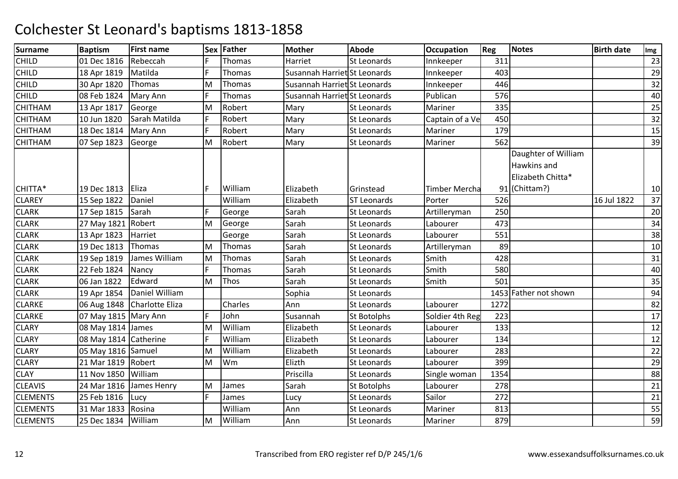| <b>Surname</b>  | <b>Baptism</b>         | <b>First name</b>             |    | Sex Father | Mother                       | <b>Abode</b>       | <b>Occupation</b>    | Reg  | <b>Notes</b>                                                             | <b>Birth date</b> | Img |
|-----------------|------------------------|-------------------------------|----|------------|------------------------------|--------------------|----------------------|------|--------------------------------------------------------------------------|-------------------|-----|
| <b>CHILD</b>    | 01 Dec 1816            | Rebeccah                      |    | Thomas     | Harriet                      | St Leonards        | Innkeeper            | 311  |                                                                          |                   | 23  |
| <b>CHILD</b>    | 18 Apr 1819            | Matilda                       | F. | Thomas     | Susannah Harriet St Leonards |                    | Innkeeper            | 403  |                                                                          |                   | 29  |
| CHILD           | 30 Apr 1820            | Thomas                        | M  | Thomas     | Susannah Harriet St Leonards |                    | Innkeeper            | 446  |                                                                          |                   | 32  |
| <b>CHILD</b>    | 08 Feb 1824            | Mary Ann                      | F  | Thomas     | Susannah Harriet St Leonards |                    | Publican             | 576  |                                                                          |                   | 40  |
| CHITHAM         | 13 Apr 1817            | George                        | M  | Robert     | Mary                         | <b>St Leonards</b> | Mariner              | 335  |                                                                          |                   | 25  |
| CHITHAM         | 10 Jun 1820            | Sarah Matilda                 | F  | Robert     | Mary                         | St Leonards        | Captain of a Ve      | 450  |                                                                          |                   | 32  |
| <b>CHITHAM</b>  | 18 Dec 1814   Mary Ann |                               | F. | Robert     | Mary                         | <b>St Leonards</b> | Mariner              | 179  |                                                                          |                   | 15  |
| <b>CHITHAM</b>  | 07 Sep 1823            | George                        | M  | Robert     | Mary                         | St Leonards        | Mariner              | 562  |                                                                          |                   | 39  |
| CHITTA*         | 19 Dec 1813            | Eliza                         | F  | William    | Elizabeth                    | Grinstead          | <b>Timber Mercha</b> |      | Daughter of William<br>Hawkins and<br>Elizabeth Chitta*<br>91 (Chittam?) |                   | 10  |
| <b>CLAREY</b>   | 15 Sep 1822            | Daniel                        |    | William    | Elizabeth                    | <b>ST Leonards</b> | Porter               | 526  |                                                                          | 16 Jul 1822       | 37  |
| <b>CLARK</b>    | 17 Sep 1815            | Sarah                         | F  | George     | Sarah                        | <b>St Leonards</b> | Artilleryman         | 250  |                                                                          |                   | 20  |
| <b>CLARK</b>    | 27 May 1821 Robert     |                               | M  | George     | Sarah                        | <b>St Leonards</b> | Labourer             | 473  |                                                                          |                   | 34  |
| <b>CLARK</b>    | 13 Apr 1823            | Harriet                       |    | George     | Sarah                        | <b>St Leonards</b> | Labourer             | 551  |                                                                          |                   | 38  |
| <b>CLARK</b>    | 19 Dec 1813            | Thomas                        | M  | Thomas     | Sarah                        | St Leonards        | Artilleryman         | 89   |                                                                          |                   | 10  |
| <b>CLARK</b>    | 19 Sep 1819            | James William                 | M  | Thomas     | Sarah                        | <b>St Leonards</b> | Smith                | 428  |                                                                          |                   | 31  |
| <b>CLARK</b>    | 22 Feb 1824            | Nancy                         | F  | Thomas     | Sarah                        | <b>St Leonards</b> | Smith                | 580  |                                                                          |                   | 40  |
| <b>CLARK</b>    | 06 Jan 1822            | Edward                        | M  | Thos       | Sarah                        | St Leonards        | Smith                | 501  |                                                                          |                   | 35  |
| <b>CLARK</b>    | 19 Apr 1854            | Daniel William                |    |            | Sophia                       | <b>St Leonards</b> |                      |      | 1453 Father not shown                                                    |                   | 94  |
| <b>CLARKE</b>   |                        | 06 Aug 1848   Charlotte Eliza |    | Charles    | Ann                          | <b>St Leonards</b> | Labourer             | 1272 |                                                                          |                   | 82  |
| <b>CLARKE</b>   | 07 May 1815 Mary Ann   |                               | F  | John       | Susannah                     | St Botolphs        | Soldier 4th Reg      | 223  |                                                                          |                   | 17  |
| <b>CLARY</b>    | 08 May 1814 James      |                               | M  | William    | Elizabeth                    | St Leonards        | Labourer             | 133  |                                                                          |                   | 12  |
| <b>CLARY</b>    | 08 May 1814 Catherine  |                               |    | William    | Elizabeth                    | St Leonards        | Labourer             | 134  |                                                                          |                   | 12  |
| <b>CLARY</b>    | 05 May 1816 Samuel     |                               | M  | William    | Elizabeth                    | <b>St Leonards</b> | Labourer             | 283  |                                                                          |                   | 22  |
| <b>CLARY</b>    | 21 Mar 1819 Robert     |                               | M  | Wm         | Elizth                       | <b>St Leonards</b> | Labourer             | 399  |                                                                          |                   | 29  |
| <b>CLAY</b>     | 11 Nov 1850 William    |                               |    |            | Priscilla                    | <b>St Leonards</b> | Single woman         | 1354 |                                                                          |                   | 88  |
| <b>CLEAVIS</b>  | 24 Mar 1816            | James Henry                   | M  | James      | Sarah                        | St Botolphs        | Labourer             | 278  |                                                                          |                   | 21  |
| <b>CLEMENTS</b> | 25 Feb 1816            | Lucy                          | F  | James      | Lucy                         | <b>St Leonards</b> | Sailor               | 272  |                                                                          |                   | 21  |
| <b>CLEMENTS</b> | 31 Mar 1833            | Rosina                        |    | William    | Ann                          | St Leonards        | Mariner              | 813  |                                                                          |                   | 55  |
| <b>CLEMENTS</b> | 25 Dec 1834            | William                       | M  | William    | Ann                          | <b>St Leonards</b> | Mariner              | 879  |                                                                          |                   | 59  |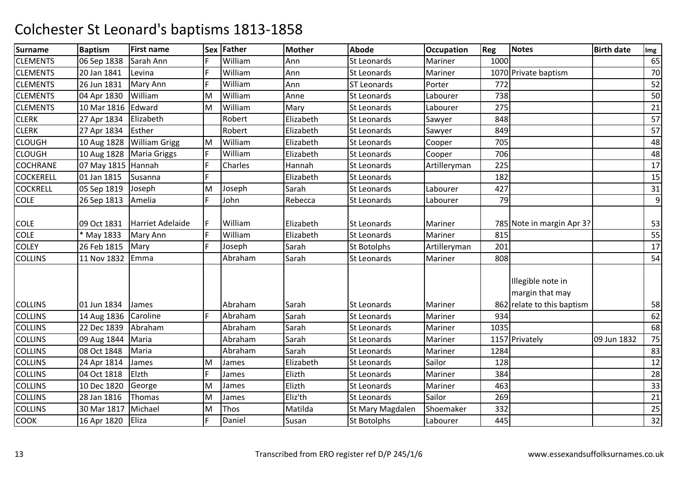| <b>Surname</b>   | <b>Baptism</b>     | <b>First name</b>    |    | Sex Father | <b>Mother</b> | <b>Abode</b>       | <b>Occupation</b> | <b>Reg</b> | <b>Notes</b>                                                       | <b>Birth date</b> | Img |
|------------------|--------------------|----------------------|----|------------|---------------|--------------------|-------------------|------------|--------------------------------------------------------------------|-------------------|-----|
| <b>CLEMENTS</b>  | 06 Sep 1838        | Sarah Ann            | F. | William    | Ann           | <b>St Leonards</b> | Mariner           | 1000       |                                                                    |                   | 65  |
| <b>CLEMENTS</b>  | 20 Jan 1841        | Levina               | F. | William    | Ann           | <b>St Leonards</b> | Mariner           |            | 1070 Private baptism                                               |                   | 70  |
| <b>CLEMENTS</b>  | 26 Jun 1831        | Mary Ann             | F. | William    | Ann           | <b>ST Leonards</b> | Porter            | 772        |                                                                    |                   | 52  |
| <b>CLEMENTS</b>  | 04 Apr 1830        | William              | M  | William    | Anne          | <b>St Leonards</b> | Labourer          | 738        |                                                                    |                   | 50  |
| <b>CLEMENTS</b>  | 10 Mar 1816        | Edward               | M  | William    | Mary          | St Leonards        | Labourer          | 275        |                                                                    |                   | 21  |
| <b>CLERK</b>     | 27 Apr 1834        | Elizabeth            |    | Robert     | Elizabeth     | <b>St Leonards</b> | Sawyer            | 848        |                                                                    |                   | 57  |
| <b>CLERK</b>     | 27 Apr 1834        | Esther               |    | Robert     | Elizabeth     | <b>St Leonards</b> | Sawyer            | 849        |                                                                    |                   | 57  |
| <b>CLOUGH</b>    | 10 Aug 1828        | <b>William Grigg</b> | M  | William    | Elizabeth     | <b>St Leonards</b> | Cooper            | 705        |                                                                    |                   | 48  |
| <b>CLOUGH</b>    | 10 Aug 1828        | <b>Maria Griggs</b>  | F. | William    | Elizabeth     | <b>St Leonards</b> | Cooper            | 706        |                                                                    |                   | 48  |
| <b>COCHRANE</b>  | 07 May 1815 Hannah |                      | F. | Charles    | Hannah        | <b>St Leonards</b> | Artilleryman      | 225        |                                                                    |                   | 17  |
| <b>COCKERELL</b> | 01 Jan 1815        | Susanna              |    |            | Elizabeth     | <b>St Leonards</b> |                   | 182        |                                                                    |                   | 15  |
| <b>COCKRELL</b>  | 05 Sep 1819        | Joseph               | M  | Joseph     | Sarah         | St Leonards        | Labourer          | 427        |                                                                    |                   | 31  |
| <b>COLE</b>      | 26 Sep 1813        | Amelia               | F. | John       | Rebecca       | St Leonards        | Labourer          | 79         |                                                                    |                   | 9   |
|                  |                    |                      |    |            |               |                    |                   |            |                                                                    |                   |     |
| <b>COLE</b>      | 09 Oct 1831        | Harriet Adelaide     | F. | William    | Elizabeth     | <b>St Leonards</b> | Mariner           |            | 785 Note in margin Apr 3?                                          |                   | 53  |
| <b>COLE</b>      | * May 1833         | Mary Ann             | F. | William    | Elizabeth     | St Leonards        | Mariner           | 815        |                                                                    |                   | 55  |
| <b>COLEY</b>     | 26 Feb 1815        | Mary                 | F. | Joseph     | Sarah         | <b>St Botolphs</b> | Artilleryman      | 201        |                                                                    |                   | 17  |
| <b>COLLINS</b>   | 11 Nov 1832        | Emma                 |    | Abraham    | Sarah         | <b>St Leonards</b> | Mariner           | 808        |                                                                    |                   | 54  |
| <b>COLLINS</b>   | 01 Jun 1834        | James                |    | Abraham    | Sarah         | <b>St Leonards</b> | Mariner           |            | Illegible note in<br>margin that may<br>862 relate to this baptism |                   | 58  |
| <b>COLLINS</b>   | 14 Aug 1836        | Caroline             | F. | Abraham    | Sarah         | <b>St Leonards</b> | Mariner           | 934        |                                                                    |                   | 62  |
| <b>COLLINS</b>   | 22 Dec 1839        | Abraham              |    | Abraham    | Sarah         | St Leonards        | Mariner           | 1035       |                                                                    |                   | 68  |
| <b>COLLINS</b>   | 09 Aug 1844        | Maria                |    | Abraham    | Sarah         | <b>St Leonards</b> | Mariner           |            | 1157 Privately                                                     | 09 Jun 1832       | 75  |
| <b>COLLINS</b>   | 08 Oct 1848        | Maria                |    | Abraham    | Sarah         | St Leonards        | Mariner           | 1284       |                                                                    |                   | 83  |
| <b>COLLINS</b>   | 24 Apr 1814        | James                | M  | James      | Elizabeth     | St Leonards        | Sailor            | 128        |                                                                    |                   | 12  |
| <b>COLLINS</b>   | 04 Oct 1818        | Elzth                | F. | James      | Elizth        | St Leonards        | Mariner           | 384        |                                                                    |                   | 28  |
| <b>COLLINS</b>   | 10 Dec 1820        | George               | M  | James      | Elizth        | <b>St Leonards</b> | Mariner           | 463        |                                                                    |                   | 33  |
| <b>COLLINS</b>   | 28 Jan 1816        | Thomas               | M  | James      | Eliz'th       | <b>St Leonards</b> | Sailor            | 269        |                                                                    |                   | 21  |
| <b>COLLINS</b>   | 30 Mar 1817        | Michael              | M  | Thos       | Matilda       | St Mary Magdalen   | Shoemaker         | 332        |                                                                    |                   | 25  |
| COOK             | 16 Apr 1820        | Eliza                | F. | Daniel     | Susan         | <b>St Botolphs</b> | Labourer          | 445        |                                                                    |                   | 32  |
|                  |                    |                      |    |            |               |                    |                   |            |                                                                    |                   |     |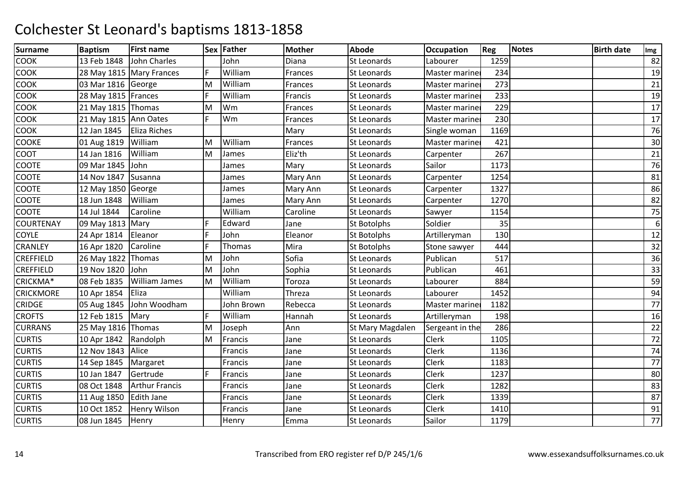| <b>Surname</b>   | <b>Baptism</b>         | <b>First name</b>          |    | Sex Father | <b>Mother</b> | <b>Abode</b>       | <b>Occupation</b> | <b>Reg</b> | <b>Notes</b> | <b>Birth date</b> | Img              |
|------------------|------------------------|----------------------------|----|------------|---------------|--------------------|-------------------|------------|--------------|-------------------|------------------|
| <b>COOK</b>      | 13 Feb 1848            | <b>John Charles</b>        |    | John       | Diana         | <b>St Leonards</b> | Labourer          | 1259       |              |                   | 82               |
| <b>COOK</b>      |                        | 28 May 1815   Mary Frances | F. | William    | Frances       | St Leonards        | Master mariner    | 234        |              |                   | 19               |
| <b>COOK</b>      | 03 Mar 1816 George     |                            | M  | William    | Frances       | St Leonards        | Master mariner    | 273        |              |                   | 21               |
| COOK             | 28 May 1815 Frances    |                            | F. | William    | Francis       | <b>St Leonards</b> | Master mariner    | 233        |              |                   | 19               |
| <b>COOK</b>      | 21 May 1815 Thomas     |                            | M  | Wm         | Frances       | St Leonards        | Master mariner    | 229        |              |                   | 17               |
| COOK             | 21 May 1815 Ann Oates  |                            | F. | Wm         | Frances       | <b>St Leonards</b> | Master mariner    | 230        |              |                   | 17               |
| <b>COOK</b>      | 12 Jan 1845            | <b>Eliza Riches</b>        |    |            | Mary          | St Leonards        | Single woman      | 1169       |              |                   | 76               |
| COOKE            | 01 Aug 1819            | William                    | M  | William    | Frances       | St Leonards        | Master mariner    | 421        |              |                   | 30               |
| COOT             | 14 Jan 1816            | William                    | M  | James      | Eliz'th       | St Leonards        | Carpenter         | 267        |              |                   | 21               |
| COOTE            | 09 Mar 1845            | John                       |    | James      | Mary          | St Leonards        | Sailor            | 1173       |              |                   | 76               |
| COOTE            | 14 Nov 1847            | Susanna                    |    | James      | Mary Ann      | St Leonards        | Carpenter         | 1254       |              |                   | 81               |
| COOTE            | 12 May 1850 George     |                            |    | James      | Mary Ann      | <b>St Leonards</b> | Carpenter         | 1327       |              |                   | 86               |
| COOTE            | 18 Jun 1848            | William                    |    | James      | Mary Ann      | St Leonards        | Carpenter         | 1270       |              |                   | 82               |
| COOTE            | 14 Jul 1844            | Caroline                   |    | William    | Caroline      | St Leonards        | Sawyer            | 1154       |              |                   | 75               |
| COURTENAY        | 09 May 1813 Mary       |                            | F  | Edward     | Jane          | <b>St Botolphs</b> | Soldier           | 35         |              |                   | $\boldsymbol{6}$ |
| <b>COYLE</b>     | 24 Apr 1814            | Eleanor                    | F. | John       | Eleanor       | St Botolphs        | Artilleryman      | 130        |              |                   | 12               |
| <b>CRANLEY</b>   | 16 Apr 1820            | Caroline                   | F. | Thomas     | Mira          | <b>St Botolphs</b> | Stone sawyer      | 444        |              |                   | 32               |
| CREFFIELD        | 26 May 1822            | Thomas                     | M  | John       | Sofia         | St Leonards        | Publican          | 517        |              |                   | 36               |
| CREFFIELD        | 19 Nov 1820            | John                       | M  | John       | Sophia        | St Leonards        | Publican          | 461        |              |                   | 33               |
| CRICKMA*         | 08 Feb 1835            | William James              | M  | William    | Toroza        | St Leonards        | Labourer          | 884        |              |                   | 59               |
| <b>CRICKMORE</b> | 10 Apr 1854            | Eliza                      |    | William    | Threza        | St Leonards        | Labourer          | 1452       |              |                   | 94               |
| <b>CRIDGE</b>    | 05 Aug 1845            | John Woodham               |    | John Brown | Rebecca       | St Leonards        | Master mariner    | 1182       |              |                   | 77               |
| <b>CROFTS</b>    | 12 Feb 1815            | Mary                       | F. | William    | Hannah        | St Leonards        | Artilleryman      | 198        |              |                   | 16               |
| <b>CURRANS</b>   | 25 May 1816 Thomas     |                            | M  | Joseph     | Ann           | St Mary Magdalen   | Sergeant in the   | 286        |              |                   | 22               |
| <b>CURTIS</b>    | 10 Apr 1842            | Randolph                   | M  | Francis    | Jane          | <b>St Leonards</b> | Clerk             | 1105       |              |                   | 72               |
| <b>CURTIS</b>    | 12 Nov 1843 Alice      |                            |    | Francis    | Jane          | St Leonards        | <b>Clerk</b>      | 1136       |              |                   | 74               |
| <b>CURTIS</b>    | 14 Sep 1845            | Margaret                   |    | Francis    | Jane          | St Leonards        | <b>Clerk</b>      | 1183       |              |                   | 77               |
| <b>CURTIS</b>    | 10 Jan 1847            | Gertrude                   | F. | Francis    | Jane          | <b>St Leonards</b> | <b>Clerk</b>      | 1237       |              |                   | 80               |
| <b>CURTIS</b>    | 08 Oct 1848            | <b>Arthur Francis</b>      |    | Francis    | Jane          | <b>St Leonards</b> | Clerk             | 1282       |              |                   | 83               |
| <b>CURTIS</b>    | 11 Aug 1850 Edith Jane |                            |    | Francis    | Jane          | St Leonards        | Clerk             | 1339       |              |                   | 87               |
| <b>CURTIS</b>    | 10 Oct 1852            | Henry Wilson               |    | Francis    | Jane          | St Leonards        | <b>Clerk</b>      | 1410       |              |                   | 91               |
| <b>CURTIS</b>    | 08 Jun 1845            | Henry                      |    | Henry      | Emma          | <b>St Leonards</b> | Sailor            | 1179       |              |                   | 77               |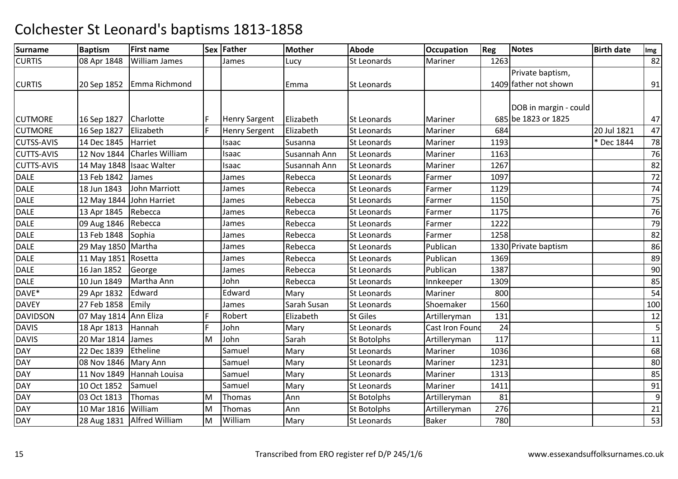| Surname           | <b>Baptism</b>             | <b>First name</b>          |     | Sex Father           | <b>Mother</b> | <b>Abode</b>       | <b>Occupation</b>      | Reg  | Notes                 | <b>Birth date</b> | Img            |
|-------------------|----------------------------|----------------------------|-----|----------------------|---------------|--------------------|------------------------|------|-----------------------|-------------------|----------------|
| <b>CURTIS</b>     | 08 Apr 1848                | <b>William James</b>       |     | James                | Lucy          | St Leonards        | Mariner                | 1263 |                       |                   | 82             |
|                   |                            |                            |     |                      |               |                    |                        |      | Private baptism,      |                   |                |
| <b>CURTIS</b>     | 20 Sep 1852                | Emma Richmond              |     |                      | Emma          | <b>St Leonards</b> |                        |      | 1409 father not shown |                   | 91             |
|                   |                            |                            |     |                      |               |                    |                        |      |                       |                   |                |
|                   |                            |                            |     |                      |               |                    |                        |      | DOB in margin - could |                   |                |
| <b>CUTMORE</b>    | 16 Sep 1827                | Charlotte                  | IF. | <b>Henry Sargent</b> | Elizabeth     | <b>St Leonards</b> | Mariner                |      | 685 be 1823 or 1825   |                   | 47             |
| <b>CUTMORE</b>    | 16 Sep 1827                | Elizabeth                  | F.  | <b>Henry Sergent</b> | Elizabeth     | <b>St Leonards</b> | Mariner                | 684  |                       | 20 Jul 1821       | 47             |
| <b>CUTSS-AVIS</b> | 14 Dec 1845                | Harriet                    |     | Isaac                | Susanna       | <b>St Leonards</b> | Mariner                | 1193 |                       | * Dec 1844        | 78             |
| <b>CUTTS-AVIS</b> | 12 Nov 1844                | Charles William            |     | Isaac                | Susannah Ann  | <b>St Leonards</b> | Mariner                | 1163 |                       |                   | 76             |
| <b>CUTTS-AVIS</b> | 14 May 1848   Isaac Walter |                            |     | Isaac                | Susannah Ann  | <b>St Leonards</b> | Mariner                | 1267 |                       |                   | 82             |
| <b>DALE</b>       | 13 Feb 1842                | James                      |     | James                | Rebecca       | <b>St Leonards</b> | Farmer                 | 1097 |                       |                   | 72             |
| <b>DALE</b>       | 18 Jun 1843                | John Marriott              |     | James                | Rebecca       | <b>St Leonards</b> | Farmer                 | 1129 |                       |                   | 74             |
| <b>DALE</b>       | 12 May 1844                | John Harriet               |     | James                | Rebecca       | St Leonards        | Farmer                 | 1150 |                       |                   | 75             |
| <b>DALE</b>       | 13 Apr 1845                | Rebecca                    |     | James                | Rebecca       | St Leonards        | Farmer                 | 1175 |                       |                   | 76             |
| DALE              | 09 Aug 1846                | Rebecca                    |     | James                | Rebecca       | <b>St Leonards</b> | Farmer                 | 1222 |                       |                   | 79             |
| <b>DALE</b>       | 13 Feb 1848                | Sophia                     |     | James                | Rebecca       | <b>St Leonards</b> | Farmer                 | 1258 |                       |                   | 82             |
| <b>DALE</b>       | 29 May 1850 Martha         |                            |     | lames                | Rebecca       | St Leonards        | Publican               |      | 1330 Private baptism  |                   | 86             |
| <b>DALE</b>       | 11 May 1851 Rosetta        |                            |     | James                | Rebecca       | St Leonards        | Publican               | 1369 |                       |                   | 89             |
| <b>DALE</b>       | 16 Jan 1852                | George                     |     | James                | Rebecca       | <b>St Leonards</b> | Publican               | 1387 |                       |                   | 90             |
| <b>DALE</b>       | 10 Jun 1849                | Martha Ann                 |     | John                 | Rebecca       | St Leonards        | Innkeeper              | 1309 |                       |                   | 85             |
| DAVE*             | 29 Apr 1832                | Edward                     |     | Edward               | Mary          | St Leonards        | Mariner                | 800  |                       |                   | 54             |
| <b>DAVEY</b>      | 27 Feb 1858                | Emily                      |     | James                | Sarah Susan   | <b>St Leonards</b> | Shoemaker              | 1560 |                       |                   | 100            |
| DAVIDSON          | 07 May 1814 Ann Eliza      |                            | F   | Robert               | Elizabeth     | <b>St Giles</b>    | Artilleryman           | 131  |                       |                   | 12             |
| <b>DAVIS</b>      | 18 Apr 1813                | Hannah                     | F   | John                 | Mary          | St Leonards        | <b>Cast Iron Found</b> | 24   |                       |                   | 5              |
| <b>DAVIS</b>      | 20 Mar 1814                | James                      | M   | John                 | Sarah         | <b>St Botolphs</b> | Artilleryman           | 117  |                       |                   | 11             |
| <b>DAY</b>        | 22 Dec 1839                | Etheline                   |     | Samuel               | Mary          | <b>St Leonards</b> | Mariner                | 1036 |                       |                   | 68             |
| DAY               | 08 Nov 1846                | Mary Ann                   |     | Samuel               | Mary          | St Leonards        | Mariner                | 1231 |                       |                   | 80             |
| <b>DAY</b>        | 11 Nov 1849                | Hannah Louisa              |     | Samuel               | Mary          | <b>St Leonards</b> | Mariner                | 1313 |                       |                   | 85             |
| <b>DAY</b>        | 10 Oct 1852                | Samuel                     |     | Samuel               | Mary          | St Leonards        | Mariner                | 1411 |                       |                   | 91             |
| <b>DAY</b>        | 03 Oct 1813                | Thomas                     | M   | Thomas               | Ann           | <b>St Botolphs</b> | Artilleryman           | 81   |                       |                   | $\overline{9}$ |
| DAY               | 10 Mar 1816                | William                    | M   | Thomas               | Ann           | <b>St Botolphs</b> | Artilleryman           | 276  |                       |                   | 21             |
| <b>DAY</b>        |                            | 28 Aug 1831 Alfred William | M   | William              | Mary          | <b>St Leonards</b> | <b>Baker</b>           | 780  |                       |                   | 53             |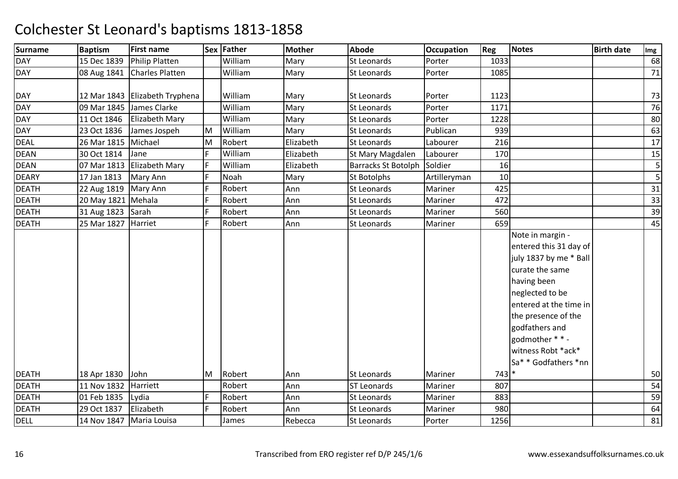| <b>Surname</b> | <b>Baptism</b>         | <b>First name</b>                |          | Sex Father | <b>Mother</b> | <b>Abode</b>               | <b>Occupation</b> | Reg     | <b>Notes</b>                                                                                                                                                                                                                                                  | <b>Birth date</b> | Img |
|----------------|------------------------|----------------------------------|----------|------------|---------------|----------------------------|-------------------|---------|---------------------------------------------------------------------------------------------------------------------------------------------------------------------------------------------------------------------------------------------------------------|-------------------|-----|
| <b>DAY</b>     | 15 Dec 1839            | <b>Philip Platten</b>            |          | William    | Mary          | St Leonards                | Porter            | 1033    |                                                                                                                                                                                                                                                               |                   | 68  |
| <b>DAY</b>     | 08 Aug 1841            | <b>Charles Platten</b>           |          | William    | Mary          | St Leonards                | Porter            | 1085    |                                                                                                                                                                                                                                                               |                   | 71  |
|                |                        |                                  |          |            |               |                            |                   |         |                                                                                                                                                                                                                                                               |                   |     |
| <b>DAY</b>     |                        | 12 Mar 1843   Elizabeth Tryphena |          | William    | Mary          | <b>St Leonards</b>         | Porter            | 1123    |                                                                                                                                                                                                                                                               |                   | 73  |
| <b>DAY</b>     | 09 Mar 1845            | James Clarke                     |          | William    | Mary          | St Leonards                | Porter            | 1171    |                                                                                                                                                                                                                                                               |                   | 76  |
| <b>DAY</b>     | 11 Oct 1846            | <b>Elizabeth Mary</b>            |          | William    | Mary          | <b>St Leonards</b>         | Porter            | 1228    |                                                                                                                                                                                                                                                               |                   | 80  |
| <b>DAY</b>     | 23 Oct 1836            | James Jospeh                     | <b>M</b> | William    | Mary          | St Leonards                | Publican          | 939     |                                                                                                                                                                                                                                                               |                   | 63  |
| <b>DEAL</b>    | 26 Mar 1815 Michael    |                                  | M        | Robert     | Elizabeth     | St Leonards                | Labourer          | 216     |                                                                                                                                                                                                                                                               |                   | 17  |
| <b>DEAN</b>    | 30 Oct 1814            | Jane                             | F        | William    | Elizabeth     | St Mary Magdalen           | Labourer          | 170     |                                                                                                                                                                                                                                                               |                   | 15  |
| <b>DEAN</b>    | 07 Mar 1813            | Elizabeth Mary                   | F        | William    | Elizabeth     | <b>Barracks St Botolph</b> | Soldier           | 16      |                                                                                                                                                                                                                                                               |                   | 5   |
| <b>DEARY</b>   | 17 Jan 1813            | Mary Ann                         | F        | Noah       | Mary          | <b>St Botolphs</b>         | Artilleryman      | 10      |                                                                                                                                                                                                                                                               |                   | 5   |
| <b>DEATH</b>   | 22 Aug 1819   Mary Ann |                                  | F        | Robert     | Ann           | St Leonards                | Mariner           | 425     |                                                                                                                                                                                                                                                               |                   | 31  |
| <b>DEATH</b>   | 20 May 1821 Mehala     |                                  | F        | Robert     | Ann           | St Leonards                | Mariner           | 472     |                                                                                                                                                                                                                                                               |                   | 33  |
| <b>DEATH</b>   | 31 Aug 1823            | Sarah                            | F        | Robert     | Ann           | St Leonards                | Mariner           | 560     |                                                                                                                                                                                                                                                               |                   | 39  |
| <b>DEATH</b>   | 25 Mar 1827            | Harriet                          | F        | Robert     | Ann           | St Leonards                | Mariner           | 659     |                                                                                                                                                                                                                                                               |                   | 45  |
|                |                        |                                  |          |            |               |                            |                   |         | Note in margin -<br>entered this 31 day of<br>july 1837 by me * Ball<br>curate the same<br>having been<br>neglected to be<br>entered at the time in<br>the presence of the<br>godfathers and<br>godmother * * -<br>witness Robt *ack*<br>Sa* * Godfathers *nn |                   |     |
| <b>DEATH</b>   | 18 Apr 1830            | John                             | M        | Robert     | Ann           | St Leonards                | Mariner           | $743$ * |                                                                                                                                                                                                                                                               |                   | 50  |
| <b>DEATH</b>   | 11 Nov 1832            | Harriett                         |          | Robert     | Ann           | <b>ST Leonards</b>         | Mariner           | 807     |                                                                                                                                                                                                                                                               |                   | 54  |
| <b>DEATH</b>   | 01 Feb 1835            | Lydia                            | F        | Robert     | Ann           | St Leonards                | Mariner           | 883     |                                                                                                                                                                                                                                                               |                   | 59  |
| <b>DEATH</b>   | 29 Oct 1837            | Elizabeth                        | F.       | Robert     | Ann           | St Leonards                | Mariner           | 980     |                                                                                                                                                                                                                                                               |                   | 64  |
| <b>DELL</b>    |                        | 14 Nov 1847   Maria Louisa       |          | James      | Rebecca       | <b>St Leonards</b>         | Porter            | 1256    |                                                                                                                                                                                                                                                               |                   | 81  |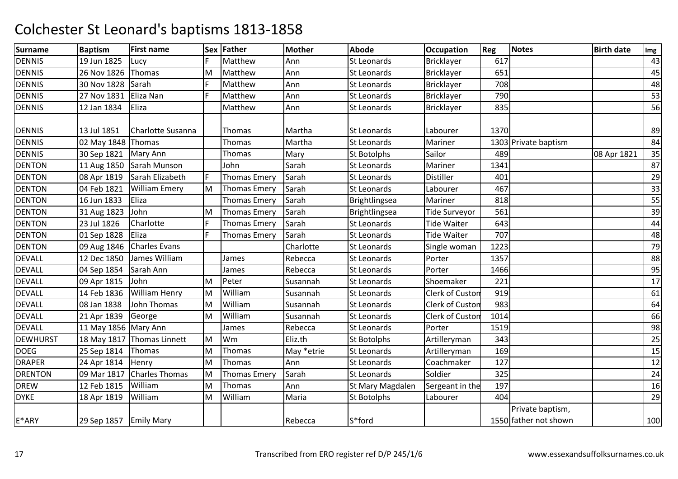| <b>Surname</b>  | <b>Baptism</b>           | <b>First name</b>          |    | Sex Father          | <b>Mother</b> | <b>Abode</b>       | <b>Occupation</b>      | Reg  | <b>Notes</b>                              | <b>Birth date</b> | Img |
|-----------------|--------------------------|----------------------------|----|---------------------|---------------|--------------------|------------------------|------|-------------------------------------------|-------------------|-----|
| <b>DENNIS</b>   | 19 Jun 1825              | Lucy                       |    | Matthew             | Ann           | <b>St Leonards</b> | Bricklayer             | 617  |                                           |                   | 43  |
| <b>DENNIS</b>   | 26 Nov 1826              | Thomas                     | M  | Matthew             | Ann           | <b>St Leonards</b> | Bricklayer             | 651  |                                           |                   | 45  |
| <b>DENNIS</b>   | 30 Nov 1828              | Sarah                      | F. | Matthew             | Ann           | St Leonards        | Bricklayer             | 708  |                                           |                   | 48  |
| <b>DENNIS</b>   | 27 Nov 1831              | Eliza Nan                  | F. | Matthew             | Ann           | St Leonards        | Bricklayer             | 790  |                                           |                   | 53  |
| <b>DENNIS</b>   | 12 Jan 1834              | Eliza                      |    | Matthew             | Ann           | St Leonards        | Bricklayer             | 835  |                                           |                   | 56  |
| <b>DENNIS</b>   | 13 Jul 1851              | <b>Charlotte Susanna</b>   |    | Thomas              | Martha        | <b>St Leonards</b> | Labourer               | 1370 |                                           |                   | 89  |
| <b>DENNIS</b>   | 02 May 1848 Thomas       |                            |    | <b>Thomas</b>       | Martha        | St Leonards        | Mariner                |      | 1303 Private baptism                      |                   | 84  |
| <b>DENNIS</b>   | 30 Sep 1821              | Mary Ann                   |    | Thomas              | Mary          | <b>St Botolphs</b> | Sailor                 | 489  |                                           | 08 Apr 1821       | 35  |
| <b>DENTON</b>   | 11 Aug 1850              | Sarah Munson               |    | John                | Sarah         | St Leonards        | Mariner                | 1341 |                                           |                   | 87  |
| <b>DENTON</b>   | 08 Apr 1819              | Sarah Elizabeth            | F  | <b>Thomas Emery</b> | Sarah         | St Leonards        | Distiller              | 401  |                                           |                   | 29  |
| <b>DENTON</b>   | 04 Feb 1821              | <b>William Emery</b>       | M  | <b>Thomas Emery</b> | Sarah         | St Leonards        | Labourer               | 467  |                                           |                   | 33  |
| <b>DENTON</b>   | 16 Jun 1833              | Eliza                      |    | <b>Thomas Emery</b> | Sarah         | Brightlingsea      | Mariner                | 818  |                                           |                   | 55  |
| <b>DENTON</b>   | 31 Aug 1823              | John                       | M  | <b>Thomas Emery</b> | Sarah         | Brightlingsea      | <b>Tide Surveyor</b>   | 561  |                                           |                   | 39  |
| <b>DENTON</b>   | 23 Jul 1826              | Charlotte                  | F  | <b>Thomas Emery</b> | Sarah         | <b>St Leonards</b> | <b>Tide Waiter</b>     | 643  |                                           |                   | 44  |
| <b>DENTON</b>   | 01 Sep 1828              | Eliza                      | F. | <b>Thomas Emery</b> | Sarah         | St Leonards        | <b>Tide Waiter</b>     | 707  |                                           |                   | 48  |
| <b>DENTON</b>   | 09 Aug 1846              | <b>Charles Evans</b>       |    |                     | Charlotte     | St Leonards        | Single woman           | 1223 |                                           |                   | 79  |
| <b>DEVALL</b>   | 12 Dec 1850              | James William              |    | James               | Rebecca       | St Leonards        | Porter                 | 1357 |                                           |                   | 88  |
| <b>DEVALL</b>   | 04 Sep 1854              | Sarah Ann                  |    | James               | Rebecca       | <b>St Leonards</b> | Porter                 | 1466 |                                           |                   | 95  |
| <b>DEVALL</b>   | 09 Apr 1815              | John                       | M  | Peter               | Susannah      | St Leonards        | Shoemaker              | 221  |                                           |                   | 17  |
| <b>DEVALL</b>   | 14 Feb 1836              | William Henry              | M  | William             | Susannah      | St Leonards        | Clerk of Custon        | 919  |                                           |                   | 61  |
| <b>DEVALL</b>   | 08 Jan 1838              | John Thomas                | M  | William             | Susannah      | <b>St Leonards</b> | <b>Clerk of Custon</b> | 983  |                                           |                   | 64  |
| <b>DEVALL</b>   | 21 Apr 1839              | George                     | M  | William             | Susannah      | St Leonards        | Clerk of Custon        | 1014 |                                           |                   | 66  |
| <b>DEVALL</b>   | 11 May 1856 Mary Ann     |                            |    | James               | Rebecca       | St Leonards        | Porter                 | 1519 |                                           |                   | 98  |
| <b>DEWHURST</b> |                          | 18 May 1817 Thomas Linnett | M  | Wm                  | Eliz.th       | <b>St Botolphs</b> | Artilleryman           | 343  |                                           |                   | 25  |
| <b>DOEG</b>     | 25 Sep 1814              | Thomas                     | M  | Thomas              | May *etrie    | St Leonards        | Artilleryman           | 169  |                                           |                   | 15  |
| <b>DRAPER</b>   | 24 Apr 1814              | Henry                      | M  | Thomas              | Ann           | St Leonards        | Coachmaker             | 127  |                                           |                   | 12  |
| <b>DRENTON</b>  | 09 Mar 1817              | <b>Charles Thomas</b>      | M  | <b>Thomas Emery</b> | Sarah         | <b>St Leonards</b> | Soldier                | 325  |                                           |                   | 24  |
| <b>DREW</b>     | 12 Feb 1815              | William                    | M  | Thomas              | Ann           | St Mary Magdalen   | Sergeant in the        | 197  |                                           |                   | 16  |
| <b>DYKE</b>     | 18 Apr 1819              | William                    | M  | William             | Maria         | <b>St Botolphs</b> | Labourer               | 404  |                                           |                   | 29  |
| E*ARY           | 29 Sep 1857   Emily Mary |                            |    |                     | Rebecca       | S*ford             |                        |      | Private baptism,<br>1550 father not shown |                   | 100 |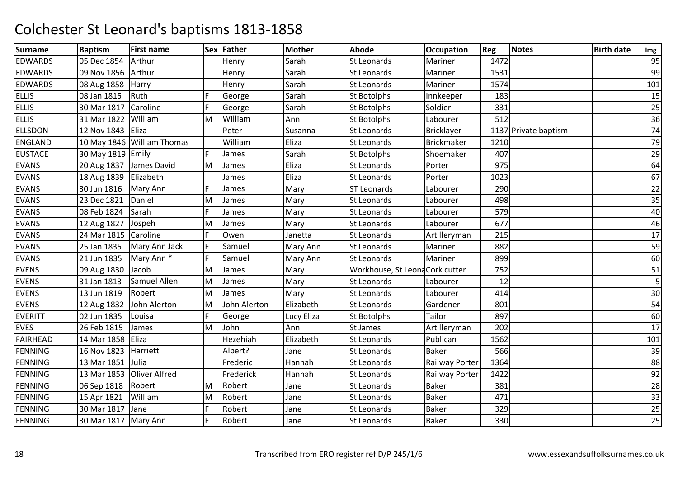| <b>Surname</b>  | <b>Baptism</b>          | <b>First name</b>          |    | Sex Father   | <b>Mother</b> | <b>Abode</b>                    | <b>Occupation</b> | <b>Reg</b> | Notes                | <b>Birth date</b> | Img |
|-----------------|-------------------------|----------------------------|----|--------------|---------------|---------------------------------|-------------------|------------|----------------------|-------------------|-----|
| <b>EDWARDS</b>  | 05 Dec 1854             | Arthur                     |    | Henry        | Sarah         | <b>St Leonards</b>              | Mariner           | 1472       |                      |                   | 95  |
| <b>EDWARDS</b>  | 09 Nov 1856             | Arthur                     |    | Henry        | Sarah         | St Leonards                     | Mariner           | 1531       |                      |                   | 99  |
| <b>EDWARDS</b>  | 08 Aug 1858             | Harry                      |    | Henry        | Sarah         | St Leonards                     | Mariner           | 1574       |                      |                   | 101 |
| <b>ELLIS</b>    | 08 Jan 1815             | Ruth                       | F  | George       | Sarah         | <b>St Botolphs</b>              | Innkeeper         | 183        |                      |                   | 15  |
| <b>ELLIS</b>    | 30 Mar 1817             | Caroline                   | F. | George       | Sarah         | St Botolphs                     | Soldier           | 331        |                      |                   | 25  |
| <b>ELLIS</b>    | 31 Mar 1822             | William                    | M  | William      | Ann           | <b>St Botolphs</b>              | Labourer          | 512        |                      |                   | 36  |
| <b>ELLSDON</b>  | 12 Nov 1843             | Eliza                      |    | Peter        | Susanna       | St Leonards                     | Bricklayer        |            | 1137 Private baptism |                   | 74  |
| <b>ENGLAND</b>  |                         | 10 May 1846 William Thomas |    | William      | Eliza         | <b>St Leonards</b>              | Brickmaker        | 1210       |                      |                   | 79  |
| <b>EUSTACE</b>  | 30 May 1819 Emily       |                            | F  | James        | Sarah         | St Botolphs                     | Shoemaker         | 407        |                      |                   | 29  |
| <b>EVANS</b>    |                         | 20 Aug 1837 James David    | М  | James        | Eliza         | St Leonards                     | Porter            | 975        |                      |                   | 64  |
| <b>EVANS</b>    | 18 Aug 1839   Elizabeth |                            |    | James        | Eliza         | St Leonards                     | Porter            | 1023       |                      |                   | 67  |
| <b>EVANS</b>    | 30 Jun 1816             | Mary Ann                   | F  | James        | Mary          | <b>ST Leonards</b>              | Labourer          | 290        |                      |                   | 22  |
| <b>EVANS</b>    | 23 Dec 1821             | Daniel                     | M  | James        | Mary          | St Leonards                     | Labourer          | 498        |                      |                   | 35  |
| <b>EVANS</b>    | 08 Feb 1824             | Sarah                      | F. | James        | Mary          | <b>St Leonards</b>              | Labourer          | 579        |                      |                   | 40  |
| <b>EVANS</b>    | 12 Aug 1827             | Jospeh                     | M  | James        | Mary          | St Leonards                     | Labourer          | 677        |                      |                   | 46  |
| <b>EVANS</b>    | 24 Mar 1815             | Caroline                   | F  | Owen         | Janetta       | St Leonards                     | Artilleryman      | 215        |                      |                   | 17  |
| <b>EVANS</b>    | 25 Jan 1835             | Mary Ann Jack              | F. | Samuel       | Mary Ann      | St Leonards                     | Mariner           | 882        |                      |                   | 59  |
| <b>EVANS</b>    | 21 Jun 1835             | Mary Ann <sup>*</sup>      | F. | Samuel       | Mary Ann      | St Leonards                     | Mariner           | 899        |                      |                   | 60  |
| <b>EVENS</b>    | 09 Aug 1830             | Jacob                      | M  | James        | Mary          | Workhouse, St Leona Cork cutter |                   | 752        |                      |                   | 51  |
| <b>EVENS</b>    | 31 Jan 1813             | Samuel Allen               | M  | James        | Mary          | St Leonards                     | Labourer          | 12         |                      |                   | 5   |
| <b>EVENS</b>    | 13 Jun 1819             | Robert                     | M  | James        | Mary          | St Leonards                     | Labourer          | 414        |                      |                   | 30  |
| <b>EVENS</b>    | 12 Aug 1832             | John Alerton               | M  | John Alerton | Elizabeth     | <b>St Leonards</b>              | Gardener          | 801        |                      |                   | 54  |
| <b>EVERITT</b>  | 02 Jun 1835             | Louisa                     | F. | George       | Lucy Eliza    | <b>St Botolphs</b>              | Tailor            | 897        |                      |                   | 60  |
| <b>EVES</b>     | 26 Feb 1815             | James                      | M  | John         | Ann           | St James                        | Artilleryman      | 202        |                      |                   | 17  |
| <b>FAIRHEAD</b> | 14 Mar 1858   Eliza     |                            |    | Hezehiah     | Elizabeth     | St Leonards                     | Publican          | 1562       |                      |                   | 101 |
| <b>FENNING</b>  | 16 Nov 1823             | Harriett                   |    | Albert?      | Jane          | <b>St Leonards</b>              | <b>Baker</b>      | 566        |                      |                   | 39  |
| <b>FENNING</b>  | 13 Mar 1851             | Julia                      |    | Frederic     | Hannah        | <b>St Leonards</b>              | Railway Porter    | 1364       |                      |                   | 88  |
| <b>FENNING</b>  | 13 Mar 1853             | Oliver Alfred              |    | Frederick    | Hannah        | St Leonards                     | Railway Porter    | 1422       |                      |                   | 92  |
| <b>FENNING</b>  | 06 Sep 1818             | Robert                     | M  | Robert       | Jane          | St Leonards                     | <b>Baker</b>      | 381        |                      |                   | 28  |
| <b>FENNING</b>  | 15 Apr 1821             | William                    | M  | Robert       | Jane          | St Leonards                     | <b>Baker</b>      | 471        |                      |                   | 33  |
| <b>FENNING</b>  | 30 Mar 1817             | Jane                       | F  | Robert       | Jane          | St Leonards                     | <b>Baker</b>      | 329        |                      |                   | 25  |
| <b>FENNING</b>  | 30 Mar 1817   Mary Ann  |                            | F. | Robert       | Jane          | St Leonards                     | <b>Baker</b>      | 330        |                      |                   | 25  |
|                 |                         |                            |    |              |               |                                 |                   |            |                      |                   |     |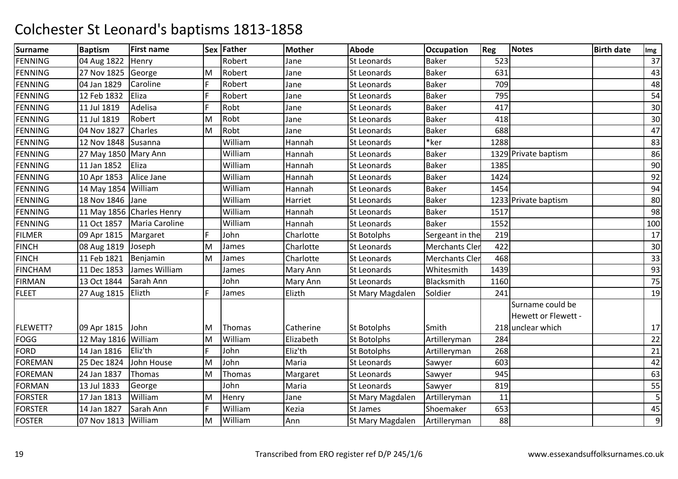| <b>Surname</b> | <b>Baptism</b>       | <b>First name</b>         |    | Sex Father | <b>Mother</b> | <b>Abode</b>       | <b>Occupation</b>     | <b>Reg</b> | <b>Notes</b>         | <b>Birth date</b> | Img |
|----------------|----------------------|---------------------------|----|------------|---------------|--------------------|-----------------------|------------|----------------------|-------------------|-----|
| <b>FENNING</b> | 04 Aug 1822          | Henry                     |    | Robert     | Jane          | <b>St Leonards</b> | <b>Baker</b>          | 523        |                      |                   | 37  |
| <b>FENNING</b> | 27 Nov 1825          | George                    | M  | Robert     | Jane          | St Leonards        | <b>Baker</b>          | 631        |                      |                   | 43  |
| <b>FENNING</b> | 04 Jan 1829          | Caroline                  | F. | Robert     | Jane          | St Leonards        | <b>Baker</b>          | 709        |                      |                   | 48  |
| <b>FENNING</b> | 12 Feb 1832          | Eliza                     | F  | Robert     | Jane          | St Leonards        | <b>Baker</b>          | 795        |                      |                   | 54  |
| <b>FENNING</b> | 11 Jul 1819          | Adelisa                   | F  | Robt       | Jane          | St Leonards        | Baker                 | 417        |                      |                   | 30  |
| <b>FENNING</b> | 11 Jul 1819          | Robert                    | M  | Robt       | Jane          | St Leonards        | <b>Baker</b>          | 418        |                      |                   | 30  |
| <b>FENNING</b> | 04 Nov 1827          | Charles                   | M  | Robt       | Jane          | <b>St Leonards</b> | <b>Baker</b>          | 688        |                      |                   | 47  |
| <b>FENNING</b> | 12 Nov 1848          | Susanna                   |    | William    | Hannah        | <b>St Leonards</b> | *ker                  | 1288       |                      |                   | 83  |
| <b>FENNING</b> | 27 May 1850 Mary Ann |                           |    | William    | Hannah        | St Leonards        | <b>Baker</b>          |            | 1329 Private baptism |                   | 86  |
| <b>FENNING</b> | 11 Jan 1852          | Eliza                     |    | William    | Hannah        | St Leonards        | <b>Baker</b>          | 1385       |                      |                   | 90  |
| <b>FENNING</b> | 10 Apr 1853          | Alice Jane                |    | William    | Hannah        | <b>St Leonards</b> | <b>Baker</b>          | 1424       |                      |                   | 92  |
| <b>FENNING</b> | 14 May 1854 William  |                           |    | William    | Hannah        | <b>St Leonards</b> | <b>Baker</b>          | 1454       |                      |                   | 94  |
| <b>FENNING</b> | 18 Nov 1846          | Jane                      |    | William    | Harriet       | St Leonards        | <b>Baker</b>          |            | 1233 Private baptism |                   | 80  |
| <b>FENNING</b> |                      | 11 May 1856 Charles Henry |    | William    | Hannah        | <b>St Leonards</b> | <b>Baker</b>          | 1517       |                      |                   | 98  |
| <b>FENNING</b> | 11 Oct 1857          | Maria Caroline            |    | William    | Hannah        | St Leonards        | <b>Baker</b>          | 1552       |                      |                   | 100 |
| <b>FILMER</b>  | 09 Apr 1815          | Margaret                  | F. | John       | Charlotte     | <b>St Botolphs</b> | Sergeant in the       | 219        |                      |                   | 17  |
| <b>FINCH</b>   | 08 Aug 1819          | Joseph                    | M  | James      | Charlotte     | St Leonards        | <b>Merchants Cler</b> | 422        |                      |                   | 30  |
| <b>FINCH</b>   | 11 Feb 1821          | Benjamin                  | M  | James      | Charlotte     | <b>St Leonards</b> | <b>Merchants Cler</b> | 468        |                      |                   | 33  |
| <b>FINCHAM</b> | 11 Dec 1853          | James William             |    | James      | Mary Ann      | <b>St Leonards</b> | Whitesmith            | 1439       |                      |                   | 93  |
| <b>FIRMAN</b>  | 13 Oct 1844          | Sarah Ann                 |    | John       | Mary Ann      | St Leonards        | Blacksmith            | 1160       |                      |                   | 75  |
| <b>FLEET</b>   | 27 Aug 1815          | Elizth                    | F  | James      | Elizth        | St Mary Magdalen   | Soldier               | 241        |                      |                   | 19  |
|                |                      |                           |    |            |               |                    |                       |            | Surname could be     |                   |     |
|                |                      |                           |    |            |               |                    |                       |            | Hewett or Flewett -  |                   |     |
| FLEWETT?       | 09 Apr 1815          | John                      | M  | Thomas     | Catherine     | <b>St Botolphs</b> | Smith                 |            | 218 unclear which    |                   | 17  |
| FOGG           | 12 May 1816 William  |                           | M  | William    | Elizabeth     | St Botolphs        | Artilleryman          | 284        |                      |                   | 22  |
| <b>FORD</b>    | 14 Jan 1816          | Eliz'th                   | F  | John       | Eliz'th       | <b>St Botolphs</b> | Artilleryman          | 268        |                      |                   | 21  |
| <b>FOREMAN</b> | 25 Dec 1824          | John House                | M  | John       | Maria         | St Leonards        | Sawyer                | 603        |                      |                   | 42  |
| <b>FOREMAN</b> | 24 Jan 1837          | Thomas                    | M  | Thomas     | Margaret      | <b>St Leonards</b> | Sawyer                | 945        |                      |                   | 63  |
| <b>FORMAN</b>  | 13 Jul 1833          | George                    |    | John       | Maria         | St Leonards        | Sawyer                | 819        |                      |                   | 55  |
| <b>FORSTER</b> | 17 Jan 1813          | William                   | M  | Henry      | Jane          | St Mary Magdalen   | Artilleryman          | 11         |                      |                   | 5   |
| <b>FORSTER</b> | 14 Jan 1827          | Sarah Ann                 | F  | William    | Kezia         | <b>St James</b>    | Shoemaker             | 653        |                      |                   | 45  |
| <b>FOSTER</b>  | 07 Nov 1813          | William                   | M  | William    | Ann           | St Mary Magdalen   | Artilleryman          | 88         |                      |                   | 9   |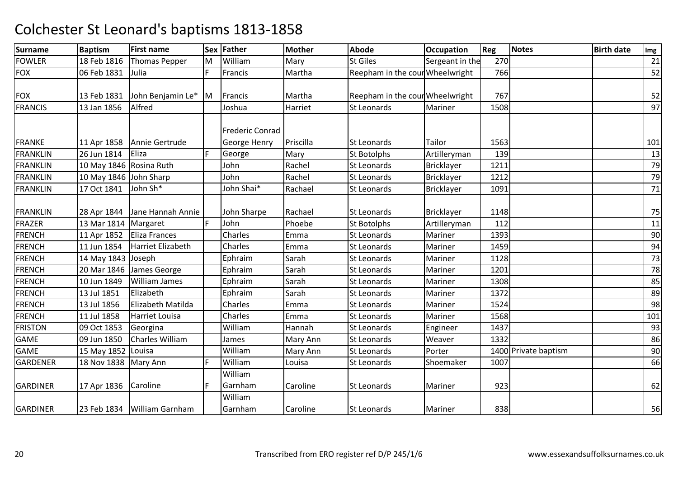| <b>Surname</b>  | <b>Baptism</b>          | <b>First name</b>             |    | Sex Father             | <b>Mother</b> | <b>Abode</b>                    | <b>Occupation</b> | Reg  | <b>Notes</b>         | <b>Birth date</b> | Img |
|-----------------|-------------------------|-------------------------------|----|------------------------|---------------|---------------------------------|-------------------|------|----------------------|-------------------|-----|
| <b>FOWLER</b>   | 18 Feb 1816             | <b>Thomas Pepper</b>          | ΙM | William                | Mary          | <b>St Giles</b>                 | Sergeant in the   | 270  |                      |                   | 21  |
| <b>FOX</b>      | 06 Feb 1831             | Julia                         | F. | Francis                | Martha        | Reepham in the cour Wheelwright |                   | 766  |                      |                   | 52  |
|                 |                         |                               |    |                        |               |                                 |                   |      |                      |                   |     |
| <b>FOX</b>      | 13 Feb 1831             | John Benjamin Le*             | Iм | Francis                | Martha        | Reepham in the cour Wheelwright |                   | 767  |                      |                   | 52  |
| <b>FRANCIS</b>  | 13 Jan 1856             | Alfred                        |    | Joshua                 | Harriet       | St Leonards                     | Mariner           | 1508 |                      |                   | 97  |
|                 |                         |                               |    | <b>Frederic Conrad</b> |               |                                 |                   |      |                      |                   |     |
| <b>FRANKE</b>   | 11 Apr 1858             | Annie Gertrude                |    | George Henry           | Priscilla     | <b>St Leonards</b>              | Tailor            | 1563 |                      |                   | 101 |
| <b>FRANKLIN</b> | 26 Jun 1814             | Eliza                         | E  | George                 | Mary          | <b>St Botolphs</b>              | Artilleryman      | 139  |                      |                   | 13  |
| <b>FRANKLIN</b> | 10 May 1846 Rosina Ruth |                               |    | John                   | Rachel        | <b>St Leonards</b>              | <b>Bricklayer</b> | 1211 |                      |                   | 79  |
| <b>FRANKLIN</b> | 10 May 1846 John Sharp  |                               |    | John                   | Rachel        | St Leonards                     | <b>Bricklayer</b> | 1212 |                      |                   | 79  |
| <b>FRANKLIN</b> | 17 Oct 1841             | John Sh*                      |    | John Shai*             | Rachael       | <b>St Leonards</b>              | <b>Bricklayer</b> | 1091 |                      |                   | 71  |
| <b>FRANKLIN</b> | 28 Apr 1844             | Jane Hannah Annie             |    | John Sharpe            | Rachael       | <b>St Leonards</b>              | <b>Bricklayer</b> | 1148 |                      |                   | 75  |
| <b>FRAZER</b>   | 13 Mar 1814             | Margaret                      |    | John                   | Phoebe        | <b>St Botolphs</b>              | Artilleryman      | 112  |                      |                   | 11  |
| <b>FRENCH</b>   | 11 Apr 1852             | Eliza Frances                 |    | Charles                | Emma          | <b>St Leonards</b>              | Mariner           | 1393 |                      |                   | 90  |
| <b>FRENCH</b>   | 11 Jun 1854             | <b>Harriet Elizabeth</b>      |    | Charles                | Emma          | <b>St Leonards</b>              | Mariner           | 1459 |                      |                   | 94  |
| <b>FRENCH</b>   | 14 May 1843 Joseph      |                               |    | Ephraim                | Sarah         | <b>St Leonards</b>              | Mariner           | 1128 |                      |                   | 73  |
| <b>FRENCH</b>   | 20 Mar 1846             | James George                  |    | Ephraim                | Sarah         | St Leonards                     | Mariner           | 1201 |                      |                   | 78  |
| <b>FRENCH</b>   | 10 Jun 1849             | <b>William James</b>          |    | Ephraim                | Sarah         | <b>St Leonards</b>              | Mariner           | 1308 |                      |                   | 85  |
| <b>FRENCH</b>   | 13 Jul 1851             | Elizabeth                     |    | Ephraim                | Sarah         | <b>St Leonards</b>              | Mariner           | 1372 |                      |                   | 89  |
| <b>FRENCH</b>   | 13 Jul 1856             | Elizabeth Matilda             |    | Charles                | Emma          | <b>St Leonards</b>              | Mariner           | 1524 |                      |                   | 98  |
| <b>FRENCH</b>   | 11 Jul 1858             | Harriet Louisa                |    | Charles                | Emma          | <b>St Leonards</b>              | Mariner           | 1568 |                      |                   | 101 |
| <b>FRISTON</b>  | 09 Oct 1853             | Georgina                      |    | William                | Hannah        | <b>St Leonards</b>              | Engineer          | 1437 |                      |                   | 93  |
| <b>GAME</b>     | 09 Jun 1850             | <b>Charles William</b>        |    | James                  | Mary Ann      | <b>St Leonards</b>              | Weaver            | 1332 |                      |                   | 86  |
| <b>GAME</b>     | 15 May 1852             | Louisa                        |    | William                | Mary Ann      | <b>St Leonards</b>              | Porter            |      | 1400 Private baptism |                   | 90  |
| <b>GARDENER</b> | 18 Nov 1838             | Mary Ann                      |    | William                | Louisa        | <b>St Leonards</b>              | Shoemaker         | 1007 |                      |                   | 66  |
| <b>GARDINER</b> | 17 Apr 1836             | Caroline                      | F  | William<br>Garnham     | Caroline      | <b>St Leonards</b>              | Mariner           | 923  |                      |                   | 62  |
| <b>GARDINER</b> |                         | 23 Feb 1834   William Garnham |    | William<br>Garnham     | Caroline      | <b>St Leonards</b>              | Mariner           | 838  |                      |                   | 56  |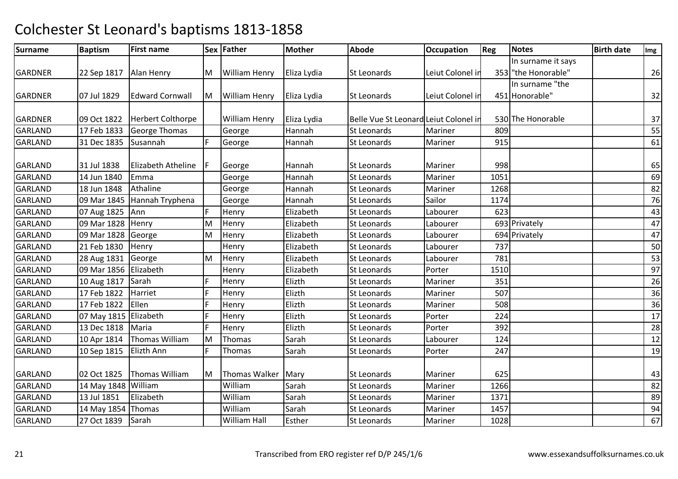| Surname        | <b>Baptism</b>        | <b>First name</b>        |    | Sex Father           | Mother      | <b>Abode</b>                          | <b>Occupation</b> | Reg  | <b>Notes</b>        | <b>Birth date</b> | Img |
|----------------|-----------------------|--------------------------|----|----------------------|-------------|---------------------------------------|-------------------|------|---------------------|-------------------|-----|
|                |                       |                          |    |                      |             |                                       |                   |      | In surname it says  |                   |     |
| <b>GARDNER</b> | 22 Sep 1817           | Alan Henry               | M  | <b>William Henry</b> | Eliza Lydia | <b>St Leonards</b>                    | Leiut Colonel in  |      | 353 "the Honorable" |                   | 26  |
|                |                       |                          |    |                      |             |                                       |                   |      | In surname "the     |                   |     |
| <b>GARDNER</b> | 07 Jul 1829           | <b>Edward Cornwall</b>   | Iм | <b>William Henry</b> | Eliza Lydia | <b>St Leonards</b>                    | Leiut Colonel in  |      | 451 Honorable"      |                   | 32  |
|                |                       |                          |    |                      |             |                                       |                   |      |                     |                   |     |
| <b>GARDNER</b> | 09 Oct 1822           | <b>Herbert Colthorpe</b> |    | <b>William Henry</b> | Eliza Lydia | Belle Vue St Leonard Leiut Colonel in |                   |      | 530 The Honorable   |                   | 37  |
| <b>GARLAND</b> | 17 Feb 1833           | <b>George Thomas</b>     |    | George               | Hannah      | <b>St Leonards</b>                    | Mariner           | 809  |                     |                   | 55  |
| <b>GARLAND</b> | 31 Dec 1835           | Susannah                 | F  | George               | Hannah      | <b>St Leonards</b>                    | Mariner           | 915  |                     |                   | 61  |
| <b>GARLAND</b> | 31 Jul 1838           | Elizabeth Atheline       |    | George               | Hannah      | <b>St Leonards</b>                    | Mariner           | 998  |                     |                   | 65  |
| <b>GARLAND</b> | 14 Jun 1840           | Emma                     |    | George               | Hannah      | <b>St Leonards</b>                    | Mariner           | 1051 |                     |                   | 69  |
| <b>GARLAND</b> | 18 Jun 1848           | Athaline                 |    | George               | Hannah      | <b>St Leonards</b>                    | Mariner           | 1268 |                     |                   | 82  |
| <b>GARLAND</b> | 09 Mar 1845           | Hannah Tryphena          |    | George               | Hannah      | <b>St Leonards</b>                    | Sailor            | 1174 |                     |                   | 76  |
| <b>GARLAND</b> | 07 Aug 1825           | Ann                      | F  | Henry                | Elizabeth   | <b>St Leonards</b>                    | Labourer          | 623  |                     |                   | 43  |
| <b>GARLAND</b> | 09 Mar 1828 Henry     |                          | M  | Henry                | Elizabeth   | St Leonards                           | Labourer          |      | 693 Privately       |                   | 47  |
| <b>GARLAND</b> | 09 Mar 1828           | George                   | M  | Henry                | Elizabeth   | St Leonards                           | Labourer          |      | 694 Privately       |                   | 47  |
| <b>GARLAND</b> | 21 Feb 1830           | Henry                    |    | Henry                | Elizabeth   | <b>St Leonards</b>                    | Labourer          | 737  |                     |                   | 50  |
| <b>GARLAND</b> | 28 Aug 1831           | George                   | M  | Henry                | Elizabeth   | <b>St Leonards</b>                    | Labourer          | 781  |                     |                   | 53  |
| <b>GARLAND</b> | 09 Mar 1856           | Elizabeth                |    | Henry                | Elizabeth   | <b>St Leonards</b>                    | Porter            | 1510 |                     |                   | 97  |
| <b>GARLAND</b> | 10 Aug 1817           | Sarah                    | F  | Henry                | Elizth      | St Leonards                           | Mariner           | 351  |                     |                   | 26  |
| <b>GARLAND</b> | 17 Feb 1822           | Harriet                  | F  | Henry                | Elizth      | <b>St Leonards</b>                    | Mariner           | 507  |                     |                   | 36  |
| <b>GARLAND</b> | 17 Feb 1822           | Ellen                    | F  | Henry                | Elizth      | <b>St Leonards</b>                    | Mariner           | 508  |                     |                   | 36  |
| <b>GARLAND</b> | 07 May 1815 Elizabeth |                          | F  | Henry                | Elizth      | <b>St Leonards</b>                    | Porter            | 224  |                     |                   | 17  |
| <b>GARLAND</b> | 13 Dec 1818           | Maria                    | F  | Henry                | Elizth      | St Leonards                           | Porter            | 392  |                     |                   | 28  |
| <b>GARLAND</b> | 10 Apr 1814           | <b>Thomas William</b>    | M  | Thomas               | Sarah       | <b>St Leonards</b>                    | Labourer          | 124  |                     |                   | 12  |
| <b>GARLAND</b> | 10 Sep 1815           | Elizth Ann               | F  | Thomas               | Sarah       | St Leonards                           | Porter            | 247  |                     |                   | 19  |
| <b>GARLAND</b> | 02 Oct 1825           | <b>Thomas William</b>    | M  | Thomas Walker   Mary |             | <b>St Leonards</b>                    | Mariner           | 625  |                     |                   | 43  |
| GARLAND        | 14 May 1848 William   |                          |    | William              | Sarah       | St Leonards                           | Mariner           | 1266 |                     |                   | 82  |
| <b>GARLAND</b> | 13 Jul 1851           | Elizabeth                |    | William              | Sarah       | <b>St Leonards</b>                    | Mariner           | 1371 |                     |                   | 89  |
| <b>GARLAND</b> | 14 May 1854           | Thomas                   |    | William              | Sarah       | St Leonards                           | Mariner           | 1457 |                     |                   | 94  |
| <b>GARLAND</b> | 27 Oct 1839           | Sarah                    |    | William Hall         | Esther      | St Leonards                           | Mariner           | 1028 |                     |                   | 67  |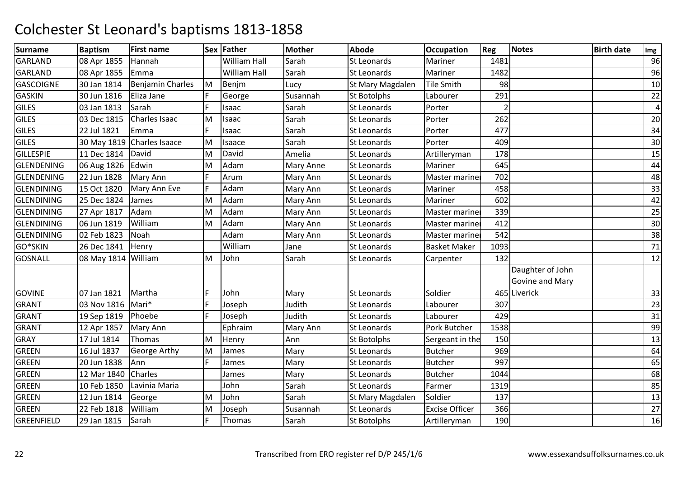| <b>Surname</b>    | <b>Baptism</b> | <b>First name</b>       |    | Sex Father          | <b>Mother</b>    | <b>Abode</b>       | <b>Occupation</b>     | <b>Reg</b> | Notes            | <b>Birth date</b> | Img            |
|-------------------|----------------|-------------------------|----|---------------------|------------------|--------------------|-----------------------|------------|------------------|-------------------|----------------|
| <b>GARLAND</b>    | 08 Apr 1855    | Hannah                  |    | William Hall        | Sarah            | St Leonards        | Mariner               | 1481       |                  |                   | 96             |
| <b>GARLAND</b>    | 08 Apr 1855    | Emma                    |    | <b>William Hall</b> | Sarah            | St Leonards        | Mariner               | 1482       |                  |                   | 96             |
| <b>GASCOIGNE</b>  | 30 Jan 1814    | <b>Benjamin Charles</b> | M  | Benjm               | Lucy             | St Mary Magdalen   | <b>Tile Smith</b>     | 98         |                  |                   | 10             |
| <b>GASKIN</b>     | 30 Jun 1816    | Eliza Jane              | F  | George              | Susannah         | St Botolphs        | Labourer              | 291        |                  |                   | 22             |
| <b>GILES</b>      | 03 Jan 1813    | Sarah                   |    | Isaac               | Sarah            | St Leonards        | Porter                |            |                  |                   | $\overline{a}$ |
| <b>GILES</b>      | 03 Dec 1815    | Charles Isaac           | M  | Isaac               | Sarah            | <b>St Leonards</b> | Porter                | 262        |                  |                   | 20             |
| <b>GILES</b>      | 22 Jul 1821    | Emma                    | F  | Isaac               | Sarah            | <b>St Leonards</b> | Porter                | 477        |                  |                   | 34             |
| <b>GILES</b>      | 30 May 1819    | <b>Charles Isaace</b>   | M  | Isaace              | Sarah            | St Leonards        | Porter                | 409        |                  |                   | 30             |
| <b>GILLESPIE</b>  | 11 Dec 1814    | David                   | M  | David               | Amelia           | St Leonards        | Artilleryman          | 178        |                  |                   | 15             |
| <b>GLENDENING</b> | 06 Aug 1826    | Edwin                   | M  | Adam                | <b>Mary Anne</b> | <b>St Leonards</b> | Mariner               | 645        |                  |                   | 44             |
| <b>GLENDENING</b> | 22 Jun 1828    | Mary Ann                | F. | Arum                | Mary Ann         | <b>St Leonards</b> | Master marine         | 702        |                  |                   | 48             |
| <b>GLENDINING</b> | 15 Oct 1820    | Mary Ann Eve            | F  | Adam                | Mary Ann         | <b>St Leonards</b> | Mariner               | 458        |                  |                   | 33             |
| <b>GLENDINING</b> | 25 Dec 1824    | James                   | M  | Adam                | Mary Ann         | St Leonards        | Mariner               | 602        |                  |                   | 42             |
| <b>GLENDINING</b> | 27 Apr 1817    | Adam                    | M  | Adam                | Mary Ann         | <b>St Leonards</b> | Master mariner        | 339        |                  |                   | 25             |
| <b>GLENDINING</b> | 06 Jun 1819    | William                 | M  | Adam                | Mary Ann         | <b>St Leonards</b> | Master mariner        | 412        |                  |                   | 30             |
| <b>GLENDINING</b> | 02 Feb 1823    | Noah                    |    | Adam                | Mary Ann         | St Leonards        | Master mariner        | 542        |                  |                   | 38             |
| GO*SKIN           | 26 Dec 1841    | Henry                   |    | William             | Jane             | <b>St Leonards</b> | <b>Basket Maker</b>   | 1093       |                  |                   | 71             |
| <b>GOSNALL</b>    | 08 May 1814    | William                 | M  | John                | Sarah            | <b>St Leonards</b> | Carpenter             | 132        |                  |                   | 12             |
|                   |                |                         |    |                     |                  |                    |                       |            | Daughter of John |                   |                |
|                   |                |                         |    |                     |                  |                    |                       |            | Govine and Mary  |                   |                |
| <b>GOVINE</b>     | 07 Jan 1821    | Martha                  | F  | John                | Mary             | <b>St Leonards</b> | Soldier               |            | 465 Liverick     |                   | 33             |
| <b>GRANT</b>      | 03 Nov 1816    | Mari*                   | F  | Joseph              | Judith           | <b>St Leonards</b> | Labourer              | 307        |                  |                   | 23             |
| <b>GRANT</b>      | 19 Sep 1819    | Phoebe                  | F  | Joseph              | Judith           | <b>St Leonards</b> | Labourer              | 429        |                  |                   | 31             |
| <b>GRANT</b>      | 12 Apr 1857    | Mary Ann                |    | Ephraim             | Mary Ann         | <b>St Leonards</b> | Pork Butcher          | 1538       |                  |                   | 99             |
| GRAY              | 17 Jul 1814    | Thomas                  | M  | Henry               | Ann              | <b>St Botolphs</b> | Sergeant in the       | 150        |                  |                   | 13             |
| <b>GREEN</b>      | 16 Jul 1837    | George Arthy            | M  | James               | Mary             | St Leonards        | <b>Butcher</b>        | 969        |                  |                   | 64             |
| <b>GREEN</b>      | 20 Jun 1838    | Ann                     | F  | James               | Mary             | St Leonards        | <b>Butcher</b>        | 997        |                  |                   | 65             |
| <b>GREEN</b>      | 12 Mar 1840    | Charles                 |    | James               | Mary             | St Leonards        | <b>Butcher</b>        | 1044       |                  |                   | 68             |
| <b>GREEN</b>      | 10 Feb 1850    | Lavinia Maria           |    | John                | Sarah            | St Leonards        | Farmer                | 1319       |                  |                   | 85             |
| <b>GREEN</b>      | 12 Jun 1814    | George                  | M  | John                | Sarah            | St Mary Magdalen   | Soldier               | 137        |                  |                   | 13             |
| <b>GREEN</b>      | 22 Feb 1818    | William                 | M  | Joseph              | Susannah         | St Leonards        | <b>Excise Officer</b> | 366        |                  |                   | 27             |
| <b>GREENFIELD</b> | 29 Jan 1815    | Sarah                   | F. | Thomas              | Sarah            | St Botolphs        | Artilleryman          | 190        |                  |                   | 16             |
|                   |                |                         |    |                     |                  |                    |                       |            |                  |                   |                |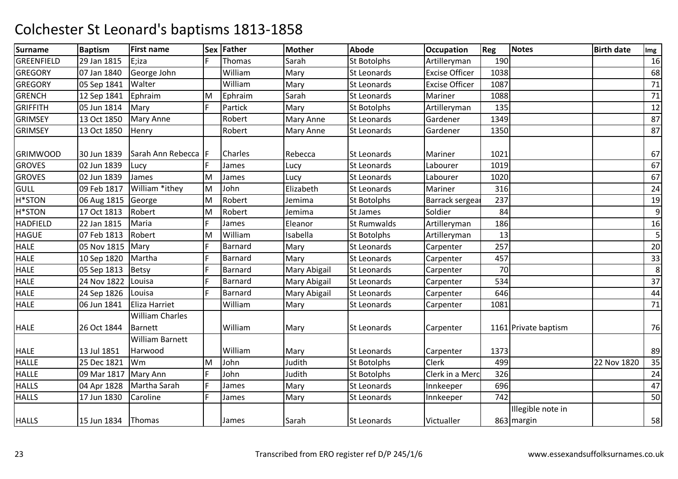| <b>Surname</b>    | <b>Baptism</b>       | <b>First name</b>                        |           | Sex Father     | <b>Mother</b> | <b>Abode</b>       | <b>Occupation</b>     | Reg  | <b>Notes</b>                    | <b>Birth date</b> | Img |
|-------------------|----------------------|------------------------------------------|-----------|----------------|---------------|--------------------|-----------------------|------|---------------------------------|-------------------|-----|
| <b>GREENFIELD</b> | 29 Jan 1815          | E;iza                                    |           | Thomas         | Sarah         | St Botolphs        | Artilleryman          | 190  |                                 |                   | 16  |
| <b>GREGORY</b>    | 07 Jan 1840          | George John                              |           | William        | Mary          | St Leonards        | <b>Excise Officer</b> | 1038 |                                 |                   | 68  |
| <b>GREGORY</b>    | 05 Sep 1841          | Walter                                   |           | William        | Mary          | <b>St Leonards</b> | <b>Excise Officer</b> | 1087 |                                 |                   | 71  |
| <b>GRENCH</b>     | 12 Sep 1841          | Ephraim                                  | M         | Ephraim        | Sarah         | <b>St Leonards</b> | Mariner               | 1088 |                                 |                   | 71  |
| <b>GRIFFITH</b>   | 05 Jun 1814          | Mary                                     | F.        | Partick        | Mary          | St Botolphs        | Artilleryman          | 135  |                                 |                   | 12  |
| <b>GRIMSEY</b>    | 13 Oct 1850          | <b>Mary Anne</b>                         |           | Robert         | Mary Anne     | <b>St Leonards</b> | Gardener              | 1349 |                                 |                   | 87  |
| <b>GRIMSEY</b>    | 13 Oct 1850          | Henry                                    |           | Robert         | Mary Anne     | <b>St Leonards</b> | Gardener              | 1350 |                                 |                   | 87  |
| <b>GRIMWOOD</b>   | 30 Jun 1839          | Sarah Ann Rebecca                        | <b>IF</b> | <b>Charles</b> | Rebecca       | <b>St Leonards</b> | Mariner               | 1021 |                                 |                   | 67  |
| <b>GROVES</b>     | 02 Jun 1839          | Lucy                                     |           | James          | Lucy          | St Leonards        | Labourer              | 1019 |                                 |                   | 67  |
| <b>GROVES</b>     | 02 Jun 1839          | James                                    | M         | James          | Lucy          | St Leonards        | Labourer              | 1020 |                                 |                   | 67  |
| <b>GULL</b>       | 09 Feb 1817          | William *ithey                           | M         | John           | Elizabeth     | <b>St Leonards</b> | Mariner               | 316  |                                 |                   | 24  |
| H*STON            | 06 Aug 1815          | George                                   | M         | Robert         | Jemima        | <b>St Botolphs</b> | Barrack sergea        | 237  |                                 |                   | 19  |
| H*STON            | 17 Oct 1813          | Robert                                   | M         | Robert         | Jemima        | St James           | Soldier               | 84   |                                 |                   | 9   |
| <b>HADFIELD</b>   | 22 Jan 1815          | Maria                                    | F         | James          | Eleanor       | <b>St Rumwalds</b> | Artilleryman          | 186  |                                 |                   | 16  |
| <b>HAGUE</b>      | 07 Feb 1813          | Robert                                   | M         | William        | Isabella      | St Botolphs        | Artilleryman          | 13   |                                 |                   | 5   |
| <b>HALE</b>       | 05 Nov 1815          | Mary                                     | F         | Barnard        | Mary          | St Leonards        | Carpenter             | 257  |                                 |                   | 20  |
| <b>HALE</b>       | 10 Sep 1820          | Martha                                   | F         | Barnard        | Mary          | <b>St Leonards</b> | Carpenter             | 457  |                                 |                   | 33  |
| HALE              | 05 Sep 1813          | <b>Betsy</b>                             | F         | Barnard        | Mary Abigail  | <b>St Leonards</b> | Carpenter             | 70   |                                 |                   | 8   |
| <b>HALE</b>       | 24 Nov 1822          | Louisa                                   | F         | Barnard        | Mary Abigail  | St Leonards        | Carpenter             | 534  |                                 |                   | 37  |
| <b>HALE</b>       | 24 Sep 1826          | Louisa                                   | E.        | Barnard        | Mary Abigail  | <b>St Leonards</b> | Carpenter             | 646  |                                 |                   | 44  |
| <b>HALE</b>       | 06 Jun 1841          | Eliza Harriet                            |           | William        | Mary          | <b>St Leonards</b> | Carpenter             | 1081 |                                 |                   | 71  |
| <b>HALE</b>       | 26 Oct 1844          | <b>William Charles</b><br><b>Barnett</b> |           | William        | Mary          | <b>St Leonards</b> | Carpenter             |      | 1161 Private baptism            |                   | 76  |
| <b>HALE</b>       | 13 Jul 1851          | <b>William Barnett</b><br>Harwood        |           | William        | Mary          | <b>St Leonards</b> | Carpenter             | 1373 |                                 |                   | 89  |
| <b>HALLE</b>      | 25 Dec 1821          | Wm                                       | M         | John           | Judith        | <b>St Botolphs</b> | Clerk                 | 499  |                                 | 22 Nov 1820       | 35  |
| <b>HALLE</b>      | 09 Mar 1817          | Mary Ann                                 | F         | John           | Judith        | <b>St Botolphs</b> | Clerk in a Merc       | 326  |                                 |                   | 24  |
| <b>HALLS</b>      | 04 Apr 1828          | Martha Sarah                             | F         | James          | Mary          | <b>St Leonards</b> | Innkeeper             | 696  |                                 |                   | 47  |
| <b>HALLS</b>      | 17 Jun 1830          | Caroline                                 | F         | James          | Mary          | <b>St Leonards</b> | Innkeeper             | 742  |                                 |                   | 50  |
| <b>HALLS</b>      | 15 Jun 1834   Thomas |                                          |           | James          | Sarah         | <b>St Leonards</b> | Victualler            |      | Illegible note in<br>863 margin |                   | 58  |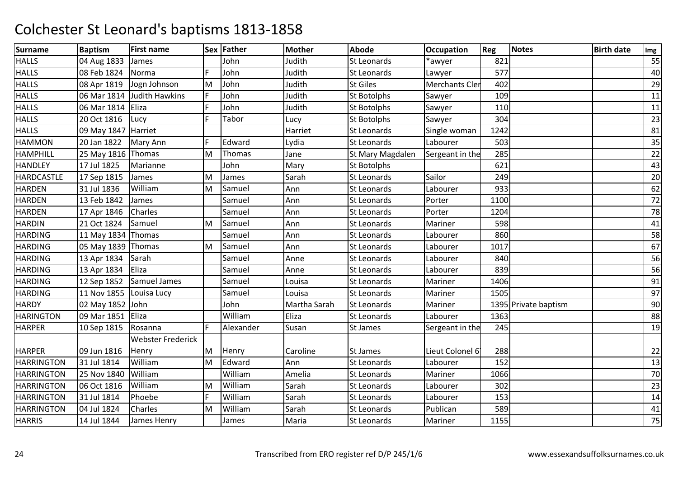| <b>Surname</b>    | <b>Baptism</b>       | <b>First name</b>        |    | Sex Father | <b>Mother</b> | <b>Abode</b>       | <b>Occupation</b>     | Reg  | <b>Notes</b>         | <b>Birth date</b> | Img |
|-------------------|----------------------|--------------------------|----|------------|---------------|--------------------|-----------------------|------|----------------------|-------------------|-----|
| <b>HALLS</b>      | 04 Aug 1833          | James                    |    | John       | Judith        | <b>St Leonards</b> | *awyer                | 821  |                      |                   | 55  |
| <b>HALLS</b>      | 08 Feb 1824          | Norma                    | F. | John       | Judith        | St Leonards        | Lawyer                | 577  |                      |                   | 40  |
| <b>HALLS</b>      | 08 Apr 1819          | Jogn Johnson             | M  | John       | Judith        | <b>St Giles</b>    | <b>Merchants Cler</b> | 402  |                      |                   | 29  |
| <b>HALLS</b>      | 06 Mar 1814          | <b>Judith Hawkins</b>    | F  | John       | Judith        | <b>St Botolphs</b> | Sawyer                | 109  |                      |                   | 11  |
| <b>HALLS</b>      | 06 Mar 1814          | Eliza                    | F. | John       | Judith        | St Botolphs        | Sawyer                | 110  |                      |                   | 11  |
| <b>HALLS</b>      | 20 Oct 1816          | Lucy                     | F. | Tabor      | Lucy          | <b>St Botolphs</b> | Sawyer                | 304  |                      |                   | 23  |
| <b>HALLS</b>      | 09 May 1847 Harriet  |                          |    |            | Harriet       | <b>St Leonards</b> | Single woman          | 1242 |                      |                   | 81  |
| <b>HAMMON</b>     | 20 Jan 1822          | Mary Ann                 | F  | Edward     | Lydia         | St Leonards        | Labourer              | 503  |                      |                   | 35  |
| <b>HAMPHILL</b>   | 25 May 1816 Thomas   |                          | M  | Thomas     | Jane          | St Mary Magdalen   | Sergeant in the       | 285  |                      |                   | 22  |
| <b>HANDLEY</b>    | 17 Jul 1825          | Marianne                 |    | John       | Mary          | <b>St Botolphs</b> |                       | 621  |                      |                   | 43  |
| <b>HARDCASTLE</b> | 17 Sep 1815          | James                    | M  | James      | Sarah         | St Leonards        | Sailor                | 249  |                      |                   | 20  |
| <b>HARDEN</b>     | 31 Jul 1836          | William                  | M  | Samuel     | Ann           | St Leonards        | Labourer              | 933  |                      |                   | 62  |
| <b>HARDEN</b>     | 13 Feb 1842          | James                    |    | Samuel     | Ann           | St Leonards        | Porter                | 1100 |                      |                   | 72  |
| <b>HARDEN</b>     | 17 Apr 1846          | Charles                  |    | Samuel     | Ann           | St Leonards        | Porter                | 1204 |                      |                   | 78  |
| <b>HARDIN</b>     | 21 Oct 1824          | Samuel                   | M  | Samuel     | Ann           | <b>St Leonards</b> | Mariner               | 598  |                      |                   | 41  |
| <b>HARDING</b>    | 11 May 1834   Thomas |                          |    | Samuel     | Ann           | <b>St Leonards</b> | Labourer              | 860  |                      |                   | 58  |
| <b>HARDING</b>    | 05 May 1839 Thomas   |                          | M  | Samuel     | Ann           | St Leonards        | Labourer              | 1017 |                      |                   | 67  |
| <b>HARDING</b>    | 13 Apr 1834          | Sarah                    |    | Samuel     | Anne          | St Leonards        | Labourer              | 840  |                      |                   | 56  |
| <b>HARDING</b>    | 13 Apr 1834          | Eliza                    |    | Samuel     | Anne          | St Leonards        | Labourer              | 839  |                      |                   | 56  |
| <b>HARDING</b>    | 12 Sep 1852          | Samuel James             |    | Samuel     | Louisa        | St Leonards        | Mariner               | 1406 |                      |                   | 91  |
| <b>HARDING</b>    | 11 Nov 1855          | Louisa Lucy              |    | Samuel     | Louisa        | St Leonards        | Mariner               | 1505 |                      |                   | 97  |
| <b>HARDY</b>      | 02 May 1852 John     |                          |    | John       | Martha Sarah  | <b>St Leonards</b> | Mariner               |      | 1395 Private baptism |                   | 90  |
| <b>HARINGTON</b>  | 09 Mar 1851          | Eliza                    |    | William    | Eliza         | St Leonards        | Labourer              | 1363 |                      |                   | 88  |
| <b>HARPER</b>     | 10 Sep 1815          | Rosanna                  | F. | Alexander  | Susan         | St James           | Sergeant in the       | 245  |                      |                   | 19  |
|                   |                      | <b>Webster Frederick</b> |    |            |               |                    |                       |      |                      |                   |     |
| <b>HARPER</b>     | 09 Jun 1816          | Henry                    | M  | Henry      | Caroline      | <b>St James</b>    | Lieut Colonel 6       | 288  |                      |                   | 22  |
| <b>HARRINGTON</b> | 31 Jul 1814          | William                  | M  | Edward     | Ann           | St Leonards        | Labourer              | 152  |                      |                   | 13  |
| <b>HARRINGTON</b> | 25 Nov 1840          | William                  |    | William    | Amelia        | <b>St Leonards</b> | Mariner               | 1066 |                      |                   | 70  |
| <b>HARRINGTON</b> | 06 Oct 1816          | William                  | M  | William    | Sarah         | <b>St Leonards</b> | Labourer              | 302  |                      |                   | 23  |
| <b>HARRINGTON</b> | 31 Jul 1814          | Phoebe                   | F. | William    | Sarah         | <b>St Leonards</b> | Labourer              | 153  |                      |                   | 14  |
| <b>HARRINGTON</b> | 04 Jul 1824          | Charles                  | M  | William    | Sarah         | St Leonards        | Publican              | 589  |                      |                   | 41  |
| <b>HARRIS</b>     | 14 Jul 1844          | James Henry              |    | James      | Maria         | St Leonards        | Mariner               | 1155 |                      |                   | 75  |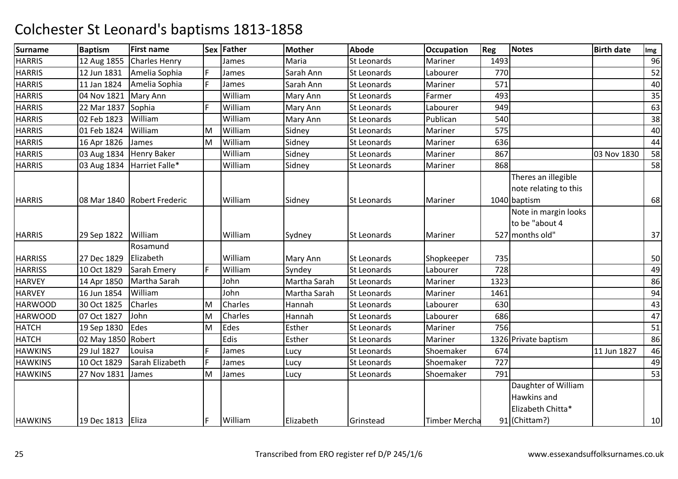| <b>Surname</b> | <b>Baptism</b>      | <b>First name</b>             |    | Sex Father | <b>Mother</b> | <b>Abode</b>       | <b>Occupation</b>    | Reg  | Notes                                                        | <b>Birth date</b> | Img |
|----------------|---------------------|-------------------------------|----|------------|---------------|--------------------|----------------------|------|--------------------------------------------------------------|-------------------|-----|
| <b>HARRIS</b>  | 12 Aug 1855         | <b>Charles Henry</b>          |    | James      | Maria         | <b>St Leonards</b> | Mariner              | 1493 |                                                              |                   | 96  |
| <b>HARRIS</b>  | 12 Jun 1831         | Amelia Sophia                 | F  | James      | Sarah Ann     | St Leonards        | Labourer             | 770  |                                                              |                   | 52  |
| <b>HARRIS</b>  | 11 Jan 1824         | Amelia Sophia                 | F. | James      | Sarah Ann     | <b>St Leonards</b> | Mariner              | 571  |                                                              |                   | 40  |
| <b>HARRIS</b>  | 04 Nov 1821         | Mary Ann                      |    | William    | Mary Ann      | <b>St Leonards</b> | Farmer               | 493  |                                                              |                   | 35  |
| <b>HARRIS</b>  | 22 Mar 1837         | Sophia                        | F  | William    | Mary Ann      | <b>St Leonards</b> | Labourer             | 949  |                                                              |                   | 63  |
| <b>HARRIS</b>  | 02 Feb 1823         | William                       |    | William    | Mary Ann      | <b>St Leonards</b> | Publican             | 540  |                                                              |                   | 38  |
| <b>HARRIS</b>  | 01 Feb 1824         | William                       | M  | William    | Sidney        | St Leonards        | Mariner              | 575  |                                                              |                   | 40  |
| <b>HARRIS</b>  | 16 Apr 1826         | James                         | M  | William    | Sidney        | St Leonards        | Mariner              | 636  |                                                              |                   | 44  |
| <b>HARRIS</b>  | 03 Aug 1834         | <b>Henry Baker</b>            |    | William    | Sidney        | St Leonards        | Mariner              | 867  |                                                              | 03 Nov 1830       | 58  |
| <b>HARRIS</b>  | 03 Aug 1834         | Harriet Falle*                |    | William    | Sidney        | St Leonards        | Mariner              | 868  |                                                              |                   | 58  |
| <b>HARRIS</b>  |                     | 08 Mar 1840   Robert Frederic |    | William    | Sidney        | St Leonards        | <b>Mariner</b>       |      | Theres an illegible<br>note relating to this<br>1040 baptism |                   | 68  |
| <b>HARRIS</b>  | 29 Sep 1822         | William                       |    | William    | Sydney        | <b>St Leonards</b> | Mariner              |      | Note in margin looks<br>to be "about 4<br>527 months old"    |                   | 37  |
|                |                     | Rosamund                      |    |            |               |                    |                      |      |                                                              |                   |     |
| <b>HARRISS</b> | 27 Dec 1829         | Elizabeth                     |    | William    | Mary Ann      | St Leonards        | Shopkeeper           | 735  |                                                              |                   | 50  |
| <b>HARRISS</b> | 10 Oct 1829         | Sarah Emery                   | F. | William    | Syndey        | St Leonards        | Labourer             | 728  |                                                              |                   | 49  |
| <b>HARVEY</b>  | 14 Apr 1850         | Martha Sarah                  |    | John       | Martha Sarah  | <b>St Leonards</b> | Mariner              | 1323 |                                                              |                   | 86  |
| <b>HARVEY</b>  | 16 Jun 1854         | William                       |    | John       | Martha Sarah  | <b>St Leonards</b> | Mariner              | 1461 |                                                              |                   | 94  |
| <b>HARWOOD</b> | 30 Oct 1825         | Charles                       | M  | Charles    | Hannah        | St Leonards        | Labourer             | 630  |                                                              |                   | 43  |
| <b>HARWOOD</b> | 07 Oct 1827         | John                          | M  | Charles    | Hannah        | St Leonards        | Labourer             | 686  |                                                              |                   | 47  |
| <b>HATCH</b>   | 19 Sep 1830         | Edes                          | M  | Edes       | Esther        | St Leonards        | Mariner              | 756  |                                                              |                   | 51  |
| <b>HATCH</b>   | 02 May 1850 Robert  |                               |    | Edis       | Esther        | St Leonards        | Mariner              |      | 1326 Private baptism                                         |                   | 86  |
| <b>HAWKINS</b> | 29 Jul 1827         | Louisa                        | F  | James      | Lucy          | St Leonards        | Shoemaker            | 674  |                                                              | 11 Jun 1827       | 46  |
| <b>HAWKINS</b> | 10 Oct 1829         | Sarah Elizabeth               | F  | James      | Lucy          | St Leonards        | Shoemaker            | 727  |                                                              |                   | 49  |
| <b>HAWKINS</b> | 27 Nov 1831         | James                         | M  | James      | Lucy          | St Leonards        | Shoemaker            | 791  |                                                              |                   | 53  |
|                |                     |                               | F  | William    |               |                    |                      |      | Daughter of William<br>Hawkins and<br>Elizabeth Chitta*      |                   | 10  |
| <b>HAWKINS</b> | 19 Dec 1813   Eliza |                               |    |            | Elizabeth     | Grinstead          | <b>Timber Mercha</b> |      | 91 (Chittam?)                                                |                   |     |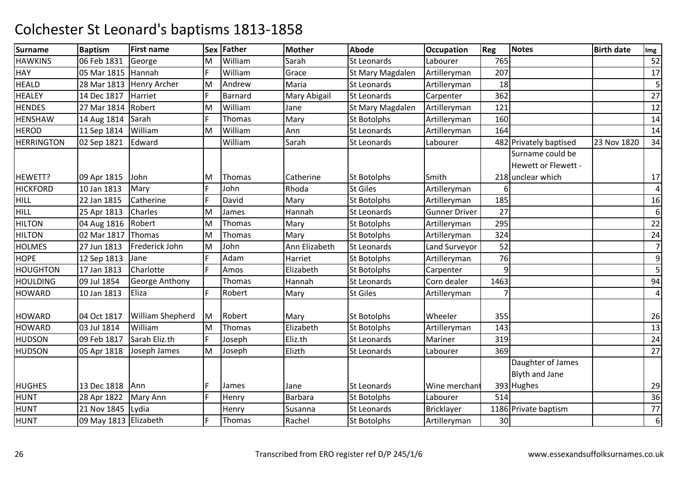| <b>Surname</b>    | <b>Baptism</b>        | <b>First name</b>   |    | Sex Father     | <b>Mother</b> | <b>Abode</b>       | <b>Occupation</b>    | Reg  | Notes                  | <b>Birth date</b> | Img                     |
|-------------------|-----------------------|---------------------|----|----------------|---------------|--------------------|----------------------|------|------------------------|-------------------|-------------------------|
| <b>HAWKINS</b>    | 06 Feb 1831           | George              | M  | William        | Sarah         | <b>St Leonards</b> | Labourer             | 765  |                        |                   | 52                      |
| <b>HAY</b>        | 05 Mar 1815           | Hannah              | F. | William        | Grace         | St Mary Magdalen   | Artilleryman         | 207  |                        |                   | 17                      |
| <b>HEALD</b>      | 28 Mar 1813           | <b>Henry Archer</b> | M  | Andrew         | Maria         | <b>St Leonards</b> | Artilleryman         | 18   |                        |                   | 5                       |
| <b>HEALEY</b>     | 14 Dec 1817           | Harriet             | F  | <b>Barnard</b> | Mary Abigail  | <b>St Leonards</b> | Carpenter            | 362  |                        |                   | 27                      |
| <b>HENDES</b>     | 27 Mar 1814           | Robert              | M  | William        | Jane          | St Mary Magdalen   | Artilleryman         | 121  |                        |                   | 12                      |
| <b>HENSHAW</b>    | 14 Aug 1814           | Sarah               | F. | Thomas         | Mary          | <b>St Botolphs</b> | Artilleryman         | 160  |                        |                   | 14                      |
| <b>HEROD</b>      | 11 Sep 1814           | William             | M  | William        | Ann           | <b>St Leonards</b> | Artilleryman         | 164  |                        |                   | 14                      |
| <b>HERRINGTON</b> | 02 Sep 1821           | Edward              |    | William        | Sarah         | St Leonards        | Labourer             |      | 482 Privately baptised | 23 Nov 1820       | 34                      |
|                   |                       |                     |    |                |               |                    |                      |      | Surname could be       |                   |                         |
|                   |                       |                     |    |                |               |                    |                      |      | Hewett or Flewett -    |                   |                         |
| HEWETT?           | 09 Apr 1815           | John                | ΙM | Thomas         | Catherine     | <b>St Botolphs</b> | Smith                |      | 218 unclear which      |                   | 17                      |
| <b>HICKFORD</b>   | 10 Jan 1813           | Mary                | F  | John           | Rhoda         | <b>St Giles</b>    | Artilleryman         |      |                        |                   | $\overline{\mathbf{4}}$ |
| <b>HILL</b>       | 22 Jan 1815           | Catherine           | F. | David          | Mary          | <b>St Botolphs</b> | Artilleryman         | 185  |                        |                   | 16                      |
| <b>HILL</b>       | 25 Apr 1813           | Charles             | M  | James          | Hannah        | <b>St Leonards</b> | <b>Gunner Driver</b> | 27   |                        |                   | 6                       |
| <b>HILTON</b>     | 04 Aug 1816           | Robert              | M  | Thomas         | Mary          | <b>St Botolphs</b> | Artilleryman         | 295  |                        |                   | 22                      |
| <b>HILTON</b>     | 02 Mar 1817           | Thomas              | M  | Thomas         | Mary          | St Botolphs        | Artilleryman         | 324  |                        |                   | 24                      |
| <b>HOLMES</b>     | 27 Jun 1813           | Frederick John      | M  | John           | Ann Elizabeth | St Leonards        | Land Surveyor        | 52   |                        |                   | $\overline{7}$          |
| <b>HOPE</b>       | 12 Sep 1813           | Jane                | F  | Adam           | Harriet       | <b>St Botolphs</b> | Artilleryman         | 76   |                        |                   | 9                       |
| <b>HOUGHTON</b>   | 17 Jan 1813           | Charlotte           | F  | Amos           | Elizabeth     | <b>St Botolphs</b> | Carpenter            | 9    |                        |                   | 5                       |
| <b>HOULDING</b>   | 09 Jul 1854           | George Anthony      |    | Thomas         | Hannah        | <b>St Leonards</b> | Corn dealer          | 1463 |                        |                   | 94                      |
| <b>HOWARD</b>     | 10 Jan 1813           | Eliza               | E  | Robert         | Mary          | <b>St Giles</b>    | Artilleryman         |      |                        |                   | $\overline{4}$          |
| <b>HOWARD</b>     | 04 Oct 1817           | William Shepherd    | Iм | Robert         | Mary          | <b>St Botolphs</b> | Wheeler              | 355  |                        |                   | 26                      |
| <b>HOWARD</b>     | 03 Jul 1814           | William             | M  | Thomas         | Elizabeth     | St Botolphs        | Artilleryman         | 143  |                        |                   | 13                      |
| <b>HUDSON</b>     | 09 Feb 1817           | Sarah Eliz.th       | F. | Joseph         | Eliz.th       | <b>St Leonards</b> | Mariner              | 319  |                        |                   | 24                      |
| <b>HUDSON</b>     | 05 Apr 1818           | Joseph James        | M  | Joseph         | Elizth        | St Leonards        | Labourer             | 369  |                        |                   | 27                      |
|                   |                       |                     |    |                |               |                    |                      |      | Daughter of James      |                   |                         |
|                   |                       |                     |    |                |               |                    |                      |      | <b>Blyth and Jane</b>  |                   |                         |
| <b>HUGHES</b>     | 13 Dec 1818           | Ann                 | F  | James          | Jane          | <b>St Leonards</b> | Wine merchant        |      | 393 Hughes             |                   | 29                      |
| <b>HUNT</b>       | 28 Apr 1822           | <b>Mary Ann</b>     | F  | Henry          | Barbara       | <b>St Botolphs</b> | Labourer             | 514  |                        |                   | 36                      |
| <b>HUNT</b>       | 21 Nov 1845           | Lydia               |    | Henry          | Susanna       | <b>St Leonards</b> | <b>Bricklayer</b>    |      | 1186 Private baptism   |                   | 77                      |
| <b>HUNT</b>       | 09 May 1813 Elizabeth |                     | E  | Thomas         | Rachel        | <b>St Botolphs</b> | Artilleryman         | 30   |                        |                   | 6                       |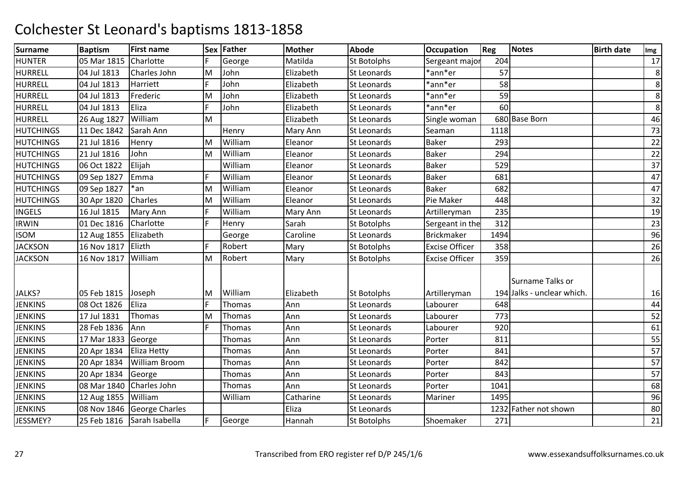| <b>Surname</b>   | <b>Baptism</b> | <b>First name</b>     |    | Sex Father    | <b>Mother</b>   | <b>Abode</b>       | Occupation            | Reg  | <b>Notes</b>               | <b>Birth date</b> | Img     |
|------------------|----------------|-----------------------|----|---------------|-----------------|--------------------|-----------------------|------|----------------------------|-------------------|---------|
| <b>HUNTER</b>    | 05 Mar 1815    | Charlotte             |    | George        | Matilda         | St Botolphs        | Sergeant major        | 204  |                            |                   | 17      |
| <b>HURRELL</b>   | 04 Jul 1813    | Charles John          | M  | John          | Elizabeth       | St Leonards        | *ann*er               | 57   |                            |                   | $\,8\,$ |
| <b>HURRELL</b>   | 04 Jul 1813    | Harriett              | F  | John          | Elizabeth       | St Leonards        | *ann*er               | 58   |                            |                   | 8       |
| <b>HURRELL</b>   | 04 Jul 1813    | Frederic              | M  | John          | Elizabeth       | <b>St Leonards</b> | *ann*er               | 59   |                            |                   | 8       |
| HURRELL          | 04 Jul 1813    | Eliza                 | F  | John          | Elizabeth       | <b>St Leonards</b> | *ann*er               | 60   |                            |                   | 8       |
| <b>HURRELL</b>   | 26 Aug 1827    | William               | M  |               | Elizabeth       | <b>St Leonards</b> | Single woman          |      | 680 Base Born              |                   | 46      |
| <b>HUTCHINGS</b> | 11 Dec 1842    | Sarah Ann             |    | Henry         | <b>Mary Ann</b> | St Leonards        | Seaman                | 1118 |                            |                   | 73      |
| <b>HUTCHINGS</b> | 21 Jul 1816    | Henry                 | M  | William       | Eleanor         | St Leonards        | <b>Baker</b>          | 293  |                            |                   | 22      |
| <b>HUTCHINGS</b> | 21 Jul 1816    | John                  | M  | William       | Eleanor         | <b>St Leonards</b> | <b>Baker</b>          | 294  |                            |                   | 22      |
| <b>HUTCHINGS</b> | 06 Oct 1822    | Elijah                |    | William       | Eleanor         | <b>St Leonards</b> | <b>Baker</b>          | 529  |                            |                   | 37      |
| <b>HUTCHINGS</b> | 09 Sep 1827    | Emma                  | F  | William       | Eleanor         | <b>St Leonards</b> | <b>Baker</b>          | 681  |                            |                   | 47      |
| <b>HUTCHINGS</b> | 09 Sep 1827    | $*an$                 | M  | William       | Eleanor         | St Leonards        | <b>Baker</b>          | 682  |                            |                   | 47      |
| <b>HUTCHINGS</b> | 30 Apr 1820    | Charles               | M  | William       | Eleanor         | <b>St Leonards</b> | Pie Maker             | 448  |                            |                   | 32      |
| <b>INGELS</b>    | 16 Jul 1815    | Mary Ann              | F  | William       | <b>Mary Ann</b> | <b>St Leonards</b> | Artilleryman          | 235  |                            |                   | 19      |
| <b>IRWIN</b>     | 01 Dec 1816    | Charlotte             | F  | Henry         | Sarah           | <b>St Botolphs</b> | Sergeant in the       | 312  |                            |                   | 23      |
| <b>ISOM</b>      | 12 Aug 1855    | Elizabeth             |    | George        | Caroline        | St Leonards        | <b>Brickmaker</b>     | 1494 |                            |                   | 96      |
| <b>JACKSON</b>   | 16 Nov 1817    | Elizth                | F  | Robert        | Mary            | <b>St Botolphs</b> | <b>Excise Officer</b> | 358  |                            |                   | 26      |
| <b>JACKSON</b>   | 16 Nov 1817    | William               | M  | Robert        | Mary            | <b>St Botolphs</b> | <b>Excise Officer</b> | 359  |                            |                   | 26      |
|                  |                |                       |    |               |                 |                    |                       |      | Surname Talks or           |                   |         |
| JALKS?           | 05 Feb 1815    | Joseph                | M  | William       | Elizabeth       | <b>St Botolphs</b> | Artilleryman          |      | 194 Jalks - unclear which. |                   | 16      |
| <b>JENKINS</b>   | 08 Oct 1826    | Eliza                 | F  | Thomas        | Ann             | St Leonards        | Labourer              | 648  |                            |                   | 44      |
| <b>JENKINS</b>   | 17 Jul 1831    | Thomas                | M  | Thomas        | Ann             | St Leonards        | Labourer              | 773  |                            |                   | 52      |
| <b>JENKINS</b>   | 28 Feb 1836    | Ann                   | F  | <b>Thomas</b> | Ann             | <b>St Leonards</b> | Labourer              | 920  |                            |                   | 61      |
| <b>JENKINS</b>   | 17 Mar 1833    | George                |    | Thomas        | Ann             | <b>St Leonards</b> | Porter                | 811  |                            |                   | 55      |
| <b>JENKINS</b>   | 20 Apr 1834    | Eliza Hetty           |    | Thomas        | Ann             | St Leonards        | Porter                | 841  |                            |                   | 57      |
| <b>JENKINS</b>   | 20 Apr 1834    | <b>William Broom</b>  |    | Thomas        | Ann             | St Leonards        | Porter                | 842  |                            |                   | 57      |
| <b>JENKINS</b>   | 20 Apr 1834    | George                |    | Thomas        | Ann             | <b>St Leonards</b> | Porter                | 843  |                            |                   | 57      |
| <b>JENKINS</b>   | 08 Mar 1840    | Charles John          |    | Thomas        | Ann             | <b>St Leonards</b> | Porter                | 1041 |                            |                   | 68      |
| <b>JENKINS</b>   | 12 Aug 1855    | William               |    | William       | Catharine       | <b>St Leonards</b> | Mariner               | 1495 |                            |                   | 96      |
| <b>JENKINS</b>   | 08 Nov 1846    | <b>George Charles</b> |    |               | Eliza           | St Leonards        |                       |      | 1232 Father not shown      |                   | 80      |
| JESSMEY?         | 25 Feb 1816    | Sarah Isabella        | F. | George        | Hannah          | <b>St Botolphs</b> | Shoemaker             | 271  |                            |                   | 21      |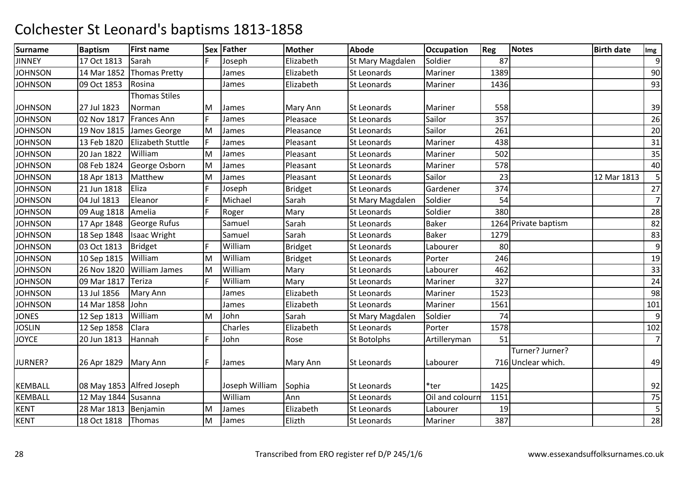| <b>Surname</b> | <b>Baptism</b>         | <b>First name</b>         |    | Sex Father     | <b>Mother</b>  | <b>Abode</b>       | <b>Occupation</b> | Reg  | <b>Notes</b>         | <b>Birth date</b> | Img            |
|----------------|------------------------|---------------------------|----|----------------|----------------|--------------------|-------------------|------|----------------------|-------------------|----------------|
| <b>JINNEY</b>  | 17 Oct 1813            | Sarah                     |    | Joseph         | Elizabeth      | St Mary Magdalen   | Soldier           | 87   |                      |                   | 9              |
| <b>JOHNSON</b> | 14 Mar 1852            | <b>Thomas Pretty</b>      |    | James          | Elizabeth      | St Leonards        | Mariner           | 1389 |                      |                   | 90             |
| <b>JOHNSON</b> | 09 Oct 1853            | Rosina                    |    | James          | Elizabeth      | <b>St Leonards</b> | Mariner           | 1436 |                      |                   | 93             |
|                |                        | <b>Thomas Stiles</b>      |    |                |                |                    |                   |      |                      |                   |                |
| <b>JOHNSON</b> | 27 Jul 1823            | Norman                    | M  | James          | Mary Ann       | <b>St Leonards</b> | Mariner           | 558  |                      |                   | 39             |
| <b>JOHNSON</b> | 02 Nov 1817            | <b>Frances Ann</b>        | F. | James          | Pleasace       | St Leonards        | Sailor            | 357  |                      |                   | 26             |
| <b>JOHNSON</b> | 19 Nov 1815            | James George              | M  | James          | Pleasance      | <b>St Leonards</b> | Sailor            | 261  |                      |                   | 20             |
| <b>JOHNSON</b> | 13 Feb 1820            | <b>Elizabeth Stuttle</b>  | F  | James          | Pleasant       | St Leonards        | Mariner           | 438  |                      |                   | 31             |
| <b>JOHNSON</b> | 20 Jan 1822            | William                   | M  | James          | Pleasant       | St Leonards        | Mariner           | 502  |                      |                   | 35             |
| <b>JOHNSON</b> | 08 Feb 1824            | George Osborn             | M  | James          | Pleasant       | St Leonards        | Mariner           | 578  |                      |                   | 40             |
| <b>JOHNSON</b> | 18 Apr 1813            | Matthew                   | M  | James          | Pleasant       | <b>St Leonards</b> | Sailor            | 23   |                      | 12 Mar 1813       | 5              |
| <b>JOHNSON</b> | 21 Jun 1818            | Eliza                     | F  | Joseph         | <b>Bridget</b> | St Leonards        | Gardener          | 374  |                      |                   | 27             |
| <b>JOHNSON</b> | 04 Jul 1813            | Eleanor                   | F  | Michael        | Sarah          | St Mary Magdalen   | Soldier           | 54   |                      |                   | $\overline{7}$ |
| <b>JOHNSON</b> | 09 Aug 1818            | Amelia                    | F. | Roger          | Mary           | <b>St Leonards</b> | Soldier           | 380  |                      |                   | 28             |
| <b>JOHNSON</b> | 17 Apr 1848            | George Rufus              |    | Samuel         | Sarah          | <b>St Leonards</b> | <b>Baker</b>      |      | 1264 Private baptism |                   | 82             |
| <b>JOHNSON</b> | 18 Sep 1848            | <b>Isaac Wright</b>       |    | Samuel         | Sarah          | St Leonards        | <b>Baker</b>      | 1279 |                      |                   | 83             |
| <b>JOHNSON</b> | 03 Oct 1813            | <b>Bridget</b>            | F  | William        | <b>Bridget</b> | St Leonards        | Labourer          | 80   |                      |                   | 9              |
| <b>JOHNSON</b> | 10 Sep 1815            | William                   | M  | William        | <b>Bridget</b> | <b>St Leonards</b> | Porter            | 246  |                      |                   | 19             |
| <b>JOHNSON</b> | 26 Nov 1820            | <b>William James</b>      | M  | William        | Mary           | <b>St Leonards</b> | Labourer          | 462  |                      |                   | 33             |
| <b>JOHNSON</b> | 09 Mar 1817            | Teriza                    | F  | William        | Mary           | St Leonards        | Mariner           | 327  |                      |                   | 24             |
| <b>JOHNSON</b> | 13 Jul 1856            | Mary Ann                  |    | James          | Elizabeth      | St Leonards        | Mariner           | 1523 |                      |                   | 98             |
| <b>JOHNSON</b> | 14 Mar 1858            | John                      |    | James          | Elizabeth      | <b>St Leonards</b> | Mariner           | 1561 |                      |                   | 101            |
| <b>JONES</b>   | 12 Sep 1813            | William                   | M  | John           | Sarah          | St Mary Magdalen   | Soldier           | 74   |                      |                   | 9              |
| <b>JOSLIN</b>  | 12 Sep 1858            | Clara                     |    | Charles        | Elizabeth      | <b>St Leonards</b> | Porter            | 1578 |                      |                   | 102            |
| <b>JOYCE</b>   | 20 Jun 1813            | Hannah                    | F  | John           | Rose           | <b>St Botolphs</b> | Artilleryman      | 51   |                      |                   | $\overline{7}$ |
|                |                        |                           |    |                |                |                    |                   |      | Turner? Jurner?      |                   |                |
| JURNER?        | 26 Apr 1829            | Mary Ann                  | F. | James          | Mary Ann       | St Leonards        | Labourer          |      | 716 Unclear which.   |                   | 49             |
|                |                        |                           |    |                |                |                    |                   |      |                      |                   |                |
| <b>KEMBALL</b> |                        | 08 May 1853 Alfred Joseph |    | Joseph William | Sophia         | <b>St Leonards</b> | *ter              | 1425 |                      |                   | 92             |
| <b>KEMBALL</b> | 12 May 1844 Susanna    |                           |    | William        | Ann            | St Leonards        | Oil and colourn   | 1151 |                      |                   | 75             |
| <b>KENT</b>    | 28 Mar 1813   Benjamin |                           | M  | James          | Elizabeth      | St Leonards        | Labourer          | 19   |                      |                   | 5              |
| <b>KENT</b>    | 18 Oct 1818            | Thomas                    | M  | James          | Elizth         | <b>St Leonards</b> | Mariner           | 387  |                      |                   | 28             |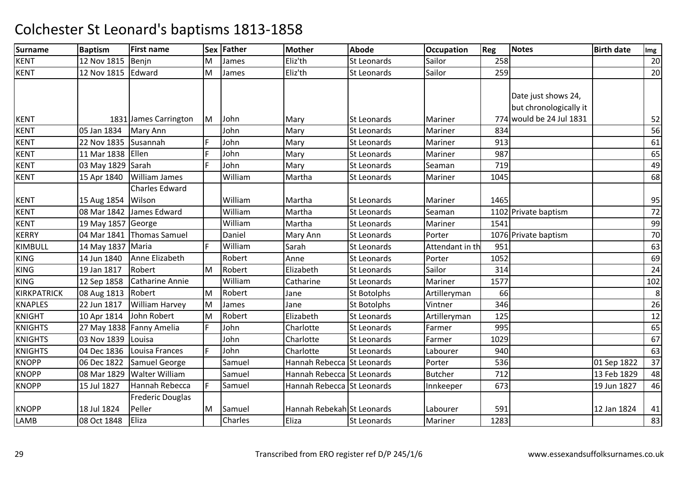| <b>Surname</b>     | <b>Baptism</b>     | <b>First name</b>         |    | Sex Father | <b>Mother</b>              | <b>Abode</b>       | <b>Occupation</b> | Reg  | Notes                    | <b>Birth date</b> | Img |
|--------------------|--------------------|---------------------------|----|------------|----------------------------|--------------------|-------------------|------|--------------------------|-------------------|-----|
| <b>KENT</b>        | 12 Nov 1815        | Benjn                     | M  | James      | Eliz'th                    | <b>St Leonards</b> | Sailor            | 258  |                          |                   | 20  |
| <b>KENT</b>        | 12 Nov 1815 Edward |                           | M  | James      | Eliz'th                    | <b>St Leonards</b> | Sailor            | 259  |                          |                   | 20  |
|                    |                    |                           |    |            |                            |                    |                   |      |                          |                   |     |
|                    |                    |                           |    |            |                            |                    |                   |      | Date just shows 24,      |                   |     |
|                    |                    |                           |    |            |                            |                    |                   |      | but chronologically it   |                   |     |
| <b>KENT</b>        |                    | 1831 James Carrington     | lм | John       | Mary                       | <b>St Leonards</b> | Mariner           |      | 774 would be 24 Jul 1831 |                   | 52  |
| <b>KENT</b>        | 05 Jan 1834        | Mary Ann                  |    | John       | Mary                       | St Leonards        | Mariner           | 834  |                          |                   | 56  |
| <b>KENT</b>        | 22 Nov 1835        | Susannah                  | F  | John       | Mary                       | St Leonards        | Mariner           | 913  |                          |                   | 61  |
| <b>KENT</b>        | 11 Mar 1838        | Ellen                     | F  | John       | Mary                       | St Leonards        | Mariner           | 987  |                          |                   | 65  |
| <b>KENT</b>        | 03 May 1829 Sarah  |                           | E. | John       | Mary                       | <b>St Leonards</b> | Seaman            | 719  |                          |                   | 49  |
| <b>KENT</b>        | 15 Apr 1840        | <b>William James</b>      |    | William    | Martha                     | St Leonards        | Mariner           | 1045 |                          |                   | 68  |
|                    |                    | <b>Charles Edward</b>     |    |            |                            |                    |                   |      |                          |                   |     |
| <b>KENT</b>        | 15 Aug 1854 Wilson |                           |    | William    | Martha                     | <b>St Leonards</b> | Mariner           | 1465 |                          |                   | 95  |
| <b>KENT</b>        |                    | 08 Mar 1842 James Edward  |    | William    | Martha                     | <b>St Leonards</b> | Seaman            |      | 1102 Private baptism     |                   | 72  |
| <b>KENT</b>        | 19 May 1857 George |                           |    | William    | Martha                     | St Leonards        | Mariner           | 1541 |                          |                   | 99  |
| <b>KERRY</b>       |                    | 04 Mar 1841 Thomas Samuel |    | Daniel     | Mary Ann                   | St Leonards        | Porter            |      | 1076 Private baptism     |                   | 70  |
| KIMBULL            | 14 May 1837 Maria  |                           | I۴ | William    | Sarah                      | St Leonards        | Attendant in th   | 951  |                          |                   | 63  |
| <b>KING</b>        | 14 Jun 1840        | Anne Elizabeth            |    | Robert     | Anne                       | St Leonards        | Porter            | 1052 |                          |                   | 69  |
| <b>KING</b>        | 19 Jan 1817        | Robert                    | M  | Robert     | Elizabeth                  | St Leonards        | Sailor            | 314  |                          |                   | 24  |
| <b>KING</b>        | 12 Sep 1858        | <b>Catharine Annie</b>    |    | William    | Catharine                  | St Leonards        | Mariner           | 1577 |                          |                   | 102 |
| <b>KIRKPATRICK</b> | 08 Aug 1813        | Robert                    | İΜ | Robert     | Jane                       | <b>St Botolphs</b> | Artilleryman      | 66   |                          |                   | 8   |
| <b>KNAPLES</b>     | 22 Jun 1817        | <b>William Harvey</b>     | M  | James      | Jane                       | <b>St Botolphs</b> | Vintner           | 346  |                          |                   | 26  |
| <b>KNIGHT</b>      | 10 Apr 1814        | John Robert               | M  | Robert     | Elizabeth                  | St Leonards        | Artilleryman      | 125  |                          |                   | 12  |
| <b>KNIGHTS</b>     |                    | 27 May 1838 Fanny Amelia  | F  | John       | Charlotte                  | St Leonards        | Farmer            | 995  |                          |                   | 65  |
| <b>KNIGHTS</b>     | 03 Nov 1839        | Louisa                    |    | John       | Charlotte                  | <b>St Leonards</b> | Farmer            | 1029 |                          |                   | 67  |
| <b>KNIGHTS</b>     | 04 Dec 1836        | Louisa Frances            | E  | John       | Charlotte                  | St Leonards        | Labourer          | 940  |                          |                   | 63  |
| <b>KNOPP</b>       | 06 Dec 1822        | Samuel George             |    | Samuel     | Hannah Rebecca St Leonards |                    | Porter            | 536  |                          | 01 Sep 1822       | 37  |
| <b>KNOPP</b>       | 08 Mar 1829        | Walter William            |    | Samuel     | Hannah Rebecca St Leonards |                    | <b>Butcher</b>    | 712  |                          | 13 Feb 1829       | 48  |
| <b>KNOPP</b>       | 15 Jul 1827        | Hannah Rebecca            | E  | Samuel     | Hannah Rebecca St Leonards |                    | Innkeeper         | 673  |                          | 19 Jun 1827       | 46  |
|                    |                    | <b>Frederic Douglas</b>   |    |            |                            |                    |                   |      |                          |                   |     |
| <b>KNOPP</b>       | 18 Jul 1824        | Peller                    | M  | Samuel     | Hannah Rebekah St Leonards |                    | Labourer          | 591  |                          | 12 Jan 1824       | 41  |
| LAMB               | 08 Oct 1848        | Eliza                     |    | Charles    | Eliza                      | <b>St Leonards</b> | Mariner           | 1283 |                          |                   | 83  |
|                    |                    |                           |    |            |                            |                    |                   |      |                          |                   |     |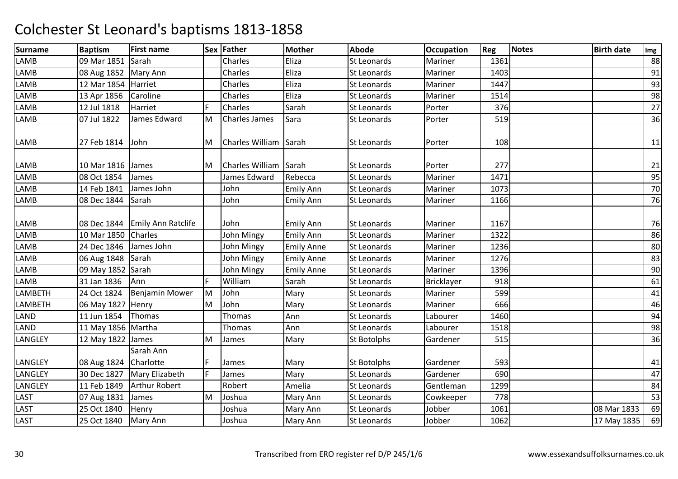| <b>Surname</b> | <b>Baptism</b>         | <b>First name</b>         |    | Sex Father            | <b>Mother</b>     | <b>Abode</b>       | <b>Occupation</b> | Reg  | <b>Notes</b> | <b>Birth date</b> | Img |
|----------------|------------------------|---------------------------|----|-----------------------|-------------------|--------------------|-------------------|------|--------------|-------------------|-----|
| LAMB           | 09 Mar 1851            | Sarah                     |    | Charles               | Eliza             | <b>St Leonards</b> | Mariner           | 1361 |              |                   | 88  |
| LAMB           | 08 Aug 1852   Mary Ann |                           |    | Charles               | Eliza             | St Leonards        | Mariner           | 1403 |              |                   | 91  |
| LAMB           | 12 Mar 1854            | Harriet                   |    | Charles               | Eliza             | St Leonards        | Mariner           | 1447 |              |                   | 93  |
| LAMB           | 13 Apr 1856            | Caroline                  |    | Charles               | Eliza             | St Leonards        | Mariner           | 1514 |              |                   | 98  |
| LAMB           | 12 Jul 1818            | Harriet                   |    | Charles               | Sarah             | St Leonards        | Porter            | 376  |              |                   | 27  |
| LAMB           | 07 Jul 1822            | James Edward              | M  | <b>Charles James</b>  | Sara              | <b>St Leonards</b> | Porter            | 519  |              |                   | 36  |
| LAMB           | 27 Feb 1814            | John                      | M  | Charles William Sarah |                   | <b>St Leonards</b> | Porter            | 108  |              |                   | 11  |
| LAMB           | 10 Mar 1816            | James                     | M  | Charles William Sarah |                   | St Leonards        | Porter            | 277  |              |                   | 21  |
| LAMB           | 08 Oct 1854            | James                     |    | James Edward          | Rebecca           | St Leonards        | Mariner           | 1471 |              |                   | 95  |
| LAMB           | 14 Feb 1841            | James John                |    | John                  | <b>Emily Ann</b>  | St Leonards        | Mariner           | 1073 |              |                   | 70  |
| LAMB           | 08 Dec 1844            | Sarah                     |    | John                  | <b>Emily Ann</b>  | <b>St Leonards</b> | Mariner           | 1166 |              |                   | 76  |
| LAMB           | 08 Dec 1844            | <b>Emily Ann Ratclife</b> |    | John                  | <b>Emily Ann</b>  | St Leonards        | Mariner           | 1167 |              |                   | 76  |
| LAMB           | 10 Mar 1850            | Charles                   |    | John Mingy            | <b>Emily Ann</b>  | <b>St Leonards</b> | Mariner           | 1322 |              |                   | 86  |
| LAMB           | 24 Dec 1846            | James John                |    | John Mingy            | <b>Emily Anne</b> | St Leonards        | Mariner           | 1236 |              |                   | 80  |
| LAMB           | 06 Aug 1848            | Sarah                     |    | John Mingy            | <b>Emily Anne</b> | <b>St Leonards</b> | Mariner           | 1276 |              |                   | 83  |
| LAMB           | 09 May 1852            | Sarah                     |    | John Mingy            | <b>Emily Anne</b> | <b>St Leonards</b> | Mariner           | 1396 |              |                   | 90  |
| LAMB           | 31 Jan 1836            | Ann                       | F  | William               | Sarah             | St Leonards        | <b>Bricklayer</b> | 918  |              |                   | 61  |
| LAMBETH        | 24 Oct 1824            | <b>Benjamin Mower</b>     | M  | John                  | Mary              | St Leonards        | Mariner           | 599  |              |                   | 41  |
| LAMBETH        | 06 May 1827 Henry      |                           | M  | John                  | Mary              | <b>St Leonards</b> | Mariner           | 666  |              |                   | 46  |
| LAND           | 11 Jun 1854            | Thomas                    |    | Thomas                | Ann               | St Leonards        | Labourer          | 1460 |              |                   | 94  |
| LAND           | 11 May 1856 Martha     |                           |    | <b>Thomas</b>         | Ann               | St Leonards        | Labourer          | 1518 |              |                   | 98  |
| LANGLEY        | 12 May 1822            | James                     | M  | James                 | Mary              | <b>St Botolphs</b> | Gardener          | 515  |              |                   | 36  |
| LANGLEY        | 08 Aug 1824            | Sarah Ann<br>Charlotte    | F  | James                 | Mary              | <b>St Botolphs</b> | Gardener          | 593  |              |                   | 41  |
| LANGLEY        | 30 Dec 1827            | Mary Elizabeth            | F. | James                 | Mary              | <b>St Leonards</b> | Gardener          | 690  |              |                   | 47  |
| LANGLEY        | 11 Feb 1849            | <b>Arthur Robert</b>      |    | Robert                | Amelia            | St Leonards        | Gentleman         | 1299 |              |                   | 84  |
| LAST           | 07 Aug 1831            | James                     | M  | Joshua                | Mary Ann          | <b>St Leonards</b> | Cowkeeper         | 778  |              |                   | 53  |
| LAST           | 25 Oct 1840            | Henry                     |    | Joshua                | Mary Ann          | St Leonards        | Jobber            | 1061 |              | 08 Mar 1833       | 69  |
| LAST           | 25 Oct 1840            | Mary Ann                  |    | Joshua                | Mary Ann          | St Leonards        | Jobber            | 1062 |              | 17 May 1835       | 69  |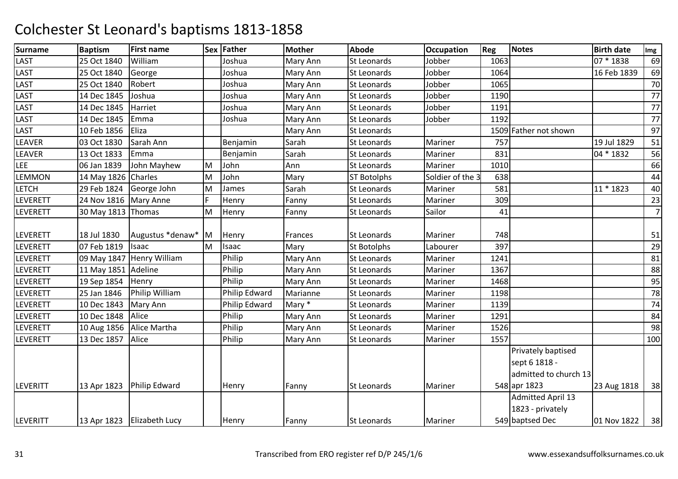| <b>Surname</b>  | <b>Baptism</b>          | <b>First name</b>            |              | Sex Father    | <b>Mother</b>   | <b>Abode</b>       | <b>Occupation</b> | Reg  | Notes                                                        | <b>Birth date</b> | Img            |
|-----------------|-------------------------|------------------------------|--------------|---------------|-----------------|--------------------|-------------------|------|--------------------------------------------------------------|-------------------|----------------|
| LAST            | 25 Oct 1840             | William                      |              | Joshua        | Mary Ann        | <b>St Leonards</b> | Jobber            | 1063 |                                                              | 07 * 1838         | 69             |
| LAST            | 25 Oct 1840             | George                       |              | Joshua        | Mary Ann        | St Leonards        | Jobber            | 1064 |                                                              | 16 Feb 1839       | 69             |
| LAST            | 25 Oct 1840             | Robert                       |              | Joshua        | Mary Ann        | St Leonards        | Jobber            | 1065 |                                                              |                   | 70             |
| LAST            | 14 Dec 1845             | Joshua                       |              | Joshua        | Mary Ann        | St Leonards        | Jobber            | 1190 |                                                              |                   | 77             |
| LAST            | 14 Dec 1845             | Harriet                      |              | Joshua        | Mary Ann        | <b>St Leonards</b> | Jobber            | 1191 |                                                              |                   | 77             |
| LAST            | 14 Dec 1845             | Emma                         |              | Joshua        | <b>Mary Ann</b> | <b>St Leonards</b> | Jobber            | 1192 |                                                              |                   | 77             |
| LAST            | 10 Feb 1856             | Eliza                        |              |               | Mary Ann        | <b>St Leonards</b> |                   |      | 1509 Father not shown                                        |                   | 97             |
| LEAVER          | 03 Oct 1830             | Sarah Ann                    |              | Benjamin      | Sarah           | St Leonards        | Mariner           | 757  |                                                              | 19 Jul 1829       | 51             |
| LEAVER          | 13 Oct 1833             | Emma                         |              | Benjamin      | Sarah           | St Leonards        | Mariner           | 831  |                                                              | 04 * 1832         | 56             |
| LEE             | 06 Jan 1839             | John Mayhew                  | M            | John          | Ann             | <b>St Leonards</b> | Mariner           | 1010 |                                                              |                   | 66             |
| LEMMON          | 14 May 1826 Charles     |                              | M            | John          | Mary            | <b>ST Botolphs</b> | Soldier of the 3  | 638  |                                                              |                   | 44             |
| <b>LETCH</b>    | 29 Feb 1824             | George John                  | M            | James         | Sarah           | <b>St Leonards</b> | Mariner           | 581  |                                                              | 11 * 1823         | 40             |
| LEVERETT        | 24 Nov 1816   Mary Anne |                              | F.           | Henry         | Fanny           | St Leonards        | Mariner           | 309  |                                                              |                   | 23             |
| LEVERETT        | 30 May 1813 Thomas      |                              | M            | Henry         | Fanny           | St Leonards        | Sailor            | 41   |                                                              |                   | $\overline{7}$ |
| LEVERETT        | 18 Jul 1830             | Augustus *denaw*             | $\mathsf{M}$ | Henry         | Frances         | <b>St Leonards</b> | Mariner           | 748  |                                                              |                   | 51             |
| <b>LEVERETT</b> | 07 Feb 1819             | Isaac                        | M            | Isaac         | Mary            | <b>St Botolphs</b> | Labourer          | 397  |                                                              |                   | 29             |
| LEVERETT        |                         | 09 May 1847 Henry William    |              | Philip        | Mary Ann        | St Leonards        | Mariner           | 1241 |                                                              |                   | 81             |
| LEVERETT        | 11 May 1851 Adeline     |                              |              | Philip        | Mary Ann        | St Leonards        | Mariner           | 1367 |                                                              |                   | 88             |
| LEVERETT        | 19 Sep 1854             | Henry                        |              | Philip        | Mary Ann        | <b>St Leonards</b> | Mariner           | 1468 |                                                              |                   | 95             |
| LEVERETT        | 25 Jan 1846             | Philip William               |              | Philip Edward | Marianne        | <b>St Leonards</b> | Mariner           | 1198 |                                                              |                   | 78             |
| LEVERETT        | 10 Dec 1843             | Mary Ann                     |              | Philip Edward | Mary *          | <b>St Leonards</b> | Mariner           | 1139 |                                                              |                   | 74             |
| LEVERETT        | 10 Dec 1848             | Alice                        |              | Philip        | Mary Ann        | St Leonards        | Mariner           | 1291 |                                                              |                   | 84             |
| LEVERETT        |                         | 10 Aug 1856 Alice Martha     |              | Philip        | Mary Ann        | St Leonards        | Mariner           | 1526 |                                                              |                   | 98             |
| LEVERETT        | 13 Dec 1857             | Alice                        |              | Philip        | Mary Ann        | St Leonards        | Mariner           | 1557 |                                                              |                   | 100            |
|                 |                         |                              |              |               |                 |                    |                   |      | Privately baptised<br>sept 6 1818 -<br>admitted to church 13 |                   |                |
| <b>LEVERITT</b> | 13 Apr 1823             | Philip Edward                |              | Henry         | Fanny           | <b>St Leonards</b> | Mariner           |      | 548 apr 1823                                                 | 23 Aug 1818       | 38             |
| <b>LEVERITT</b> |                         | 13 Apr 1823   Elizabeth Lucy |              | Henry         | Fanny           | <b>St Leonards</b> | Mariner           |      | Admitted April 13<br>1823 - privately<br>549 baptsed Dec     | 01 Nov 1822       | 38             |
|                 |                         |                              |              |               |                 |                    |                   |      |                                                              |                   |                |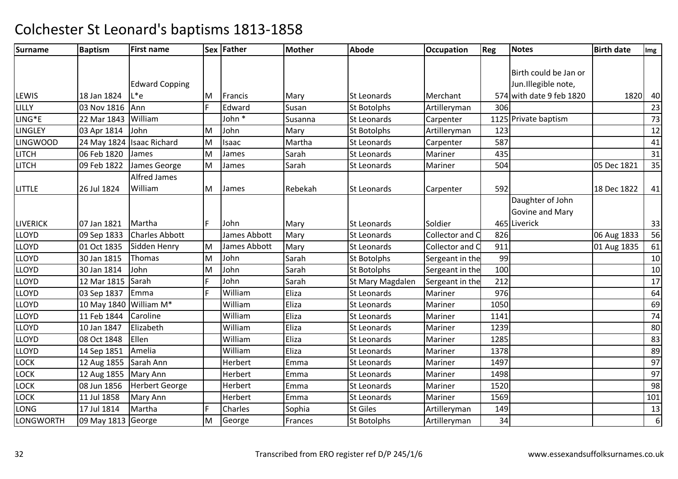| Surname             | <b>Baptism</b>            | <b>First name</b>     |    | Sex Father   | <b>Mother</b> | <b>Abode</b>       | <b>Occupation</b> | Reg  | <b>Notes</b>             | <b>Birth date</b> | Img              |
|---------------------|---------------------------|-----------------------|----|--------------|---------------|--------------------|-------------------|------|--------------------------|-------------------|------------------|
|                     |                           |                       |    |              |               |                    |                   |      |                          |                   |                  |
|                     |                           |                       |    |              |               |                    |                   |      | Birth could be Jan or    |                   |                  |
|                     |                           | <b>Edward Copping</b> |    |              |               |                    |                   |      | Jun.Illegible note,      |                   |                  |
| <b>LEWIS</b>        | 18 Jan 1824               | L*e                   | ΙM | Francis      | Mary          | St Leonards        | Merchant          |      | 574 with date 9 feb 1820 | 1820              | 40               |
| LILLY               | 03 Nov 1816               | Ann                   | F  | Edward       | Susan         | St Botolphs        | Artilleryman      | 306  |                          |                   | 23               |
| LING <sup>*</sup> E | 22 Mar 1843               | William               |    | John *       | Susanna       | St Leonards        | Carpenter         |      | 1125 Private baptism     |                   | 73               |
| <b>LINGLEY</b>      | 03 Apr 1814               | John                  | M  | John         | Mary          | St Botolphs        | Artilleryman      | 123  |                          |                   | 12               |
| <b>LINGWOOD</b>     | 24 May 1824 Isaac Richard |                       | M  | Isaac        | Martha        | <b>St Leonards</b> | Carpenter         | 587  |                          |                   | 41               |
| <b>LITCH</b>        | 06 Feb 1820               | James                 | M  | James        | Sarah         | <b>St Leonards</b> | Mariner           | 435  |                          |                   | 31               |
| <b>LITCH</b>        | 09 Feb 1822               | James George          | M  | James        | Sarah         | <b>St Leonards</b> | Mariner           | 504  |                          | 05 Dec 1821       | 35               |
|                     |                           | <b>Alfred James</b>   |    |              |               |                    |                   |      |                          |                   |                  |
| <b>LITTLE</b>       | 26 Jul 1824               | William               | M  | James        | Rebekah       | <b>St Leonards</b> | Carpenter         | 592  |                          | 18 Dec 1822       | 41               |
|                     |                           |                       |    |              |               |                    |                   |      | Daughter of John         |                   |                  |
|                     |                           |                       |    |              |               |                    |                   |      | Govine and Mary          |                   |                  |
| <b>LIVERICK</b>     | 07 Jan 1821               | Martha                | F  | John         | Mary          | <b>St Leonards</b> | Soldier           |      | 465 Liverick             |                   | 33               |
| <b>LLOYD</b>        | 09 Sep 1833               | <b>Charles Abbott</b> |    | James Abbott | Mary          | <b>St Leonards</b> | Collector and C   | 826  |                          | 06 Aug 1833       | 56               |
| <b>LLOYD</b>        | 01 Oct 1835               | Sidden Henry          | M  | James Abbott | Mary          | <b>St Leonards</b> | Collector and C   | 911  |                          | 01 Aug 1835       | 61               |
| <b>LLOYD</b>        | 30 Jan 1815               | Thomas                | M  | John         | Sarah         | <b>St Botolphs</b> | Sergeant in the   | 99   |                          |                   | 10               |
| LLOYD               | 30 Jan 1814               | John                  | M  | John         | Sarah         | <b>St Botolphs</b> | Sergeant in the   | 100  |                          |                   | 10               |
| <b>LLOYD</b>        | 12 Mar 1815               | Sarah                 | F  | John         | Sarah         | St Mary Magdalen   | Sergeant in the   | 212  |                          |                   | 17               |
| <b>LLOYD</b>        | 03 Sep 1837               | Emma                  | E  | William      | Eliza         | <b>St Leonards</b> | Mariner           | 976  |                          |                   | 64               |
| <b>LLOYD</b>        | 10 May 1840               | William M*            |    | William      | Eliza         | <b>St Leonards</b> | Mariner           | 1050 |                          |                   | 69               |
| <b>LLOYD</b>        | 11 Feb 1844               | Caroline              |    | William      | Eliza         | <b>St Leonards</b> | Mariner           | 1141 |                          |                   | 74               |
| <b>LLOYD</b>        | 10 Jan 1847               | Elizabeth             |    | William      | Eliza         | St Leonards        | Mariner           | 1239 |                          |                   | 80               |
| <b>LLOYD</b>        | 08 Oct 1848               | Ellen                 |    | William      | Eliza         | <b>St Leonards</b> | Mariner           | 1285 |                          |                   | 83               |
| <b>LLOYD</b>        | 14 Sep 1851               | Amelia                |    | William      | Eliza         | <b>St Leonards</b> | Mariner           | 1378 |                          |                   | 89               |
| <b>LOCK</b>         | 12 Aug 1855               | Sarah Ann             |    | Herbert      | Emma          | <b>St Leonards</b> | Mariner           | 1497 |                          |                   | 97               |
| LOCK                | 12 Aug 1855               | Mary Ann              |    | Herbert      | Emma          | St Leonards        | Mariner           | 1498 |                          |                   | 97               |
| <b>LOCK</b>         | 08 Jun 1856               | <b>Herbert George</b> |    | Herbert      | Emma          | <b>St Leonards</b> | Mariner           | 1520 |                          |                   | 98               |
| <b>LOCK</b>         | 11 Jul 1858               | Mary Ann              |    | Herbert      | Emma          | <b>St Leonards</b> | Mariner           | 1569 |                          |                   | 101              |
| <b>LONG</b>         | 17 Jul 1814               | Martha                | F  | Charles      | Sophia        | <b>St Giles</b>    | Artilleryman      | 149  |                          |                   | 13               |
| LONGWORTH           | 09 May 1813 George        |                       | M  | George       | Frances       | <b>St Botolphs</b> | Artilleryman      | 34   |                          |                   | $\boldsymbol{6}$ |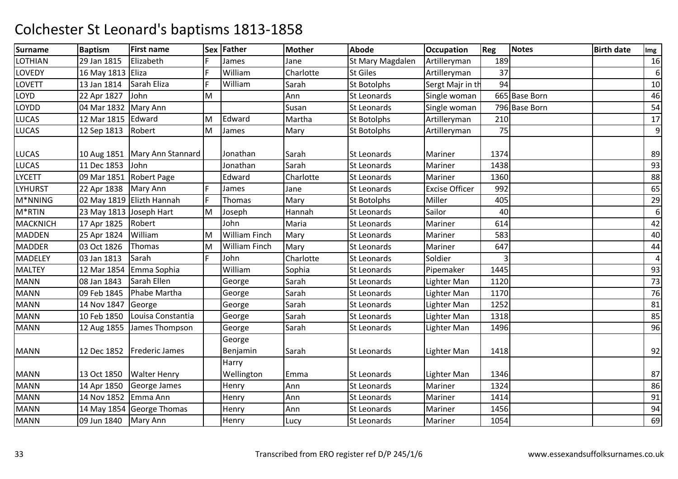| <b>Surname</b>  | <b>Baptism</b>          | <b>First name</b>               |    | Sex Father           | <b>Mother</b> | <b>Abode</b>       | <b>Occupation</b>     | Reg  | <b>Notes</b>  | <b>Birth date</b> | Img              |
|-----------------|-------------------------|---------------------------------|----|----------------------|---------------|--------------------|-----------------------|------|---------------|-------------------|------------------|
| LOTHIAN         | 29 Jan 1815             | Elizabeth                       |    | James                | Jane          | St Mary Magdalen   | Artilleryman          | 189  |               |                   | 16               |
| LOVEDY          | 16 May 1813 Eliza       |                                 | F. | William              | Charlotte     | <b>St Giles</b>    | Artilleryman          | 37   |               |                   | $\boldsymbol{6}$ |
| LOVETT          | 13 Jan 1814             | Sarah Eliza                     | F  | William              | Sarah         | St Botolphs        | Sergt Majr in th      | 94   |               |                   | 10               |
| LOYD            | 22 Apr 1827             | John                            | M  |                      | Ann           | <b>St Leonards</b> | Single woman          |      | 665 Base Born |                   | 46               |
| LOYDD           | 04 Mar 1832             | Mary Ann                        |    |                      | Susan         | St Leonards        | Single woman          |      | 796 Base Born |                   | 54               |
| LUCAS           | 12 Mar 1815             | Edward                          | M  | Edward               | Martha        | <b>St Botolphs</b> | Artilleryman          | 210  |               |                   | 17               |
| LUCAS           | 12 Sep 1813             | Robert                          | M  | James                | Mary          | <b>St Botolphs</b> | Artilleryman          | 75   |               |                   | 9                |
| LUCAS           |                         | 10 Aug 1851   Mary Ann Stannard |    | Jonathan             | Sarah         | <b>St Leonards</b> | Mariner               | 1374 |               |                   | 89               |
| LUCAS           | 11 Dec 1853             | John                            |    | Jonathan             | Sarah         | <b>St Leonards</b> | Mariner               | 1438 |               |                   | 93               |
| <b>LYCETT</b>   | 09 Mar 1851 Robert Page |                                 |    | Edward               | Charlotte     | <b>St Leonards</b> | Mariner               | 1360 |               |                   | 88               |
| LYHURST         | 22 Apr 1838   Mary Ann  |                                 |    | James                | Jane          | <b>St Leonards</b> | <b>Excise Officer</b> | 992  |               |                   | 65               |
| M*NNING         |                         | 02 May 1819 Elizth Hannah       | F  | Thomas               | Mary          | St Botolphs        | Miller                | 405  |               |                   | 29               |
| M*RTIN          | 23 May 1813 Joseph Hart |                                 | M  | Joseph               | Hannah        | <b>St Leonards</b> | Sailor                | 40   |               |                   | 6                |
| <b>MACKNICH</b> | 17 Apr 1825             | Robert                          |    | John                 | Maria         | <b>St Leonards</b> | Mariner               | 614  |               |                   | 42               |
| <b>MADDEN</b>   | 25 Apr 1824             | William                         | M  | <b>William Finch</b> | Mary          | St Leonards        | Mariner               | 583  |               |                   | 40               |
| <b>MADDER</b>   | 03 Oct 1826             | Thomas                          | M  | <b>William Finch</b> | Mary          | <b>St Leonards</b> | Mariner               | 647  |               |                   | 44               |
| <b>MADELEY</b>  | 03 Jan 1813             | Sarah                           | F  | John                 | Charlotte     | <b>St Leonards</b> | Soldier               |      |               |                   | $\overline{4}$   |
| <b>MALTEY</b>   | 12 Mar 1854             | Emma Sophia                     |    | William              | Sophia        | St Leonards        | Pipemaker             | 1445 |               |                   | 93               |
| <b>MANN</b>     | 08 Jan 1843             | Sarah Ellen                     |    | George               | Sarah         | St Leonards        | Lighter Man           | 1120 |               |                   | 73               |
| <b>MANN</b>     | 09 Feb 1845             | Phabe Martha                    |    | George               | Sarah         | <b>St Leonards</b> | Lighter Man           | 1170 |               |                   | 76               |
| <b>MANN</b>     | 14 Nov 1847             | George                          |    | George               | Sarah         | <b>St Leonards</b> | Lighter Man           | 1252 |               |                   | 81               |
| <b>MANN</b>     | 10 Feb 1850             | Louisa Constantia               |    | George               | Sarah         | <b>St Leonards</b> | Lighter Man           | 1318 |               |                   | 85               |
| <b>MANN</b>     | 12 Aug 1855             | James Thompson                  |    | George               | Sarah         | St Leonards        | Lighter Man           | 1496 |               |                   | 96               |
| <b>MANN</b>     |                         | 12 Dec 1852   Frederic James    |    | George<br>Benjamin   | Sarah         | <b>St Leonards</b> | Lighter Man           | 1418 |               |                   | 92               |
| <b>MANN</b>     | 13 Oct 1850             | <b>Walter Henry</b>             |    | Harry<br>Wellington  | Emma          | <b>St Leonards</b> | Lighter Man           | 1346 |               |                   | 87               |
| <b>MANN</b>     | 14 Apr 1850             | George James                    |    | Henry                | Ann           | <b>St Leonards</b> | Mariner               | 1324 |               |                   | 86               |
| <b>MANN</b>     | 14 Nov 1852 Emma Ann    |                                 |    | Henry                | Ann           | St Leonards        | Mariner               | 1414 |               |                   | 91               |
| <b>MANN</b>     |                         | 14 May 1854 George Thomas       |    | Henry                | Ann           | St Leonards        | Mariner               | 1456 |               |                   | 94               |
| <b>MANN</b>     | 09 Jun 1840   Mary Ann  |                                 |    | Henry                | Lucy          | St Leonards        | Mariner               | 1054 |               |                   | 69               |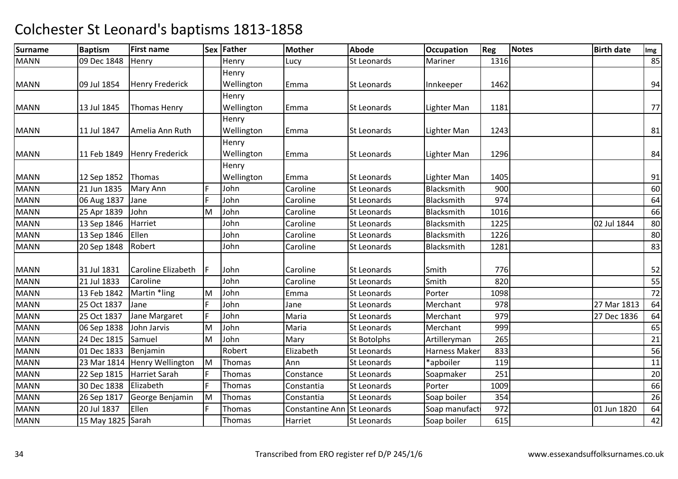| <b>Surname</b> | <b>Baptism</b>    | <b>First name</b>      |    | Sex Father | <b>Mother</b>               | <b>Abode</b>       | <b>Occupation</b>    | Reg  | <b>Notes</b> | <b>Birth date</b> | Img |
|----------------|-------------------|------------------------|----|------------|-----------------------------|--------------------|----------------------|------|--------------|-------------------|-----|
| <b>MANN</b>    | 09 Dec 1848       | Henry                  |    | Henry      | Lucy                        | St Leonards        | Mariner              | 1316 |              |                   | 85  |
|                |                   |                        |    | Henry      |                             |                    |                      |      |              |                   |     |
| <b>MANN</b>    | 09 Jul 1854       | <b>Henry Frederick</b> |    | Wellington | Emma                        | St Leonards        | Innkeeper            | 1462 |              |                   | 94  |
|                |                   |                        |    | Henry      |                             |                    |                      |      |              |                   |     |
| <b>MANN</b>    | 13 Jul 1845       | Thomas Henry           |    | Wellington | Emma                        | St Leonards        | Lighter Man          | 1181 |              |                   | 77  |
|                |                   |                        |    | Henry      |                             |                    |                      |      |              |                   |     |
| <b>MANN</b>    | 11 Jul 1847       | Amelia Ann Ruth        |    | Wellington | Emma                        | St Leonards        | Lighter Man          | 1243 |              |                   | 81  |
|                |                   |                        |    | Henry      |                             |                    |                      |      |              |                   |     |
| <b>MANN</b>    | 11 Feb 1849       | <b>Henry Frederick</b> |    | Wellington | Emma                        | St Leonards        | Lighter Man          | 1296 |              |                   | 84  |
|                |                   |                        |    | Henry      |                             |                    |                      |      |              |                   |     |
| <b>MANN</b>    | 12 Sep 1852       | Thomas                 |    | Wellington | Emma                        | St Leonards        | Lighter Man          | 1405 |              |                   | 91  |
| <b>MANN</b>    | 21 Jun 1835       | Mary Ann               | F  | John       | Caroline                    | St Leonards        | Blacksmith           | 900  |              |                   | 60  |
| <b>MANN</b>    | 06 Aug 1837       | Jane                   | F  | John       | Caroline                    | St Leonards        | Blacksmith           | 974  |              |                   | 64  |
| <b>MANN</b>    | 25 Apr 1839       | John                   | M  | John       | Caroline                    | <b>St Leonards</b> | Blacksmith           | 1016 |              |                   | 66  |
| <b>MANN</b>    | 13 Sep 1846       | Harriet                |    | John       | Caroline                    | St Leonards        | Blacksmith           | 1225 |              | 02 Jul 1844       | 80  |
| <b>MANN</b>    | 13 Sep 1846       | Ellen                  |    | John       | Caroline                    | St Leonards        | Blacksmith           | 1226 |              |                   | 80  |
| <b>MANN</b>    | 20 Sep 1848       | Robert                 |    | John       | Caroline                    | St Leonards        | Blacksmith           | 1281 |              |                   | 83  |
|                |                   |                        |    |            |                             |                    |                      |      |              |                   |     |
| <b>MANN</b>    | 31 Jul 1831       | Caroline Elizabeth     | IF | John       | Caroline                    | St Leonards        | Smith                | 776  |              |                   | 52  |
| <b>MANN</b>    | 21 Jul 1833       | Caroline               |    | John       | Caroline                    | St Leonards        | Smith                | 820  |              |                   | 55  |
| <b>MANN</b>    | 13 Feb 1842       | Martin *ling           | M  | John       | Emma                        | St Leonards        | Porter               | 1098 |              |                   | 72  |
| <b>MANN</b>    | 25 Oct 1837       | Jane                   | F. | John       | Jane                        | <b>St Leonards</b> | Merchant             | 978  |              | 27 Mar 1813       | 64  |
| <b>MANN</b>    | 25 Oct 1837       | Jane Margaret          | F  | John       | Maria                       | St Leonards        | Merchant             | 979  |              | 27 Dec 1836       | 64  |
| <b>MANN</b>    | 06 Sep 1838       | John Jarvis            | M  | John       | Maria                       | St Leonards        | Merchant             | 999  |              |                   | 65  |
| <b>MANN</b>    | 24 Dec 1815       | Samuel                 | M  | John       | Mary                        | <b>St Botolphs</b> | Artilleryman         | 265  |              |                   | 21  |
| <b>MANN</b>    | 01 Dec 1833       | Benjamin               |    | Robert     | Elizabeth                   | St Leonards        | <b>Harness Maker</b> | 833  |              |                   | 56  |
| <b>MANN</b>    | 23 Mar 1814       | Henry Wellington       | lм | Thomas     | Ann                         | St Leonards        | *apboiler            | 119  |              |                   | 11  |
| <b>MANN</b>    | 22 Sep 1815       | <b>Harriet Sarah</b>   | F  | Thomas     | Constance                   | St Leonards        | Soapmaker            | 251  |              |                   | 20  |
| <b>MANN</b>    | 30 Dec 1838       | Elizabeth              | F  | Thomas     | Constantia                  | <b>St Leonards</b> | Porter               | 1009 |              |                   | 66  |
| <b>MANN</b>    | 26 Sep 1817       | George Benjamin        | M  | Thomas     | Constantia                  | St Leonards        | Soap boiler          | 354  |              |                   | 26  |
| <b>MANN</b>    | 20 Jul 1837       | Ellen                  | F  | Thomas     | Constantine Ann St Leonards |                    | Soap manufact        | 972  |              | 01 Jun 1820       | 64  |
| <b>MANN</b>    | 15 May 1825 Sarah |                        |    | Thomas     | Harriet                     | St Leonards        | Soap boiler          | 615  |              |                   | 42  |
|                |                   |                        |    |            |                             |                    |                      |      |              |                   |     |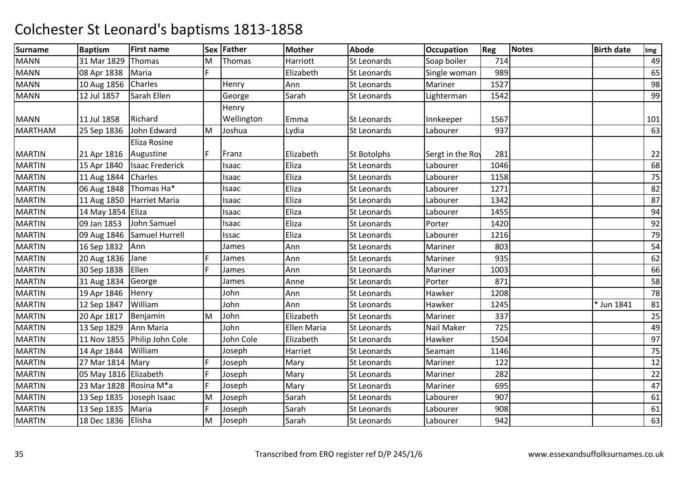| <b>Surname</b> | <b>Baptism</b>           | <b>First name</b>            |    | Sex Father | <b>Mother</b>      | <b>Abode</b>       | <b>Occupation</b> | Reg  | <b>Notes</b> | <b>Birth date</b> | Img |
|----------------|--------------------------|------------------------------|----|------------|--------------------|--------------------|-------------------|------|--------------|-------------------|-----|
| <b>MANN</b>    | 31 Mar 1829              | Thomas                       | M  | Thomas     | Harriott           | <b>St Leonards</b> | Soap boiler       | 714  |              |                   | 49  |
| <b>MANN</b>    | 08 Apr 1838              | Maria                        | F. |            | Elizabeth          | St Leonards        | Single woman      | 989  |              |                   | 65  |
| <b>MANN</b>    | 10 Aug 1856              | Charles                      |    | Henry      | Ann                | St Leonards        | Mariner           | 1527 |              |                   | 98  |
| <b>MANN</b>    | 12 Jul 1857              | Sarah Ellen                  |    | George     | Sarah              | <b>St Leonards</b> | Lighterman        | 1542 |              |                   | 99  |
|                |                          |                              |    | Henry      |                    |                    |                   |      |              |                   |     |
| <b>MANN</b>    | 11 Jul 1858              | Richard                      |    | Wellington | Emma               | St Leonards        | Innkeeper         | 1567 |              |                   | 101 |
| <b>MARTHAM</b> | 25 Sep 1836              | John Edward                  | M  | Joshua     | Lydia              | <b>St Leonards</b> | Labourer          | 937  |              |                   | 63  |
|                |                          | Eliza Rosine                 |    |            |                    |                    |                   |      |              |                   |     |
| <b>MARTIN</b>  | 21 Apr 1816              | Augustine                    | F  | Franz      | Elizabeth          | St Botolphs        | Sergt in the Roy  | 281  |              |                   | 22  |
| <b>MARTIN</b>  | 15 Apr 1840              | <b>Isaac Frederick</b>       |    | Isaac      | Eliza              | St Leonards        | Labourer          | 1046 |              |                   | 68  |
| <b>MARTIN</b>  | 11 Aug 1844 Charles      |                              |    | Isaac      | Eliza              | <b>St Leonards</b> | Labourer          | 1158 |              |                   | 75  |
| <b>MARTIN</b>  |                          | 06 Aug 1848   Thomas Ha*     |    | Isaac      | Eliza              | <b>St Leonards</b> | Labourer          | 1271 |              |                   | 82  |
| <b>MARTIN</b>  | 11 Aug 1850              | Harriet Maria                |    | Isaac      | Eliza              | St Leonards        | Labourer          | 1342 |              |                   | 87  |
| <b>MARTIN</b>  | 14 May 1854 Eliza        |                              |    | Isaac      | Eliza              | <b>St Leonards</b> | Labourer          | 1455 |              |                   | 94  |
| <b>MARTIN</b>  | 09 Jan 1853              | John Samuel                  |    | Isaac      | Eliza              | St Leonards        | Porter            | 1420 |              |                   | 92  |
| <b>MARTIN</b>  | 09 Aug 1846              | Samuel Hurrell               |    | Issac      | Eliza              | <b>St Leonards</b> | Labourer          | 1216 |              |                   | 79  |
| <b>MARTIN</b>  | 16 Sep 1832              | Ann                          |    | James      | Ann                | St Leonards        | Mariner           | 803  |              |                   | 54  |
| <b>MARTIN</b>  | 20 Aug 1836              | Jane                         | Е  | James      | Ann                | St Leonards        | Mariner           | 935  |              |                   | 62  |
| <b>MARTIN</b>  | 30 Sep 1838              | Ellen                        | E  | James      | Ann                | St Leonards        | Mariner           | 1003 |              |                   | 66  |
| <b>MARTIN</b>  | 31 Aug 1834              | George                       |    | James      | Anne               | St Leonards        | Porter            | 871  |              |                   | 58  |
| <b>MARTIN</b>  | 19 Apr 1846              | Henry                        |    | John       | Ann                | St Leonards        | Hawker            | 1208 |              |                   | 78  |
| <b>MARTIN</b>  | 12 Sep 1847              | William                      |    | John       | Ann                | <b>St Leonards</b> | Hawker            | 1245 |              | * Jun 1841        | 81  |
| <b>MARTIN</b>  | 20 Apr 1817              | Benjamin                     | M  | John       | Elizabeth          | <b>St Leonards</b> | Mariner           | 337  |              |                   | 25  |
| <b>MARTIN</b>  | 13 Sep 1829              | Ann Maria                    |    | John       | <b>Ellen Maria</b> | St Leonards        | Nail Maker        | 725  |              |                   | 49  |
| <b>MARTIN</b>  |                          | 11 Nov 1855 Philip John Cole |    | John Cole  | Elizabeth          | St Leonards        | Hawker            | 1504 |              |                   | 97  |
| <b>MARTIN</b>  | 14 Apr 1844              | William                      |    | Joseph     | Harriet            | St Leonards        | Seaman            | 1146 |              |                   | 75  |
| <b>MARTIN</b>  | 27 Mar 1814 Mary         |                              | F  | Joseph     | Mary               | St Leonards        | Mariner           | 122  |              |                   | 12  |
| <b>MARTIN</b>  | 05 May 1816 Elizabeth    |                              | F  | Joseph     | Mary               | <b>St Leonards</b> | Mariner           | 282  |              |                   | 22  |
| <b>MARTIN</b>  | 23 Mar 1828   Rosina M*a |                              | F  | Joseph     | Mary               | St Leonards        | Mariner           | 695  |              |                   | 47  |
| <b>MARTIN</b>  | 13 Sep 1835              | Joseph Isaac                 | M  | Joseph     | Sarah              | <b>St Leonards</b> | Labourer          | 907  |              |                   | 61  |
| <b>MARTIN</b>  | 13 Sep 1835              | Maria                        | F  | Joseph     | Sarah              | St Leonards        | Labourer          | 908  |              |                   | 61  |
| <b>MARTIN</b>  | 18 Dec 1836              | Elisha                       | M  | Joseph     | Sarah              | <b>St Leonards</b> | Labourer          | 942  |              |                   | 63  |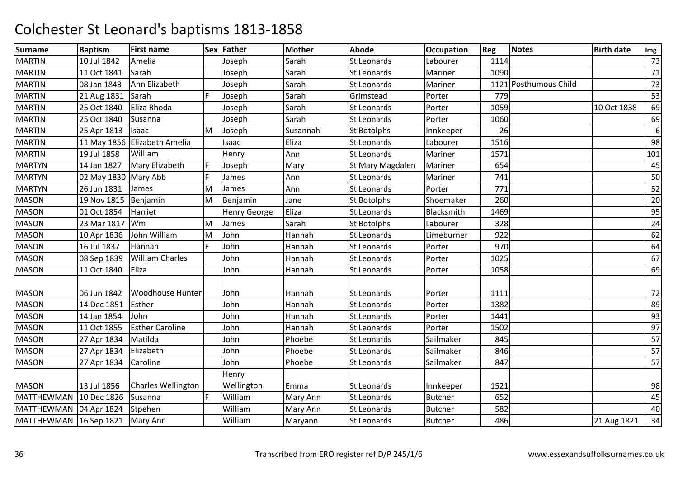| <b>Surname</b>         | <b>Baptism</b>       | <b>First name</b>            |   | Sex Father          | <b>Mother</b> | <b>Abode</b>       | <b>Occupation</b> | Reg  | Notes                 | <b>Birth date</b> | Img |
|------------------------|----------------------|------------------------------|---|---------------------|---------------|--------------------|-------------------|------|-----------------------|-------------------|-----|
| <b>MARTIN</b>          | 10 Jul 1842          | Amelia                       |   | Joseph              | Sarah         | St Leonards        | Labourer          | 1114 |                       |                   | 73  |
| <b>MARTIN</b>          | 11 Oct 1841          | Sarah                        |   | Joseph              | Sarah         | <b>St Leonards</b> | Mariner           | 1090 |                       |                   | 71  |
| <b>MARTIN</b>          | 08 Jan 1843          | Ann Elizabeth                |   | Joseph              | Sarah         | St Leonards        | Mariner           |      | 1121 Posthumous Child |                   | 73  |
| <b>MARTIN</b>          | 21 Aug 1831          | Sarah                        | E | Joseph              | Sarah         | Grimstead          | Porter            | 779  |                       |                   | 53  |
| <b>MARTIN</b>          | 25 Oct 1840          | Eliza Rhoda                  |   | Joseph              | Sarah         | St Leonards        | Porter            | 1059 |                       | 10 Oct 1838       | 69  |
| <b>MARTIN</b>          | 25 Oct 1840          | Susanna                      |   | Joseph              | Sarah         | <b>St Leonards</b> | Porter            | 1060 |                       |                   | 69  |
| <b>MARTIN</b>          | 25 Apr 1813          | Isaac                        | M | Joseph              | Susannah      | St Botolphs        | Innkeeper         | 26   |                       |                   | 6   |
| <b>MARTIN</b>          |                      | 11 May 1856 Elizabeth Amelia |   | Isaac               | Eliza         | <b>St Leonards</b> | Labourer          | 1516 |                       |                   | 98  |
| <b>MARTIN</b>          | 19 Jul 1858          | William                      |   | Henry               | Ann           | St Leonards        | Mariner           | 1571 |                       |                   | 101 |
| <b>MARTYN</b>          | 14 Jan 1827          | Mary Elizabeth               | F | Joseph              | Mary          | St Mary Magdalen   | Mariner           | 654  |                       |                   | 45  |
| <b>MARTYN</b>          | 02 May 1830 Mary Abb |                              | E | James               | Ann           | St Leonards        | Mariner           | 741  |                       |                   | 50  |
| <b>MARTYN</b>          | 26 Jun 1831          | James                        | M | James               | Ann           | <b>St Leonards</b> | Porter            | 771  |                       |                   | 52  |
| <b>MASON</b>           | 19 Nov 1815          | Benjamin                     | M | Benjamin            | Jane          | St Botolphs        | Shoemaker         | 260  |                       |                   | 20  |
| <b>MASON</b>           | 01 Oct 1854          | Harriet                      |   | <b>Henry George</b> | Eliza         | <b>St Leonards</b> | Blacksmith        | 1469 |                       |                   | 95  |
| <b>MASON</b>           | 23 Mar 1817          | Wm                           | M | James               | Sarah         | St Botolphs        | Labourer          | 328  |                       |                   | 24  |
| <b>MASON</b>           | 10 Apr 1836          | John William                 | M | John                | Hannah        | St Leonards        | Limeburner        | 922  |                       |                   | 62  |
| <b>MASON</b>           | 16 Jul 1837          | Hannah                       | E | John                | Hannah        | <b>St Leonards</b> | Porter            | 970  |                       |                   | 64  |
| <b>MASON</b>           | 08 Sep 1839          | <b>William Charles</b>       |   | John                | Hannah        | <b>St Leonards</b> | Porter            | 1025 |                       |                   | 67  |
| <b>MASON</b>           | 11 Oct 1840          | Eliza                        |   | John                | Hannah        | St Leonards        | Porter            | 1058 |                       |                   | 69  |
| <b>MASON</b>           | 06 Jun 1842          | <b>Woodhouse Hunter</b>      |   | John                | Hannah        | <b>St Leonards</b> | Porter            | 1111 |                       |                   | 72  |
| <b>MASON</b>           | 14 Dec 1851          | Esther                       |   | John                | Hannah        | <b>St Leonards</b> | Porter            | 1382 |                       |                   | 89  |
| <b>MASON</b>           | 14 Jan 1854          | John                         |   | John                | Hannah        | <b>St Leonards</b> | Porter            | 1441 |                       |                   | 93  |
| <b>MASON</b>           | 11 Oct 1855          | <b>Esther Caroline</b>       |   | John                | Hannah        | St Leonards        | Porter            | 1502 |                       |                   | 97  |
| <b>MASON</b>           | 27 Apr 1834          | Matilda                      |   | John                | Phoebe        | St Leonards        | Sailmaker         | 845  |                       |                   | 57  |
| <b>MASON</b>           | 27 Apr 1834          | Elizabeth                    |   | John                | Phoebe        | St Leonards        | Sailmaker         | 846  |                       |                   | 57  |
| <b>MASON</b>           | 27 Apr 1834          | Caroline                     |   | John                | Phoebe        | St Leonards        | Sailmaker         | 847  |                       |                   | 57  |
| <b>MASON</b>           | 13 Jul 1856          | <b>Charles Wellington</b>    |   | Henry<br>Wellington | Emma          | <b>St Leonards</b> | Innkeeper         | 1521 |                       |                   | 98  |
| <b>MATTHEWMAN</b>      | 10 Dec 1826          | Susanna                      | F | William             | Mary Ann      | <b>St Leonards</b> | <b>Butcher</b>    | 652  |                       |                   | 45  |
| MATTHEWMAN             | 04 Apr 1824          | Stpehen                      |   | William             | Mary Ann      | <b>St Leonards</b> | <b>Butcher</b>    | 582  |                       |                   | 40  |
| MATTHEWMAN 16 Sep 1821 |                      | Mary Ann                     |   | William             | Maryann       | <b>St Leonards</b> | <b>Butcher</b>    | 486  |                       | 21 Aug 1821       | 34  |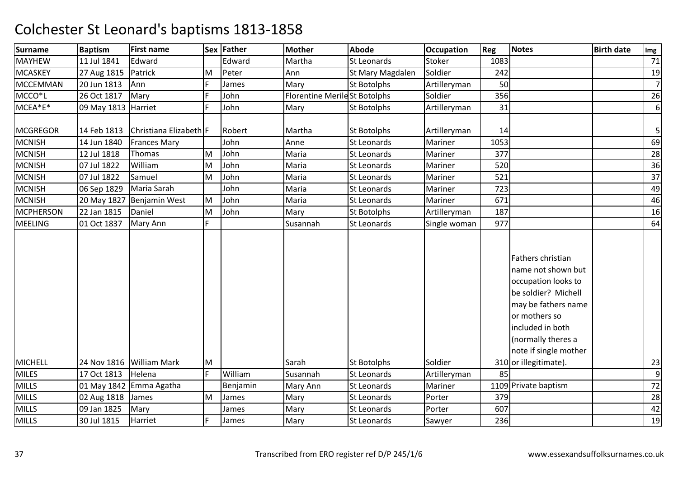| <b>Surname</b>      | <b>Baptism</b>      | <b>First name</b>        |   | Sex Father | <b>Mother</b>                | <b>Abode</b>       | <b>Occupation</b> | Reg  | Notes                                                                                                                                                                                                                     | <b>Birth date</b> | Img            |
|---------------------|---------------------|--------------------------|---|------------|------------------------------|--------------------|-------------------|------|---------------------------------------------------------------------------------------------------------------------------------------------------------------------------------------------------------------------------|-------------------|----------------|
| <b>MAYHEW</b>       | 11 Jul 1841         | Edward                   |   | Edward     | Martha                       | <b>St Leonards</b> | Stoker            | 1083 |                                                                                                                                                                                                                           |                   | 71             |
| <b>MCASKEY</b>      | 27 Aug 1815         | Patrick                  | M | Peter      | Ann                          | St Mary Magdalen   | Soldier           | 242  |                                                                                                                                                                                                                           |                   | 19             |
| <b>MCCEMMAN</b>     | 20 Jun 1813         | Ann                      | F | James      | Mary                         | St Botolphs        | Artilleryman      | 50   |                                                                                                                                                                                                                           |                   | $\overline{7}$ |
| MCCO <sup>*</sup> L | 26 Oct 1817         | Mary                     | F | John       | Florentine MerileSt Botolphs |                    | Soldier           | 356  |                                                                                                                                                                                                                           |                   | 26             |
| MCEA*E*             | 09 May 1813 Harriet |                          | F | John       | Mary                         | <b>St Botolphs</b> | Artilleryman      | 31   |                                                                                                                                                                                                                           |                   | 6              |
| <b>MCGREGOR</b>     | 14 Feb 1813         | Christiana Elizabeth F   |   | Robert     | Martha                       | <b>St Botolphs</b> | Artilleryman      | 14   |                                                                                                                                                                                                                           |                   | 5              |
| <b>MCNISH</b>       | 14 Jun 1840         | <b>Frances Mary</b>      |   | John       | Anne                         | St Leonards        | Mariner           | 1053 |                                                                                                                                                                                                                           |                   | 69             |
| <b>MCNISH</b>       | 12 Jul 1818         | Thomas                   | M | John       | Maria                        | St Leonards        | Mariner           | 377  |                                                                                                                                                                                                                           |                   | 28             |
| <b>MCNISH</b>       | 07 Jul 1822         | William                  | M | John       | Maria                        | <b>St Leonards</b> | Mariner           | 520  |                                                                                                                                                                                                                           |                   | 36             |
| <b>MCNISH</b>       | 07 Jul 1822         | Samuel                   | M | John       | Maria                        | St Leonards        | Mariner           | 521  |                                                                                                                                                                                                                           |                   | 37             |
| <b>MCNISH</b>       | 06 Sep 1829         | Maria Sarah              |   | John       | Maria                        | St Leonards        | Mariner           | 723  |                                                                                                                                                                                                                           |                   | 49             |
| <b>MCNISH</b>       | 20 May 1827         | <b>Benjamin West</b>     | M | John       | Maria                        | St Leonards        | Mariner           | 671  |                                                                                                                                                                                                                           |                   | 46             |
| <b>MCPHERSON</b>    | 22 Jan 1815         | Daniel                   | M | John       | Mary                         | St Botolphs        | Artilleryman      | 187  |                                                                                                                                                                                                                           |                   | 16             |
| <b>MEELING</b>      | 01 Oct 1837         | Mary Ann                 | F |            | Susannah                     | <b>St Leonards</b> | Single woman      | 977  |                                                                                                                                                                                                                           |                   | 64             |
| <b>MICHELL</b>      |                     | 24 Nov 1816 William Mark | M |            | Sarah                        | <b>St Botolphs</b> | Soldier           |      | Fathers christian<br>name not shown but<br>occupation looks to<br>be soldier? Michell<br>may be fathers name<br>or mothers so<br>included in both<br>(normally theres a<br>note if single mother<br>310 or illegitimate). |                   | 23             |
|                     |                     |                          |   |            |                              |                    |                   |      |                                                                                                                                                                                                                           |                   |                |
| <b>MILES</b>        | 17 Oct 1813         | Helena                   | F | William    | Susannah                     | St Leonards        | Artilleryman      | 85   |                                                                                                                                                                                                                           |                   | 9              |
| <b>MILLS</b>        |                     | 01 May 1842 Emma Agatha  |   | Benjamin   | Mary Ann                     | <b>St Leonards</b> | Mariner           |      | 1109 Private baptism                                                                                                                                                                                                      |                   | 72             |
| <b>MILLS</b>        | 02 Aug 1818         | James                    | M | James      | Mary                         | St Leonards        | Porter            | 379  |                                                                                                                                                                                                                           |                   | 28             |
| <b>MILLS</b>        | 09 Jan 1825         | Mary                     |   | James      | Mary                         | St Leonards        | Porter            | 607  |                                                                                                                                                                                                                           |                   | 42             |
| <b>MILLS</b>        | 30 Jul 1815         | Harriet                  | E | James      | Mary                         | <b>St Leonards</b> | Sawyer            | 236  |                                                                                                                                                                                                                           |                   | 19             |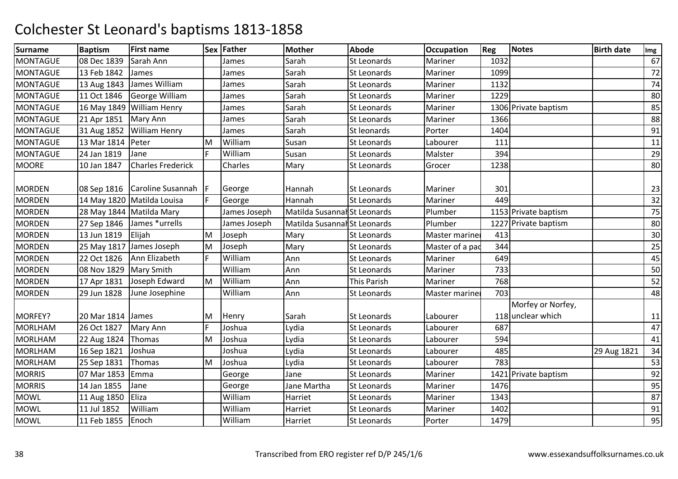| <b>Surname</b>  | <b>Baptism</b> | <b>First name</b>          |    | Sex Father   | <b>Mother</b>                | <b>Abode</b>       | <b>Occupation</b>     | Reg  | <b>Notes</b>                           | <b>Birth date</b> | Img |
|-----------------|----------------|----------------------------|----|--------------|------------------------------|--------------------|-----------------------|------|----------------------------------------|-------------------|-----|
| <b>MONTAGUE</b> | 08 Dec 1839    | Sarah Ann                  |    | James        | Sarah                        | <b>St Leonards</b> | Mariner               | 1032 |                                        |                   | 67  |
| <b>MONTAGUE</b> | 13 Feb 1842    | James                      |    | James        | Sarah                        | <b>St Leonards</b> | Mariner               | 1099 |                                        |                   | 72  |
| <b>MONTAGUE</b> | 13 Aug 1843    | James William              |    | James        | Sarah                        | <b>St Leonards</b> | Mariner               | 1132 |                                        |                   | 74  |
| <b>MONTAGUE</b> | 11 Oct 1846    | George William             |    | James        | Sarah                        | <b>St Leonards</b> | Mariner               | 1229 |                                        |                   | 80  |
| <b>MONTAGUE</b> |                | 16 May 1849 William Henry  |    | James        | Sarah                        | St Leonards        | Mariner               |      | 1306 Private baptism                   |                   | 85  |
| <b>MONTAGUE</b> | 21 Apr 1851    | Mary Ann                   |    | James        | Sarah                        | <b>St Leonards</b> | Mariner               | 1366 |                                        |                   | 88  |
| <b>MONTAGUE</b> | 31 Aug 1852    | <b>William Henry</b>       |    | James        | Sarah                        | St leonards        | Porter                | 1404 |                                        |                   | 91  |
| <b>MONTAGUE</b> | 13 Mar 1814    | Peter                      | M  | William      | Susan                        | St Leonards        | Labourer              | 111  |                                        |                   | 11  |
| <b>MONTAGUE</b> | 24 Jan 1819    | Jane                       | F  | William      | Susan                        | St Leonards        | Malster               | 394  |                                        |                   | 29  |
| <b>MOORE</b>    | 10 Jan 1847    | <b>Charles Frederick</b>   |    | Charles      | Mary                         | <b>St Leonards</b> | Grocer                | 1238 |                                        |                   | 80  |
| <b>MORDEN</b>   | 08 Sep 1816    | Caroline Susannah          | IF | George       | Hannah                       | <b>St Leonards</b> | Mariner               | 301  |                                        |                   | 23  |
| <b>MORDEN</b>   |                | 14 May 1820 Matilda Louisa | F  | George       | Hannah                       | <b>St Leonards</b> | Mariner               | 449  |                                        |                   | 32  |
| <b>MORDEN</b>   |                | 28 May 1844   Matilda Mary |    | James Joseph | Matilda Susannal St Leonards |                    | Plumber               |      | 1153 Private baptism                   |                   | 75  |
| <b>MORDEN</b>   | 27 Sep 1846    | James *urrells             |    | James Joseph | Matilda Susannal St Leonards |                    | Plumber               |      | 1227 Private baptism                   |                   | 80  |
| <b>MORDEN</b>   | 13 Jun 1819    | Elijah                     | M  | Joseph       | Mary                         | <b>St Leonards</b> | Master mariner        | 413  |                                        |                   | 30  |
| <b>MORDEN</b>   |                | 25 May 1817 James Joseph   | M  | Joseph       | Mary                         | St Leonards        | Master of a pad       | 344  |                                        |                   | 25  |
| <b>MORDEN</b>   | 22 Oct 1826    | Ann Elizabeth              | F  | William      | Ann                          | <b>St Leonards</b> | Mariner               | 649  |                                        |                   | 45  |
| <b>MORDEN</b>   | 08 Nov 1829    | <b>Mary Smith</b>          |    | William      | Ann                          | <b>St Leonards</b> | Mariner               | 733  |                                        |                   | 50  |
| <b>MORDEN</b>   | 17 Apr 1831    | Joseph Edward              | M  | William      | Ann                          | This Parish        | Mariner               | 768  |                                        |                   | 52  |
| <b>MORDEN</b>   | 29 Jun 1828    | June Josephine             |    | William      | Ann                          | St Leonards        | <b>Master mariner</b> | 703  |                                        |                   | 48  |
| MORFEY?         | 20 Mar 1814    | James                      | M  | Henry        | Sarah                        | <b>St Leonards</b> | Labourer              |      | Morfey or Norfey,<br>118 unclear which |                   | 11  |
| <b>MORLHAM</b>  | 26 Oct 1827    | Mary Ann                   | F  | Joshua       | Lydia                        | <b>St Leonards</b> | Labourer              | 687  |                                        |                   | 47  |
| <b>MORLHAM</b>  | 22 Aug 1824    | Thomas                     | M  | Joshua       | Lydia                        | St Leonards        | Labourer              | 594  |                                        |                   | 41  |
| <b>MORLHAM</b>  | 16 Sep 1821    | Joshua                     |    | Joshua       | Lydia                        | St Leonards        | Labourer              | 485  |                                        | 29 Aug 1821       | 34  |
| <b>MORLHAM</b>  | 25 Sep 1831    | Thomas                     | M  | Joshua       | Lydia                        | <b>St Leonards</b> | Labourer              | 783  |                                        |                   | 53  |
| <b>MORRIS</b>   | 07 Mar 1853    | Emma                       |    | George       | Jane                         | St Leonards        | Mariner               |      | 1421 Private baptism                   |                   | 92  |
| <b>MORRIS</b>   | 14 Jan 1855    | Jane                       |    | George       | Jane Martha                  | <b>St Leonards</b> | Mariner               | 1476 |                                        |                   | 95  |
| <b>MOWL</b>     | 11 Aug 1850    | Eliza                      |    | William      | Harriet                      | St Leonards        | Mariner               | 1343 |                                        |                   | 87  |
| <b>MOWL</b>     | 11 Jul 1852    | William                    |    | William      | Harriet                      | <b>St Leonards</b> | Mariner               | 1402 |                                        |                   | 91  |
| <b>MOWL</b>     | 11 Feb 1855    | Enoch                      |    | William      | Harriet                      | <b>St Leonards</b> | Porter                | 1479 |                                        |                   | 95  |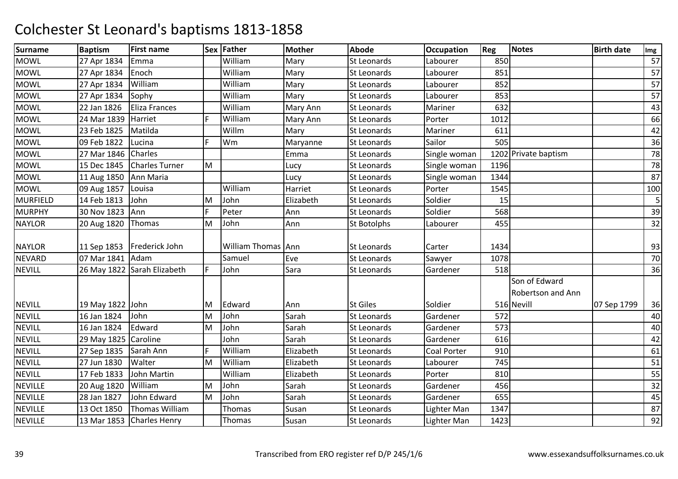| <b>Surname</b>  | <b>Baptism</b>       | <b>First name</b>           |    | Sex Father         | <b>Mother</b> | <b>Abode</b>       | <b>Occupation</b>  | <b>Reg</b> | <b>Notes</b>         | <b>Birth date</b> | Img |
|-----------------|----------------------|-----------------------------|----|--------------------|---------------|--------------------|--------------------|------------|----------------------|-------------------|-----|
| <b>MOWL</b>     | 27 Apr 1834          | Emma                        |    | William            | Mary          | <b>St Leonards</b> | Labourer           | 850        |                      |                   | 57  |
| <b>MOWL</b>     | 27 Apr 1834          | Enoch                       |    | William            | Mary          | <b>St Leonards</b> | Labourer           | 851        |                      |                   | 57  |
| <b>MOWL</b>     | 27 Apr 1834          | William                     |    | William            | Mary          | <b>St Leonards</b> | Labourer           | 852        |                      |                   | 57  |
| <b>MOWL</b>     | 27 Apr 1834          | Sophy                       |    | William            | Mary          | <b>St Leonards</b> | Labourer           | 853        |                      |                   | 57  |
| <b>MOWL</b>     | 22 Jan 1826          | <b>Eliza Frances</b>        |    | William            | Mary Ann      | St Leonards        | Mariner            | 632        |                      |                   | 43  |
| <b>MOWL</b>     | 24 Mar 1839          | Harriet                     | F. | William            | Mary Ann      | St Leonards        | Porter             | 1012       |                      |                   | 66  |
| <b>MOWL</b>     | 23 Feb 1825          | Matilda                     |    | Willm              | Mary          | <b>St Leonards</b> | Mariner            | 611        |                      |                   | 42  |
| <b>MOWL</b>     | 09 Feb 1822          | Lucina                      | F. | Wm                 | Maryanne      | <b>St Leonards</b> | Sailor             | 505        |                      |                   | 36  |
| <b>MOWL</b>     | 27 Mar 1846          | Charles                     |    |                    | Emma          | St Leonards        | Single woman       |            | 1202 Private baptism |                   | 78  |
| <b>MOWL</b>     | 15 Dec 1845          | <b>Charles Turner</b>       | M  |                    | Lucy          | <b>St Leonards</b> | Single woman       | 1196       |                      |                   | 78  |
| <b>MOWL</b>     | 11 Aug 1850          | Ann Maria                   |    |                    | Lucy          | St Leonards        | Single woman       | 1344       |                      |                   | 87  |
| <b>MOWL</b>     | 09 Aug 1857          | Louisa                      |    | William            | Harriet       | St Leonards        | Porter             | 1545       |                      |                   | 100 |
| <b>MURFIELD</b> | 14 Feb 1813          | John                        | M  | John               | Elizabeth     | <b>St Leonards</b> | Soldier            | 15         |                      |                   | 5   |
| <b>MURPHY</b>   | 30 Nov 1823          | Ann                         | F. | Peter              | Ann           | St Leonards        | Soldier            | 568        |                      |                   | 39  |
| <b>NAYLOR</b>   | 20 Aug 1820          | Thomas                      | M  | John               | Ann           | <b>St Botolphs</b> | Labourer           | 455        |                      |                   | 32  |
|                 |                      |                             |    |                    |               |                    |                    |            |                      |                   |     |
| <b>NAYLOR</b>   | 11 Sep 1853          | Frederick John              |    | William Thomas Ann |               | St Leonards        | Carter             | 1434       |                      |                   | 93  |
| <b>NEVARD</b>   | 07 Mar 1841 Adam     |                             |    | Samuel             | Eve           | St Leonards        | Sawyer             | 1078       |                      |                   | 70  |
| <b>NEVILL</b>   |                      | 26 May 1822 Sarah Elizabeth | F. | John               | Sara          | <b>St Leonards</b> | Gardener           | 518        |                      |                   | 36  |
|                 |                      |                             |    |                    |               |                    |                    |            | Son of Edward        |                   |     |
|                 |                      |                             |    |                    |               |                    |                    |            | Robertson and Ann    |                   |     |
| <b>NEVILL</b>   | 19 May 1822 John     |                             | M  | Edward             | Ann           | <b>St Giles</b>    | Soldier            |            | 516 Nevill           | 07 Sep 1799       | 36  |
| <b>NEVILL</b>   | 16 Jan 1824          | John                        | M  | John               | Sarah         | St Leonards        | Gardener           | 572        |                      |                   | 40  |
| <b>NEVILL</b>   | 16 Jan 1824          | Edward                      | M  | John               | Sarah         | St Leonards        | Gardener           | 573        |                      |                   | 40  |
| <b>NEVILL</b>   | 29 May 1825 Caroline |                             |    | John               | Sarah         | <b>St Leonards</b> | Gardener           | 616        |                      |                   | 42  |
| <b>NEVILL</b>   | 27 Sep 1835          | Sarah Ann                   | F. | William            | Elizabeth     | St Leonards        | <b>Coal Porter</b> | 910        |                      |                   | 61  |
| <b>NEVILL</b>   | 27 Jun 1830          | Walter                      | M  | William            | Elizabeth     | St Leonards        | Labourer           | 745        |                      |                   | 51  |
| <b>NEVILL</b>   | 17 Feb 1833          | John Martin                 |    | William            | Elizabeth     | <b>St Leonards</b> | Porter             | 810        |                      |                   | 55  |
| <b>NEVILLE</b>  | 20 Aug 1820          | William                     | M  | John               | Sarah         | <b>St Leonards</b> | Gardener           | 456        |                      |                   | 32  |
| <b>NEVILLE</b>  | 28 Jan 1827          | John Edward                 | M  | John               | Sarah         | <b>St Leonards</b> | Gardener           | 655        |                      |                   | 45  |
| <b>NEVILLE</b>  | 13 Oct 1850          | Thomas William              |    | <b>Thomas</b>      | Susan         | St Leonards        | Lighter Man        | 1347       |                      |                   | 87  |
| <b>NEVILLE</b>  |                      | 13 Mar 1853 Charles Henry   |    | Thomas             | Susan         | <b>St Leonards</b> | Lighter Man        | 1423       |                      |                   | 92  |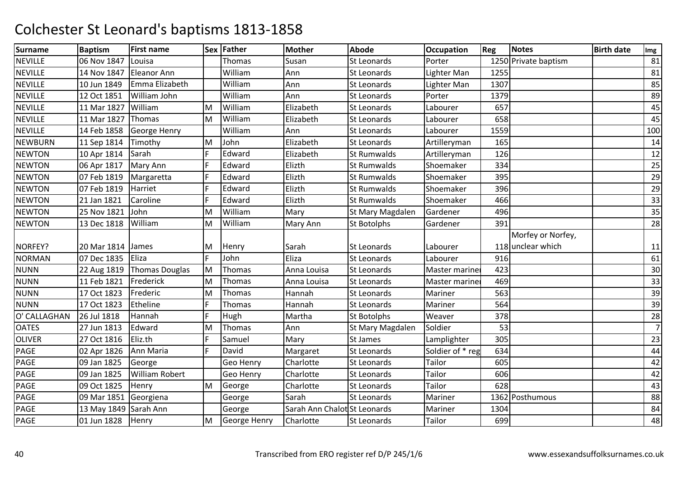| <b>Surname</b> | <b>Baptism</b>        | <b>First name</b>     |    | Sex Father   | <b>Mother</b>                | <b>Abode</b>       | <b>Occupation</b> | Reg  | Notes                | <b>Birth date</b> | Img            |
|----------------|-----------------------|-----------------------|----|--------------|------------------------------|--------------------|-------------------|------|----------------------|-------------------|----------------|
| <b>NEVILLE</b> | 06 Nov 1847           | Louisa                |    | Thomas       | Susan                        | <b>St Leonards</b> | Porter            |      | 1250 Private baptism |                   | 81             |
| <b>NEVILLE</b> | 14 Nov 1847           | <b>Eleanor Ann</b>    |    | William      | Ann                          | St Leonards        | Lighter Man       | 1255 |                      |                   | 81             |
| <b>NEVILLE</b> | 10 Jun 1849           | Emma Elizabeth        |    | William      | Ann                          | St Leonards        | Lighter Man       | 1307 |                      |                   | 85             |
| <b>NEVILLE</b> | 12 Oct 1851           | William John          |    | William      | Ann                          | <b>St Leonards</b> | Porter            | 1379 |                      |                   | 89             |
| <b>NEVILLE</b> | 11 Mar 1827           | William               | M  | William      | Elizabeth                    | St Leonards        | Labourer          | 657  |                      |                   | 45             |
| <b>NEVILLE</b> | 11 Mar 1827           | Thomas                | M  | William      | Elizabeth                    | St Leonards        | Labourer          | 658  |                      |                   | 45             |
| <b>NEVILLE</b> | 14 Feb 1858           | George Henry          |    | William      | Ann                          | <b>St Leonards</b> | Labourer          | 1559 |                      |                   | 100            |
| <b>NEWBURN</b> | 11 Sep 1814           | Timothy               | M  | John         | Elizabeth                    | <b>St Leonards</b> | Artilleryman      | 165  |                      |                   | 14             |
| <b>NEWTON</b>  | 10 Apr 1814           | Sarah                 |    | Edward       | Elizabeth                    | <b>St Rumwalds</b> | Artilleryman      | 126  |                      |                   | 12             |
| <b>NEWTON</b>  | 06 Apr 1817           | Mary Ann              | F. | Edward       | Elizth                       | St Rumwalds        | Shoemaker         | 334  |                      |                   | 25             |
| <b>NEWTON</b>  | 07 Feb 1819           | Margaretta            | F  | Edward       | Elizth                       | <b>St Rumwalds</b> | Shoemaker         | 395  |                      |                   | 29             |
| <b>NEWTON</b>  | 07 Feb 1819           | Harriet               | F. | Edward       | Elizth                       | <b>St Rumwalds</b> | Shoemaker         | 396  |                      |                   | 29             |
| <b>NEWTON</b>  | 21 Jan 1821           | Caroline              | F. | Edward       | Elizth                       | <b>St Rumwalds</b> | Shoemaker         | 466  |                      |                   | 33             |
| <b>NEWTON</b>  | 25 Nov 1821           | John                  | M  | William      | Mary                         | St Mary Magdalen   | Gardener          | 496  |                      |                   | 35             |
| <b>NEWTON</b>  | 13 Dec 1818           | William               | M  | William      | Mary Ann                     | <b>St Botolphs</b> | Gardener          | 391  |                      |                   | 28             |
|                |                       |                       |    |              |                              |                    |                   |      | Morfey or Norfey,    |                   |                |
| NORFEY?        | 20 Mar 1814 James     |                       | M  | Henry        | Sarah                        | St Leonards        | Labourer          |      | 118 unclear which    |                   | 11             |
| <b>NORMAN</b>  | 07 Dec 1835           | Eliza                 | F. | John         | Eliza                        | <b>St Leonards</b> | Labourer          | 916  |                      |                   | 61             |
| <b>NUNN</b>    | 22 Aug 1819           | Thomas Douglas        | M  | Thomas       | Anna Louisa                  | <b>St Leonards</b> | Master mariner    | 423  |                      |                   | 30             |
| <b>NUNN</b>    | 11 Feb 1821           | Frederick             | M  | Thomas       | Anna Louisa                  | <b>St Leonards</b> | Master marine     | 469  |                      |                   | 33             |
| <b>NUNN</b>    | 17 Oct 1823           | Frederic              | M  | Thomas       | Hannah                       | St Leonards        | Mariner           | 563  |                      |                   | 39             |
| <b>NUNN</b>    | 17 Oct 1823           | Etheline              | F. | Thomas       | Hannah                       | St Leonards        | Mariner           | 564  |                      |                   | 39             |
| O' CALLAGHAN   | 26 Jul 1818           | Hannah                | F. | Hugh         | Martha                       | <b>St Botolphs</b> | Weaver            | 378  |                      |                   | 28             |
| <b>OATES</b>   | 27 Jun 1813           | Edward                | M  | Thomas       | Ann                          | St Mary Magdalen   | Soldier           | 53   |                      |                   | $\overline{7}$ |
| <b>OLIVER</b>  | 27 Oct 1816           | Eliz.th               |    | Samuel       | Mary                         | St James           | Lamplighter       | 305  |                      |                   | 23             |
| PAGE           | 02 Apr 1826           | Ann Maria             | F. | David        | Margaret                     | St Leonards        | Soldier of * reg  | 634  |                      |                   | 44             |
| PAGE           | 09 Jan 1825           | George                |    | Geo Henry    | Charlotte                    | St Leonards        | Tailor            | 605  |                      |                   | 42             |
| PAGE           | 09 Jan 1825           | <b>William Robert</b> |    | Geo Henry    | Charlotte                    | <b>St Leonards</b> | Tailor            | 606  |                      |                   | 42             |
| PAGE           | 09 Oct 1825           | Henry                 | M  | George       | Charlotte                    | St Leonards        | <b>Tailor</b>     | 628  |                      |                   | 43             |
| PAGE           | 09 Mar 1851           | Georgiena             |    | George       | Sarah                        | St Leonards        | Mariner           |      | 1362 Posthumous      |                   | 88             |
| PAGE           | 13 May 1849 Sarah Ann |                       |    | George       | Sarah Ann Chalot St Leonards |                    | Mariner           | 1304 |                      |                   | 84             |
| PAGE           | 01 Jun 1828           | Henry                 | M  | George Henry | Charlotte                    | St Leonards        | Tailor            | 699  |                      |                   | 48             |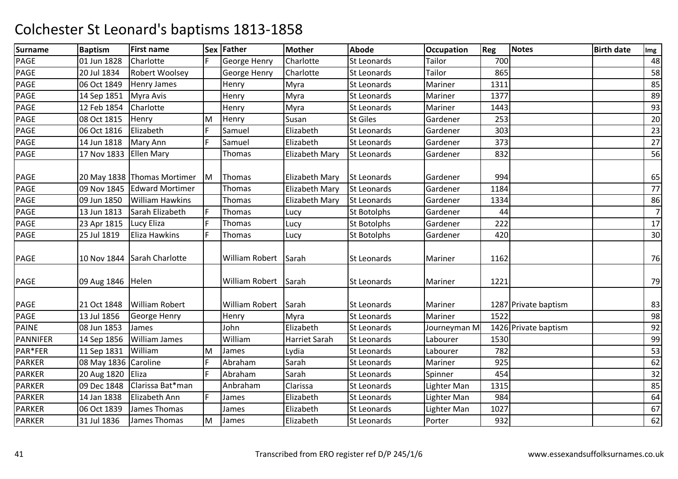| <b>Surname</b>  | <b>Baptism</b>       | <b>First name</b>             |    | Sex Father            | <b>Mother</b>         | <b>Abode</b>       | <b>Occupation</b> | Reg  | <b>Notes</b>         | <b>Birth date</b> | Img            |
|-----------------|----------------------|-------------------------------|----|-----------------------|-----------------------|--------------------|-------------------|------|----------------------|-------------------|----------------|
| PAGE            | 01 Jun 1828          | Charlotte                     |    | George Henry          | Charlotte             | St Leonards        | Tailor            | 700  |                      |                   | 48             |
| PAGE            | 20 Jul 1834          | Robert Woolsey                |    | <b>George Henry</b>   | Charlotte             | <b>St Leonards</b> | Tailor            | 865  |                      |                   | 58             |
| PAGE            | 06 Oct 1849          | Henry James                   |    | Henry                 | Myra                  | St Leonards        | Mariner           | 1311 |                      |                   | 85             |
| PAGE            | 14 Sep 1851          | Myra Avis                     |    | Henry                 | Myra                  | <b>St Leonards</b> | Mariner           | 1377 |                      |                   | 89             |
| PAGE            | 12 Feb 1854          | Charlotte                     |    | Henry                 | Myra                  | St Leonards        | Mariner           | 1443 |                      |                   | 93             |
| PAGE            | 08 Oct 1815          | Henry                         | M  | Henry                 | Susan                 | <b>St Giles</b>    | Gardener          | 253  |                      |                   | 20             |
| PAGE            | 06 Oct 1816          | Elizabeth                     | F  | Samuel                | Elizabeth             | St Leonards        | Gardener          | 303  |                      |                   | 23             |
| PAGE            | 14 Jun 1818          | Mary Ann                      | F  | Samuel                | Elizabeth             | <b>St Leonards</b> | Gardener          | 373  |                      |                   | 27             |
| PAGE            | 17 Nov 1833          | <b>Ellen Mary</b>             |    | Thomas                | Elizabeth Mary        | <b>St Leonards</b> | Gardener          | 832  |                      |                   | 56             |
| PAGE            |                      | 20 May 1838   Thomas Mortimer | M  | Thomas                | <b>Elizabeth Mary</b> | <b>St Leonards</b> | Gardener          | 994  |                      |                   | 65             |
| PAGE            | 09 Nov 1845          | <b>Edward Mortimer</b>        |    | Thomas                | Elizabeth Mary        | St Leonards        | Gardener          | 1184 |                      |                   | 77             |
| PAGE            | 09 Jun 1850          | <b>William Hawkins</b>        |    | Thomas                | Elizabeth Mary        | <b>St Leonards</b> | Gardener          | 1334 |                      |                   | 86             |
| PAGE            | 13 Jun 1813          | Sarah Elizabeth               | F  | Thomas                | Lucy                  | <b>St Botolphs</b> | Gardener          | 44   |                      |                   | $\overline{7}$ |
| PAGE            | 23 Apr 1815          | Lucy Eliza                    | F. | Thomas                | Lucy                  | St Botolphs        | Gardener          | 222  |                      |                   | 17             |
| PAGE            | 25 Jul 1819          | <b>Eliza Hawkins</b>          | F  | Thomas                | Lucy                  | <b>St Botolphs</b> | Gardener          | 420  |                      |                   | 30             |
| PAGE            |                      | 10 Nov 1844 Sarah Charlotte   |    | William Robert        | Sarah                 | St Leonards        | Mariner           | 1162 |                      |                   | 76             |
| PAGE            | 09 Aug 1846 Helen    |                               |    | William Robert        | Sarah                 | <b>St Leonards</b> | Mariner           | 1221 |                      |                   | 79             |
| PAGE            | 21 Oct 1848          | <b>William Robert</b>         |    | <b>William Robert</b> | Sarah                 | <b>St Leonards</b> | Mariner           |      | 1287 Private baptism |                   | 83             |
| PAGE            | 13 Jul 1856          | George Henry                  |    | Henry                 | Myra                  | <b>St Leonards</b> | Mariner           | 1522 |                      |                   | 98             |
| <b>PAINE</b>    | 08 Jun 1853          | James                         |    | John                  | Elizabeth             | St Leonards        | Journeyman M      |      | 1426 Private baptism |                   | 92             |
| <b>PANNIFER</b> | 14 Sep 1856          | <b>William James</b>          |    | William               | Harriet Sarah         | <b>St Leonards</b> | Labourer          | 1530 |                      |                   | 99             |
| PAR*FER         | 11 Sep 1831          | William                       | M  | James                 | Lydia                 | St Leonards        | Labourer          | 782  |                      |                   | 53             |
| <b>PARKER</b>   | 08 May 1836 Caroline |                               | F. | Abraham               | Sarah                 | <b>St Leonards</b> | Mariner           | 925  |                      |                   | 62             |
| <b>PARKER</b>   | 20 Aug 1820          | Eliza                         | F  | Abraham               | Sarah                 | <b>St Leonards</b> | Spinner           | 454  |                      |                   | 32             |
| <b>PARKER</b>   | 09 Dec 1848          | Clarissa Bat*man              |    | Anbraham              | Clarissa              | St Leonards        | Lighter Man       | 1315 |                      |                   | 85             |
| <b>PARKER</b>   | 14 Jan 1838          | Elizabeth Ann                 | F  | James                 | Elizabeth             | <b>St Leonards</b> | Lighter Man       | 984  |                      |                   | 64             |
| <b>PARKER</b>   | 06 Oct 1839          | James Thomas                  |    | James                 | Elizabeth             | St Leonards        | Lighter Man       | 1027 |                      |                   | 67             |
| <b>PARKER</b>   | 31 Jul 1836          | James Thomas                  | M  | James                 | Elizabeth             | <b>St Leonards</b> | Porter            | 932  |                      |                   | 62             |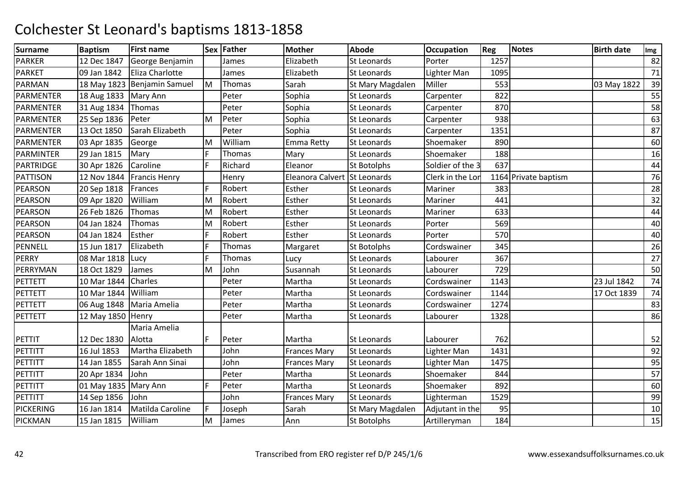| <b>Surname</b>   | <b>Baptism</b>         | <b>First name</b>           |     | Sex Father | <b>Mother</b>                | <b>Abode</b>       | <b>Occupation</b> | Reg  | <b>Notes</b>         | <b>Birth date</b> | Img |
|------------------|------------------------|-----------------------------|-----|------------|------------------------------|--------------------|-------------------|------|----------------------|-------------------|-----|
| <b>PARKER</b>    | 12 Dec 1847            | George Benjamin             |     | James      | Elizabeth                    | St Leonards        | Porter            | 1257 |                      |                   | 82  |
| <b>PARKET</b>    | 09 Jan 1842            | Eliza Charlotte             |     | James      | Elizabeth                    | St Leonards        | Lighter Man       | 1095 |                      |                   | 71  |
| PARMAN           |                        | 18 May 1823 Benjamin Samuel | M   | Thomas     | Sarah                        | St Mary Magdalen   | Miller            | 553  |                      | 03 May 1822       | 39  |
| <b>PARMENTER</b> | 18 Aug 1833   Mary Ann |                             |     | Peter      | Sophia                       | St Leonards        | Carpenter         | 822  |                      |                   | 55  |
| <b>PARMENTER</b> | 31 Aug 1834            | Thomas                      |     | Peter      | Sophia                       | <b>St Leonards</b> | Carpenter         | 870  |                      |                   | 58  |
| <b>PARMENTER</b> | 25 Sep 1836            | Peter                       | M   | Peter      | Sophia                       | <b>St Leonards</b> | Carpenter         | 938  |                      |                   | 63  |
| <b>PARMENTER</b> | 13 Oct 1850            | Sarah Elizabeth             |     | Peter      | Sophia                       | St Leonards        | Carpenter         | 1351 |                      |                   | 87  |
| PARMENTER        | 03 Apr 1835            | George                      | M   | William    | Emma Retty                   | <b>St Leonards</b> | Shoemaker         | 890  |                      |                   | 60  |
| PARMINTER        | 29 Jan 1815            | Mary                        | F   | Thomas     | Mary                         | St Leonards        | Shoemaker         | 188  |                      |                   | 16  |
| PARTRIDGE        | 30 Apr 1826            | Caroline                    | E   | Richard    | Eleanor                      | <b>St Botolphs</b> | Soldier of the 3  | 637  |                      |                   | 44  |
| <b>PATTISON</b>  | 12 Nov 1844            | <b>Francis Henry</b>        |     | Henry      | Eleanora Calvert St Leonards |                    | Clerk in the Lor  |      | 1164 Private baptism |                   | 76  |
| PEARSON          | 20 Sep 1818            | Frances                     | F   | Robert     | Esther                       | St Leonards        | Mariner           | 383  |                      |                   | 28  |
| <b>PEARSON</b>   | 09 Apr 1820            | William                     | M   | Robert     | Esther                       | <b>St Leonards</b> | Mariner           | 441  |                      |                   | 32  |
| <b>PEARSON</b>   | 26 Feb 1826            | Thomas                      | M   | Robert     | Esther                       | St Leonards        | Mariner           | 633  |                      |                   | 44  |
| <b>PEARSON</b>   | 04 Jan 1824            | Thomas                      | M   | Robert     | Esther                       | St Leonards        | Porter            | 569  |                      |                   | 40  |
| <b>PEARSON</b>   | 04 Jan 1824            | Esther                      | F   | Robert     | Esther                       | St Leonards        | Porter            | 570  |                      |                   | 40  |
| PENNELL          | 15 Jun 1817            | Elizabeth                   | F   | Thomas     | Margaret                     | <b>St Botolphs</b> | Cordswainer       | 345  |                      |                   | 26  |
| <b>PERRY</b>     | 08 Mar 1818            | Lucy                        | E   | Thomas     | Lucy                         | St Leonards        | Labourer          | 367  |                      |                   | 27  |
| PERRYMAN         | 18 Oct 1829            | James                       | M   | John       | Susannah                     | St Leonards        | Labourer          | 729  |                      |                   | 50  |
| PETTETT          | 10 Mar 1844            | Charles                     |     | Peter      | Martha                       | <b>St Leonards</b> | Cordswainer       | 1143 |                      | 23 Jul 1842       | 74  |
| PETTETT          | 10 Mar 1844 William    |                             |     | Peter      | Martha                       | <b>St Leonards</b> | Cordswainer       | 1144 |                      | 17 Oct 1839       | 74  |
| <b>PETTETT</b>   |                        | 06 Aug 1848   Maria Amelia  |     | Peter      | Martha                       | St Leonards        | Cordswainer       | 1274 |                      |                   | 83  |
| PETTETT          | 12 May 1850 Henry      |                             |     | Peter      | Martha                       | St Leonards        | Labourer          | 1328 |                      |                   | 86  |
|                  |                        | Maria Amelia                |     |            |                              |                    |                   |      |                      |                   |     |
| PETTIT           | 12 Dec 1830            | Alotta                      | IF. | Peter      | Martha                       | <b>St Leonards</b> | Labourer          | 762  |                      |                   | 52  |
| PETTITT          | 16 Jul 1853            | Martha Elizabeth            |     | John       | <b>Frances Mary</b>          | <b>St Leonards</b> | Lighter Man       | 1431 |                      |                   | 92  |
| PETTITT          | 14 Jan 1855            | Sarah Ann Sinai             |     | John       | <b>Frances Mary</b>          | <b>St Leonards</b> | Lighter Man       | 1475 |                      |                   | 95  |
| PETTITT          | 20 Apr 1834            | John                        |     | Peter      | Martha                       | <b>St Leonards</b> | Shoemaker         | 844  |                      |                   | 57  |
| PETTITT          | 01 May 1835 Mary Ann   |                             | F   | Peter      | Martha                       | St Leonards        | Shoemaker         | 892  |                      |                   | 60  |
| <b>PETTITT</b>   | 14 Sep 1856            | John                        |     | John       | <b>Frances Mary</b>          | <b>St Leonards</b> | Lighterman        | 1529 |                      |                   | 99  |
| <b>PICKERING</b> | 16 Jan 1814            | Matilda Caroline            | F.  | Joseph     | Sarah                        | St Mary Magdalen   | Adjutant in the   | 95   |                      |                   | 10  |
| <b>PICKMAN</b>   | 15 Jan 1815            | William                     | M   | James      | Ann                          | St Botolphs        | Artilleryman      | 184  |                      |                   | 15  |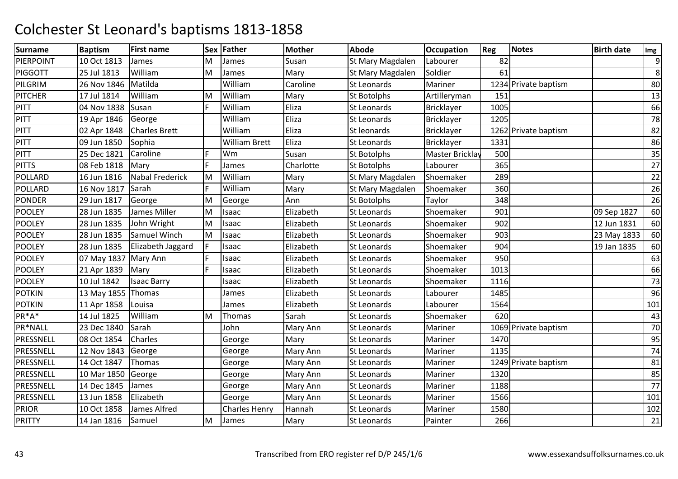| <b>Surname</b> | <b>Baptism</b>       | <b>First name</b>      |    | Sex Father           | <b>Mother</b> | <b>Abode</b>            | <b>Occupation</b> | Reg  | <b>Notes</b>         | <b>Birth date</b> | Img |
|----------------|----------------------|------------------------|----|----------------------|---------------|-------------------------|-------------------|------|----------------------|-------------------|-----|
| PIERPOINT      | 10 Oct 1813          | James                  | M  | James                | Susan         | St Mary Magdalen        | Labourer          | 82   |                      |                   | 9   |
| <b>PIGGOTT</b> | 25 Jul 1813          | William                | M  | James                | Mary          | St Mary Magdalen        | Soldier           | 61   |                      |                   | 8   |
| PILGRIM        | 26 Nov 1846          | Matilda                |    | William              | Caroline      | <b>St Leonards</b>      | Mariner           |      | 1234 Private baptism |                   | 80  |
| <b>PITCHER</b> | 17 Jul 1814          | William                | M  | William              | Mary          | <b>St Botolphs</b>      | Artilleryman      | 151  |                      |                   | 13  |
| PITT           | 04 Nov 1838          | Susan                  | F. | William              | Eliza         | St Leonards             | Bricklayer        | 1005 |                      |                   | 66  |
| PITT           | 19 Apr 1846          | George                 |    | William              | Eliza         | St Leonards             | Bricklayer        | 1205 |                      |                   | 78  |
| PITT           | 02 Apr 1848          | <b>Charles Brett</b>   |    | William              | Eliza         | St leonards             | <b>Bricklayer</b> |      | 1262 Private baptism |                   | 82  |
| PITT           | 09 Jun 1850          | Sophia                 |    | <b>William Brett</b> | Eliza         | <b>St Leonards</b>      | Bricklayer        | 1331 |                      |                   | 86  |
| <b>PITT</b>    | 25 Dec 1821          | Caroline               | F. | Wm                   | Susan         | St Botolphs             | Master Bricklay   | 500  |                      |                   | 35  |
| <b>PITTS</b>   | 08 Feb 1818          | Mary                   | F. | James                | Charlotte     | <b>St Botolphs</b>      | Labourer          | 365  |                      |                   | 27  |
| <b>POLLARD</b> | 16 Jun 1816          | <b>Nabal Frederick</b> | M  | William              | Mary          | St Mary Magdalen        | Shoemaker         | 289  |                      |                   | 22  |
| POLLARD        | 16 Nov 1817          | Sarah                  | F. | William              | Mary          | <b>St Mary Magdalen</b> | Shoemaker         | 360  |                      |                   | 26  |
| <b>PONDER</b>  | 29 Jun 1817          | George                 | M  | George               | Ann           | St Botolphs             | Taylor            | 348  |                      |                   | 26  |
| <b>POOLEY</b>  | 28 Jun 1835          | James Miller           | M  | Isaac                | Elizabeth     | <b>St Leonards</b>      | Shoemaker         | 901  |                      | 09 Sep 1827       | 60  |
| <b>POOLEY</b>  | 28 Jun 1835          | John Wright            | M  | Isaac                | Elizabeth     | <b>St Leonards</b>      | Shoemaker         | 902  |                      | 12 Jun 1831       | 60  |
| <b>POOLEY</b>  | 28 Jun 1835          | Samuel Winch           | M  | Isaac                | Elizabeth     | <b>St Leonards</b>      | Shoemaker         | 903  |                      | 23 May 1833       | 60  |
| <b>POOLEY</b>  | 28 Jun 1835          | Elizabeth Jaggard      | F  | Isaac                | Elizabeth     | St Leonards             | Shoemaker         | 904  |                      | 19 Jan 1835       | 60  |
| <b>POOLEY</b>  | 07 May 1837 Mary Ann |                        | F. | Isaac                | Elizabeth     | <b>St Leonards</b>      | Shoemaker         | 950  |                      |                   | 63  |
| <b>POOLEY</b>  | 21 Apr 1839          | Mary                   | F. | Isaac                | Elizabeth     | <b>St Leonards</b>      | Shoemaker         | 1013 |                      |                   | 66  |
| <b>POOLEY</b>  | 10 Jul 1842          | <b>Isaac Barry</b>     |    | Isaac                | Elizabeth     | St Leonards             | Shoemaker         | 1116 |                      |                   | 73  |
| <b>POTKIN</b>  | 13 May 1855          | Thomas                 |    | James                | Elizabeth     | St Leonards             | Labourer          | 1485 |                      |                   | 96  |
| <b>POTKIN</b>  | 11 Apr 1858          | Louisa                 |    | James                | Elizabeth     | <b>St Leonards</b>      | Labourer          | 1564 |                      |                   | 101 |
| PR*A*          | 14 Jul 1825          | William                | M  | Thomas               | Sarah         | <b>St Leonards</b>      | Shoemaker         | 620  |                      |                   | 43  |
| PR*NALL        | 23 Dec 1840          | Sarah                  |    | John                 | Mary Ann      | St Leonards             | Mariner           |      | 1069 Private baptism |                   | 70  |
| PRESSNELL      | 08 Oct 1854          | Charles                |    | George               | Mary          | St Leonards             | Mariner           | 1470 |                      |                   | 95  |
| PRESSNELL      | 12 Nov 1843          | George                 |    | George               | Mary Ann      | St Leonards             | Mariner           | 1135 |                      |                   | 74  |
| PRESSNELL      | 14 Oct 1847          | Thomas                 |    | George               | Mary Ann      | St Leonards             | Mariner           |      | 1249 Private baptism |                   | 81  |
| PRESSNELL      | 10 Mar 1850          | George                 |    | George               | Mary Ann      | <b>St Leonards</b>      | Mariner           | 1320 |                      |                   | 85  |
| PRESSNELL      | 14 Dec 1845          | James                  |    | George               | Mary Ann      | St Leonards             | Mariner           | 1188 |                      |                   | 77  |
| PRESSNELL      | 13 Jun 1858          | Elizabeth              |    | George               | Mary Ann      | <b>St Leonards</b>      | Mariner           | 1566 |                      |                   | 101 |
| <b>PRIOR</b>   | 10 Oct 1858          | James Alfred           |    | <b>Charles Henry</b> | Hannah        | St Leonards             | Mariner           | 1580 |                      |                   | 102 |
| <b>PRITTY</b>  | 14 Jan 1816          | Samuel                 | M  | James                | Mary          | St Leonards             | Painter           | 266  |                      |                   | 21  |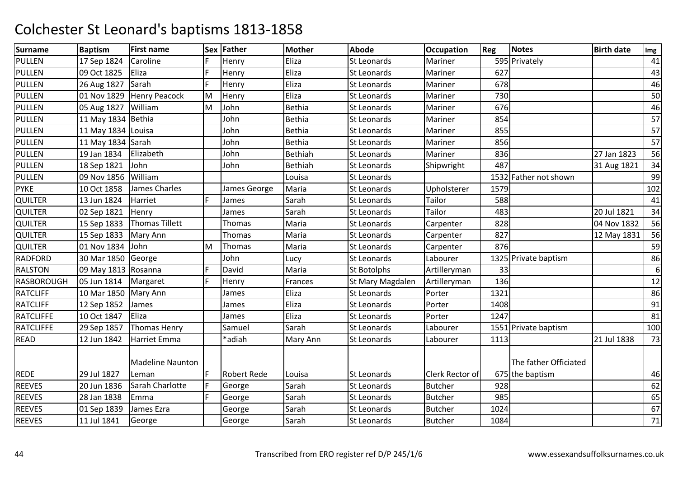| <b>Surname</b>    | <b>Baptism</b>     | <b>First name</b>       |    | Sex Father         | <b>Mother</b> | <b>Abode</b>       | <b>Occupation</b> | Reg  | Notes                 | <b>Birth date</b> | Img |
|-------------------|--------------------|-------------------------|----|--------------------|---------------|--------------------|-------------------|------|-----------------------|-------------------|-----|
| <b>PULLEN</b>     | 17 Sep 1824        | Caroline                | F. | Henry              | Eliza         | <b>St Leonards</b> | Mariner           |      | 595 Privately         |                   | 41  |
| <b>PULLEN</b>     | 09 Oct 1825        | Eliza                   | F. | Henry              | Eliza         | <b>St Leonards</b> | Mariner           | 627  |                       |                   | 43  |
| <b>PULLEN</b>     | 26 Aug 1827        | Sarah                   | F. | Henry              | Eliza         | <b>St Leonards</b> | Mariner           | 678  |                       |                   | 46  |
| <b>PULLEN</b>     | 01 Nov 1829        | <b>Henry Peacock</b>    | M  | Henry              | Eliza         | St Leonards        | Mariner           | 730  |                       |                   | 50  |
| <b>PULLEN</b>     | 05 Aug 1827        | William                 | M  | John               | <b>Bethia</b> | St Leonards        | Mariner           | 676  |                       |                   | 46  |
| <b>PULLEN</b>     | 11 May 1834        | <b>Bethia</b>           |    | John               | <b>Bethia</b> | St Leonards        | Mariner           | 854  |                       |                   | 57  |
| <b>PULLEN</b>     | 11 May 1834 Louisa |                         |    | John               | <b>Bethia</b> | <b>St Leonards</b> | Mariner           | 855  |                       |                   | 57  |
| <b>PULLEN</b>     | 11 May 1834 Sarah  |                         |    | John               | <b>Bethia</b> | <b>St Leonards</b> | Mariner           | 856  |                       |                   | 57  |
| <b>PULLEN</b>     | 19 Jan 1834        | Elizabeth               |    | John               | Bethiah       | <b>St Leonards</b> | Mariner           | 836  |                       | 27 Jan 1823       | 56  |
| <b>PULLEN</b>     | 18 Sep 1821        | John                    |    | John               | Bethiah       | <b>St Leonards</b> | Shipwright        | 487  |                       | 31 Aug 1821       | 34  |
| <b>PULLEN</b>     | 09 Nov 1856        | William                 |    |                    | Louisa        | St Leonards        |                   |      | 1532 Father not shown |                   | 99  |
| <b>PYKE</b>       | 10 Oct 1858        | James Charles           |    | James George       | Maria         | <b>St Leonards</b> | Upholsterer       | 1579 |                       |                   | 102 |
| <b>QUILTER</b>    | 13 Jun 1824        | Harriet                 | F. | James              | Sarah         | <b>St Leonards</b> | Tailor            | 588  |                       |                   | 41  |
| <b>QUILTER</b>    | 02 Sep 1821        | Henry                   |    | James              | Sarah         | <b>St Leonards</b> | Tailor            | 483  |                       | 20 Jul 1821       | 34  |
| QUILTER           | 15 Sep 1833        | <b>Thomas Tillett</b>   |    | Thomas             | Maria         | <b>St Leonards</b> | Carpenter         | 828  |                       | 04 Nov 1832       | 56  |
| <b>QUILTER</b>    | 15 Sep 1833        | Mary Ann                |    | Thomas             | Maria         | <b>St Leonards</b> | Carpenter         | 827  |                       | 12 May 1831       | 56  |
| <b>QUILTER</b>    | 01 Nov 1834        | John                    | M  | Thomas             | Maria         | St Leonards        | Carpenter         | 876  |                       |                   | 59  |
| <b>RADFORD</b>    | 30 Mar 1850        | George                  |    | John               | Lucy          | <b>St Leonards</b> | Labourer          |      | 1325 Private baptism  |                   | 86  |
| <b>RALSTON</b>    | 09 May 1813        | Rosanna                 | E  | David              | Maria         | <b>St Botolphs</b> | Artilleryman      | 33   |                       |                   | 6   |
| <b>RASBOROUGH</b> | 05 Jun 1814        | Margaret                | F. | Henry              | Frances       | St Mary Magdalen   | Artilleryman      | 136  |                       |                   | 12  |
| <b>RATCLIFF</b>   | 10 Mar 1850        | Mary Ann                |    | James              | Eliza         | St Leonards        | Porter            | 1321 |                       |                   | 86  |
| <b>RATCLIFF</b>   | 12 Sep 1852        | James                   |    | James              | Eliza         | <b>St Leonards</b> | Porter            | 1408 |                       |                   | 91  |
| <b>RATCLIFFE</b>  | 10 Oct 1847        | Eliza                   |    | James              | Eliza         | <b>St Leonards</b> | Porter            | 1247 |                       |                   | 81  |
| <b>RATCLIFFE</b>  | 29 Sep 1857        | <b>Thomas Henry</b>     |    | Samuel             | Sarah         | <b>St Leonards</b> | Labourer          |      | 1551 Private baptism  |                   | 100 |
| <b>READ</b>       | 12 Jun 1842        | <b>Harriet Emma</b>     |    | *adiah             | Mary Ann      | <b>St Leonards</b> | Labourer          | 1113 |                       | 21 Jul 1838       | 73  |
|                   |                    | <b>Madeline Naunton</b> |    |                    |               |                    |                   |      | The father Officiated |                   |     |
| <b>REDE</b>       | 29 Jul 1827        | Leman                   | F  | <b>Robert Rede</b> | Louisa        | <b>St Leonards</b> | Clerk Rector of   |      | 675 the baptism       |                   | 46  |
| <b>REEVES</b>     | 20 Jun 1836        | Sarah Charlotte         | F  | George             | Sarah         | St Leonards        | <b>Butcher</b>    | 928  |                       |                   | 62  |
| <b>REEVES</b>     | 28 Jan 1838        | Emma                    | F. | George             | Sarah         | St Leonards        | <b>Butcher</b>    | 985  |                       |                   | 65  |
| <b>REEVES</b>     | 01 Sep 1839        | James Ezra              |    | George             | Sarah         | St Leonards        | <b>Butcher</b>    | 1024 |                       |                   | 67  |
| <b>REEVES</b>     | 11 Jul 1841        | George                  |    | George             | Sarah         | <b>St Leonards</b> | <b>Butcher</b>    | 1084 |                       |                   | 71  |
|                   |                    |                         |    |                    |               |                    |                   |      |                       |                   |     |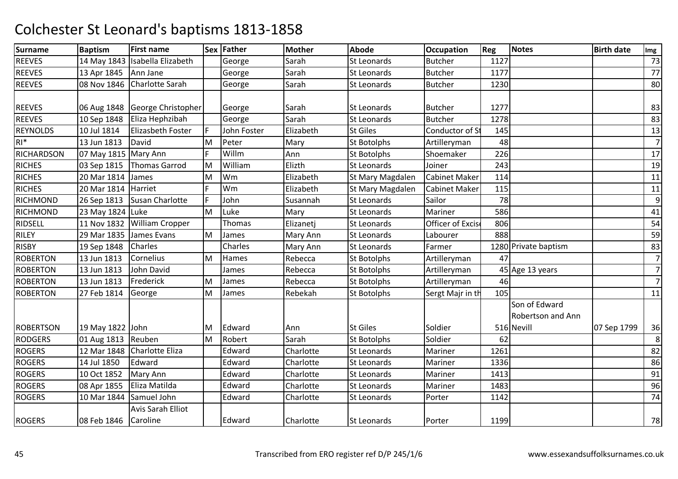| <b>Surname</b>   | <b>Baptism</b>         | <b>First name</b>                |     | Sex Father  | <b>Mother</b> | <b>Abode</b>       | <b>Occupation</b>    | Reg  | <b>Notes</b>                              | <b>Birth date</b> | Img            |
|------------------|------------------------|----------------------------------|-----|-------------|---------------|--------------------|----------------------|------|-------------------------------------------|-------------------|----------------|
| <b>REEVES</b>    |                        | 14 May 1843   Isabella Elizabeth |     | George      | Sarah         | <b>St Leonards</b> | <b>Butcher</b>       | 1127 |                                           |                   | 73             |
| <b>REEVES</b>    | 13 Apr 1845   Ann Jane |                                  |     | George      | Sarah         | St Leonards        | <b>Butcher</b>       | 1177 |                                           |                   | 77             |
| <b>REEVES</b>    | 08 Nov 1846            | <b>Charlotte Sarah</b>           |     | George      | Sarah         | St Leonards        | <b>Butcher</b>       | 1230 |                                           |                   | 80             |
| <b>REEVES</b>    | 06 Aug 1848            | George Christopher               |     | George      | Sarah         | St Leonards        | <b>Butcher</b>       | 1277 |                                           |                   | 83             |
| <b>REEVES</b>    | 10 Sep 1848            | Eliza Hephzibah                  |     | George      | Sarah         | St Leonards        | <b>Butcher</b>       | 1278 |                                           |                   | 83             |
| <b>REYNOLDS</b>  | 10 Jul 1814            | Elizasbeth Foster                | F   | John Foster | Elizabeth     | <b>St Giles</b>    | Conductor of St      | 145  |                                           |                   | 13             |
| $RI*$            | 13 Jun 1813            | David                            | M   | Peter       | Mary          | <b>St Botolphs</b> | Artilleryman         | 48   |                                           |                   | $\overline{7}$ |
| RICHARDSON       | 07 May 1815 Mary Ann   |                                  | F   | Willm       | Ann           | <b>St Botolphs</b> | Shoemaker            | 226  |                                           |                   | 17             |
| <b>RICHES</b>    | 03 Sep 1815            | <b>Thomas Garrod</b>             | İМ  | William     | Elizth        | <b>St Leonards</b> | Joiner               | 243  |                                           |                   | 19             |
| <b>RICHES</b>    | 20 Mar 1814            | James                            | M   | Wm          | Elizabeth     | St Mary Magdalen   | <b>Cabinet Maker</b> | 114  |                                           |                   | 11             |
| <b>RICHES</b>    | 20 Mar 1814 Harriet    |                                  |     | Wm          | Elizabeth     | St Mary Magdalen   | <b>Cabinet Maker</b> | 115  |                                           |                   | 11             |
| <b>RICHMOND</b>  | 26 Sep 1813            | Susan Charlotte                  | IF. | John        | Susannah      | St Leonards        | Sailor               | 78   |                                           |                   | 9              |
| <b>RICHMOND</b>  | 23 May 1824 Luke       |                                  | M   | Luke        | Mary          | <b>St Leonards</b> | Mariner              | 586  |                                           |                   | 41             |
| <b>RIDSELL</b>   |                        | 11 Nov 1832 William Cropper      |     | Thomas      | Elizanetj     | <b>St Leonards</b> | Officer of Excis     | 806  |                                           |                   | 54             |
| RILEY            | 29 Mar 1835            | James Evans                      | M   | James       | Mary Ann      | St Leonards        | Labourer             | 888  |                                           |                   | 59             |
| <b>RISBY</b>     | 19 Sep 1848            | Charles                          |     | Charles     | Mary Ann      | <b>St Leonards</b> | Farmer               |      | 1280 Private baptism                      |                   | 83             |
| <b>ROBERTON</b>  | 13 Jun 1813            | Cornelius                        | M   | Hames       | Rebecca       | <b>St Botolphs</b> | Artilleryman         | 47   |                                           |                   | $\overline{7}$ |
| <b>ROBERTON</b>  | 13 Jun 1813            | John David                       |     | James       | Rebecca       | <b>St Botolphs</b> | Artilleryman         |      | 45 Age 13 years                           |                   | $\overline{7}$ |
| <b>ROBERTON</b>  | 13 Jun 1813            | Frederick                        | M   | James       | Rebecca       | <b>St Botolphs</b> | Artilleryman         | 46   |                                           |                   | $\overline{7}$ |
| <b>ROBERTON</b>  | 27 Feb 1814            | George                           | M   | James       | Rebekah       | <b>St Botolphs</b> | Sergt Majr in th     | 105  |                                           |                   | 11             |
|                  |                        |                                  |     |             |               |                    |                      |      | Son of Edward<br><b>Robertson and Ann</b> |                   |                |
| <b>ROBERTSON</b> | 19 May 1822 John       |                                  | M   | Edward      | Ann           | <b>St Giles</b>    | Soldier              |      | 516 Nevill                                | 07 Sep 1799       | 36             |
| <b>RODGERS</b>   | 01 Aug 1813 Reuben     |                                  | M   | Robert      | Sarah         | St Botolphs        | Soldier              | 62   |                                           |                   | 8              |
| <b>ROGERS</b>    |                        | 12 Mar 1848 Charlotte Eliza      |     | Edward      | Charlotte     | <b>St Leonards</b> | Mariner              | 1261 |                                           |                   | 82             |
| <b>ROGERS</b>    | 14 Jul 1850            | Edward                           |     | Edward      | Charlotte     | St Leonards        | Mariner              | 1336 |                                           |                   | 86             |
| <b>ROGERS</b>    | 10 Oct 1852            | Mary Ann                         |     | Edward      | Charlotte     | St Leonards        | Mariner              | 1413 |                                           |                   | 91             |
| <b>ROGERS</b>    | 08 Apr 1855            | Eliza Matilda                    |     | Edward      | Charlotte     | <b>St Leonards</b> | Mariner              | 1483 |                                           |                   | 96             |
| <b>ROGERS</b>    | 10 Mar 1844            | Samuel John                      |     | Edward      | Charlotte     | St Leonards        | Porter               | 1142 |                                           |                   | 74             |
| <b>ROGERS</b>    | 08 Feb 1846 Caroline   | Avis Sarah Elliot                |     | Edward      | Charlotte     | <b>St Leonards</b> | Porter               | 1199 |                                           |                   | 78             |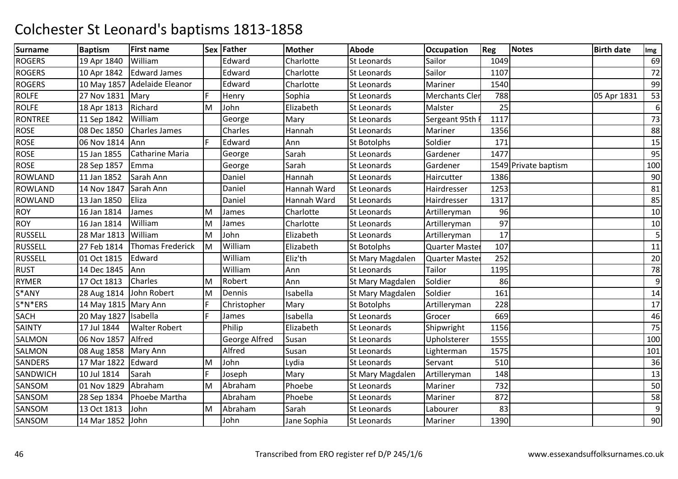| <b>Surname</b> | <b>Baptism</b>          | <b>First name</b>            |    | Sex Father    | <b>Mother</b> | <b>Abode</b>       | <b>Occupation</b>     | Reg  | <b>Notes</b>         | <b>Birth date</b> | Img |
|----------------|-------------------------|------------------------------|----|---------------|---------------|--------------------|-----------------------|------|----------------------|-------------------|-----|
| <b>ROGERS</b>  | 19 Apr 1840             | William                      |    | Edward        | Charlotte     | St Leonards        | Sailor                | 1049 |                      |                   | 69  |
| <b>ROGERS</b>  | 10 Apr 1842             | Edward James                 |    | Edward        | Charlotte     | St Leonards        | Sailor                | 1107 |                      |                   | 72  |
| <b>ROGERS</b>  |                         | 10 May 1857 Adelaide Eleanor |    | Edward        | Charlotte     | St Leonards        | Mariner               | 1540 |                      |                   | 99  |
| <b>ROLFE</b>   | 27 Nov 1831   Mary      |                              | F. | Henry         | Sophia        | <b>St Leonards</b> | <b>Merchants Cler</b> | 788  |                      | 05 Apr 1831       | 53  |
| <b>ROLFE</b>   | 18 Apr 1813             | Richard                      | M  | John          | Elizabeth     | St Leonards        | Malster               | 25   |                      |                   | 6   |
| <b>RONTREE</b> | 11 Sep 1842             | William                      |    | George        | Mary          | St Leonards        | Sergeant 95th I       | 1117 |                      |                   | 73  |
| <b>ROSE</b>    | 08 Dec 1850             | <b>Charles James</b>         |    | Charles       | Hannah        | <b>St Leonards</b> | Mariner               | 1356 |                      |                   | 88  |
| <b>ROSE</b>    | 06 Nov 1814             | Ann                          | F. | Edward        | Ann           | <b>St Botolphs</b> | Soldier               | 171  |                      |                   | 15  |
| <b>ROSE</b>    | 15 Jan 1855             | Catharine Maria              |    | George        | Sarah         | St Leonards        | Gardener              | 1477 |                      |                   | 95  |
| <b>ROSE</b>    | 28 Sep 1857             | Emma                         |    | George        | Sarah         | St Leonards        | Gardener              |      | 1549 Private baptism |                   | 100 |
| <b>ROWLAND</b> | 11 Jan 1852             | Sarah Ann                    |    | Daniel        | Hannah        | <b>St Leonards</b> | Haircutter            | 1386 |                      |                   | 90  |
| <b>ROWLAND</b> | 14 Nov 1847             | Sarah Ann                    |    | Daniel        | Hannah Ward   | <b>St Leonards</b> | Hairdresser           | 1253 |                      |                   | 81  |
| <b>ROWLAND</b> | 13 Jan 1850             | Eliza                        |    | Daniel        | Hannah Ward   | <b>St Leonards</b> | Hairdresser           | 1317 |                      |                   | 85  |
| <b>ROY</b>     | 16 Jan 1814             | James                        | M  | James         | Charlotte     | <b>St Leonards</b> | Artilleryman          | 96   |                      |                   | 10  |
| <b>ROY</b>     | 16 Jan 1814             | William                      | M  | James         | Charlotte     | St Leonards        | Artilleryman          | 97   |                      |                   | 10  |
| <b>RUSSELL</b> | 28 Mar 1813             | William                      | M  | John          | Elizabeth     | <b>St Leonards</b> | Artilleryman          | 17   |                      |                   | 5   |
| <b>RUSSELL</b> | 27 Feb 1814             | <b>Thomas Frederick</b>      | M  | William       | Elizabeth     | St Botolphs        | <b>Quarter Master</b> | 107  |                      |                   | 11  |
| <b>RUSSELL</b> | 01 Oct 1815             | Edward                       |    | William       | Eliz'th       | St Mary Magdalen   | Quarter Master        | 252  |                      |                   | 20  |
| <b>RUST</b>    | 14 Dec 1845             | Ann                          |    | William       | Ann           | <b>St Leonards</b> | Tailor                | 1195 |                      |                   | 78  |
| <b>RYMER</b>   | 17 Oct 1813             | Charles                      | M  | Robert        | Ann           | St Mary Magdalen   | Soldier               | 86   |                      |                   | 9   |
| S*ANY          | 28 Aug 1814 John Robert |                              | M  | Dennis        | Isabella      | St Mary Magdalen   | Soldier               | 161  |                      |                   | 14  |
| $S^*N^*ERS$    | 14 May 1815 Mary Ann    |                              | F. | Christopher   | Mary          | <b>St Botolphs</b> | Artilleryman          | 228  |                      |                   | 17  |
| SACH           | 20 May 1827 Isabella    |                              | F. | James         | Isabella      | St Leonards        | Grocer                | 669  |                      |                   | 46  |
| SAINTY         | 17 Jul 1844             | <b>Walter Robert</b>         |    | Philip        | Elizabeth     | <b>St Leonards</b> | Shipwright            | 1156 |                      |                   | 75  |
| SALMON         | 06 Nov 1857             | Alfred                       |    | George Alfred | Susan         | St Leonards        | Upholsterer           | 1555 |                      |                   | 100 |
| SALMON         | 08 Aug 1858   Mary Ann  |                              |    | Alfred        | Susan         | St Leonards        | Lighterman            | 1575 |                      |                   | 101 |
| SANDERS        | 17 Mar 1822             | Edward                       | M  | John          | Lydia         | St Leonards        | Servant               | 510  |                      |                   | 36  |
| SANDWICH       | 10 Jul 1814             | Sarah                        | F. | Joseph        | Mary          | St Mary Magdalen   | Artilleryman          | 148  |                      |                   | 13  |
| SANSOM         | 01 Nov 1829             | Abraham                      | M  | Abraham       | Phoebe        | <b>St Leonards</b> | Mariner               | 732  |                      |                   | 50  |
| SANSOM         | 28 Sep 1834             | Phoebe Martha                |    | Abraham       | Phoebe        | St Leonards        | Mariner               | 872  |                      |                   | 58  |
| SANSOM         | 13 Oct 1813             | John                         | M  | Abraham       | Sarah         | St Leonards        | Labourer              | 83   |                      |                   | 9   |
| SANSOM         | 14 Mar 1852             | John                         |    | John          | Jane Sophia   | St Leonards        | Mariner               | 1390 |                      |                   | 90  |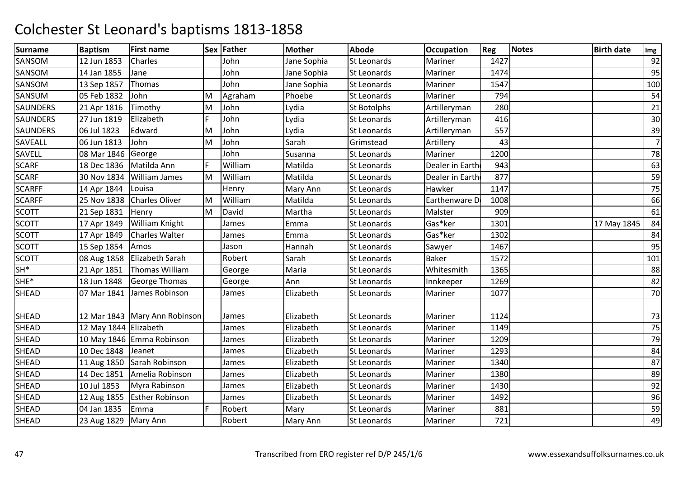| <b>Surname</b>  | <b>Baptism</b>         | <b>First name</b>               |    | Sex Father | <b>Mother</b> | <b>Abode</b>       | <b>Occupation</b> | Reg  | <b>Notes</b> | <b>Birth date</b> | Img            |
|-----------------|------------------------|---------------------------------|----|------------|---------------|--------------------|-------------------|------|--------------|-------------------|----------------|
| SANSOM          | 12 Jun 1853            | Charles                         |    | John       | Jane Sophia   | <b>St Leonards</b> | Mariner           | 1427 |              |                   | 92             |
| SANSOM          | 14 Jan 1855            | Jane                            |    | John       | Jane Sophia   | St Leonards        | Mariner           | 1474 |              |                   | 95             |
| SANSOM          | 13 Sep 1857            | Thomas                          |    | John       | Jane Sophia   | <b>St Leonards</b> | Mariner           | 1547 |              |                   | 100            |
| SANSUM          | 05 Feb 1832            | John                            | M  | Agraham    | Phoebe        | <b>St Leonards</b> | Mariner           | 794  |              |                   | 54             |
| <b>SAUNDERS</b> | 21 Apr 1816            | Timothy                         | M  | John       | Lydia         | St Botolphs        | Artilleryman      | 280  |              |                   | 21             |
| <b>SAUNDERS</b> | 27 Jun 1819            | Elizabeth                       | F. | John       | Lydia         | St Leonards        | Artilleryman      | 416  |              |                   | 30             |
| <b>SAUNDERS</b> | 06 Jul 1823            | Edward                          | M  | John       | Lydia         | St Leonards        | Artilleryman      | 557  |              |                   | 39             |
| <b>SAVEALL</b>  | 06 Jun 1813            | John                            | M  | John       | Sarah         | Grimstead          | Artillery         | 43   |              |                   | $\overline{7}$ |
| SAVELL          | 08 Mar 1846            | George                          |    | John       | Susanna       | St Leonards        | Mariner           | 1200 |              |                   | 78             |
| <b>SCARF</b>    | 18 Dec 1836            | Matilda Ann                     | F. | William    | Matilda       | <b>St Leonards</b> | Dealer in Earth   | 943  |              |                   | 63             |
| <b>SCARF</b>    | 30 Nov 1834            | William James                   | M  | William    | Matilda       | St Leonards        | Dealer in Earth   | 877  |              |                   | 59             |
| <b>SCARFF</b>   | 14 Apr 1844            | Louisa                          |    | Henry      | Mary Ann      | St Leonards        | Hawker            | 1147 |              |                   | 75             |
| <b>SCARFF</b>   | 25 Nov 1838            | <b>Charles Oliver</b>           | M  | William    | Matilda       | St Leonards        | Earthenware D     | 1008 |              |                   | 66             |
| <b>SCOTT</b>    | 21 Sep 1831            | Henry                           | M  | David      | Martha        | <b>St Leonards</b> | Malster           | 909  |              |                   | 61             |
| <b>SCOTT</b>    | 17 Apr 1849            | William Knight                  |    | James      | Emma          | St Leonards        | Gas*ker           | 1301 |              | 17 May 1845       | 84             |
| <b>SCOTT</b>    | 17 Apr 1849            | <b>Charles Walter</b>           |    | James      | Emma          | St Leonards        | Gas*ker           | 1302 |              |                   | 84             |
| <b>SCOTT</b>    | 15 Sep 1854            | Amos                            |    | Jason      | Hannah        | St Leonards        | Sawyer            | 1467 |              |                   | 95             |
| <b>SCOTT</b>    |                        | 08 Aug 1858   Elizabeth Sarah   |    | Robert     | Sarah         | <b>St Leonards</b> | <b>Baker</b>      | 1572 |              |                   | 101            |
| $SH^*$          | 21 Apr 1851            | Thomas William                  |    | George     | Maria         | St Leonards        | Whitesmith        | 1365 |              |                   | 88             |
| SHE*            | 18 Jun 1848            | <b>George Thomas</b>            |    | George     | Ann           | St Leonards        | Innkeeper         | 1269 |              |                   | 82             |
| <b>SHEAD</b>    | 07 Mar 1841            | James Robinson                  |    | James      | Elizabeth     | <b>St Leonards</b> | Mariner           | 1077 |              |                   | 70             |
| <b>SHEAD</b>    |                        | 12 Mar 1843   Mary Ann Robinson |    | James      | Elizabeth     | <b>St Leonards</b> | Mariner           | 1124 |              |                   | 73             |
| <b>SHEAD</b>    | 12 May 1844 Elizabeth  |                                 |    | James      | Elizabeth     | St Leonards        | Mariner           | 1149 |              |                   | 75             |
| <b>SHEAD</b>    |                        | 10 May 1846 Emma Robinson       |    | James      | Elizabeth     | St Leonards        | Mariner           | 1209 |              |                   | 79             |
| <b>SHEAD</b>    | 10 Dec 1848            | Jeanet                          |    | James      | Elizabeth     | <b>St Leonards</b> | Mariner           | 1293 |              |                   | 84             |
| <b>SHEAD</b>    | 11 Aug 1850            | Sarah Robinson                  |    | James      | Elizabeth     | <b>St Leonards</b> | Mariner           | 1340 |              |                   | 87             |
| <b>SHEAD</b>    | 14 Dec 1851            | Amelia Robinson                 |    | James      | Elizabeth     | St Leonards        | Mariner           | 1380 |              |                   | 89             |
| <b>SHEAD</b>    | 10 Jul 1853            | Myra Rabinson                   |    | James      | Elizabeth     | St Leonards        | Mariner           | 1430 |              |                   | 92             |
| <b>SHEAD</b>    | 12 Aug 1855            | <b>Esther Robinson</b>          |    | James      | Elizabeth     | St Leonards        | Mariner           | 1492 |              |                   | 96             |
| <b>SHEAD</b>    | 04 Jan 1835            | Emma                            |    | Robert     | Mary          | St Leonards        | Mariner           | 881  |              |                   | 59             |
| <b>SHEAD</b>    | 23 Aug 1829   Mary Ann |                                 |    | Robert     | Mary Ann      | St Leonards        | Mariner           | 721  |              |                   | 49             |
|                 |                        |                                 |    |            |               |                    |                   |      |              |                   |                |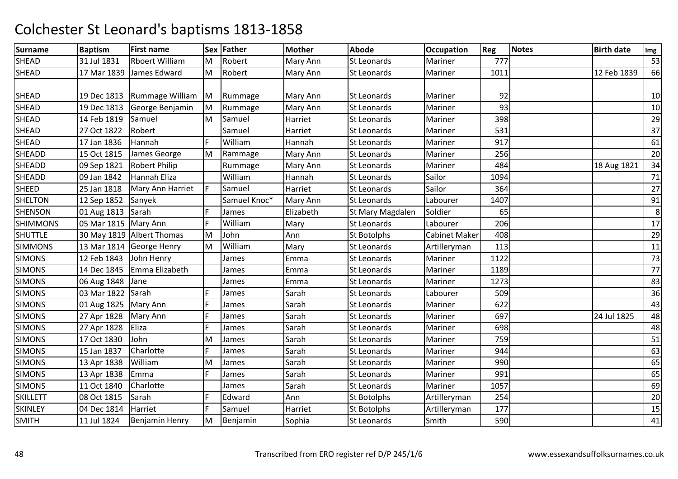| <b>Surname</b>  | <b>Baptism</b>         | <b>First name</b>         |    | Sex Father   | <b>Mother</b> | <b>Abode</b>       | <b>Occupation</b>    | Reg  | <b>Notes</b> | <b>Birth date</b> | Img |
|-----------------|------------------------|---------------------------|----|--------------|---------------|--------------------|----------------------|------|--------------|-------------------|-----|
| SHEAD           | 31 Jul 1831            | <b>Rboert William</b>     | M  | Robert       | Mary Ann      | St Leonards        | Mariner              | 777  |              |                   | 53  |
| <b>SHEAD</b>    | 17 Mar 1839            | James Edward              | M  | Robert       | Mary Ann      | <b>St Leonards</b> | Mariner              | 1011 |              | 12 Feb 1839       | 66  |
|                 |                        |                           |    |              |               |                    |                      |      |              |                   |     |
| SHEAD           | 19 Dec 1813            | Rummage William           | M  | Rummage      | Mary Ann      | <b>St Leonards</b> | Mariner              | 92   |              |                   | 10  |
| SHEAD           | 19 Dec 1813            | George Benjamin           | M  | Rummage      | Mary Ann      | St Leonards        | Mariner              | 93   |              |                   | 10  |
| <b>SHEAD</b>    | 14 Feb 1819            | Samuel                    | M  | Samuel       | Harriet       | <b>St Leonards</b> | Mariner              | 398  |              |                   | 29  |
| <b>SHEAD</b>    | 27 Oct 1822            | Robert                    |    | Samuel       | Harriet       | <b>St Leonards</b> | Mariner              | 531  |              |                   | 37  |
| SHEAD           | 17 Jan 1836            | Hannah                    | F  | William      | Hannah        | <b>St Leonards</b> | Mariner              | 917  |              |                   | 61  |
| SHEADD          | 15 Oct 1815            | James George              | M  | Rammage      | Mary Ann      | St Leonards        | Mariner              | 256  |              |                   | 20  |
| SHEADD          | 09 Sep 1821            | <b>Robert Philip</b>      |    | Rummage      | Mary Ann      | St Leonards        | Mariner              | 484  |              | 18 Aug 1821       | 34  |
| SHEADD          | 09 Jan 1842            | Hannah Eliza              |    | William      | Hannah        | St Leonards        | Sailor               | 1094 |              |                   | 71  |
| SHEED           | 25 Jan 1818            | Mary Ann Harriet          | F  | Samuel       | Harriet       | <b>St Leonards</b> | Sailor               | 364  |              |                   | 27  |
| <b>SHELTON</b>  | 12 Sep 1852            | Sanyek                    |    | Samuel Knoc* | Mary Ann      | St Leonards        | Labourer             | 1407 |              |                   | 91  |
| <b>SHENSON</b>  | 01 Aug 1813            | Sarah                     | F  | James        | Elizabeth     | St Mary Magdalen   | Soldier              | 65   |              |                   | 8   |
| <b>SHIMMONS</b> | 05 Mar 1815   Mary Ann |                           | F. | William      | Mary          | <b>St Leonards</b> | Labourer             | 206  |              |                   | 17  |
| <b>SHUTTLE</b>  |                        | 30 May 1819 Albert Thomas | M  | John         | Ann           | <b>St Botolphs</b> | <b>Cabinet Maker</b> | 408  |              |                   | 29  |
| <b>SIMMONS</b>  |                        | 13 Mar 1814 George Henry  | M  | William      | Mary          | St Leonards        | Artilleryman         | 113  |              |                   | 11  |
| <b>SIMONS</b>   | 12 Feb 1843            | John Henry                |    | James        | Emma          | St Leonards        | Mariner              | 1122 |              |                   | 73  |
| <b>SIMONS</b>   | 14 Dec 1845            | Emma Elizabeth            |    | James        | Emma          | St Leonards        | Mariner              | 1189 |              |                   | 77  |
| <b>SIMONS</b>   | 06 Aug 1848            | Jane                      |    | James        | Emma          | <b>St Leonards</b> | Mariner              | 1273 |              |                   | 83  |
| <b>SIMONS</b>   | 03 Mar 1822            | Sarah                     |    | James        | Sarah         | St Leonards        | Labourer             | 509  |              |                   | 36  |
| <b>SIMONS</b>   | 01 Aug 1825            | Mary Ann                  | F. | James        | Sarah         | St Leonards        | Mariner              | 622  |              |                   | 43  |
| <b>SIMONS</b>   | 27 Apr 1828            | Mary Ann                  | F  | James        | Sarah         | St Leonards        | Mariner              | 697  |              | 24 Jul 1825       | 48  |
| <b>SIMONS</b>   | 27 Apr 1828            | Eliza                     | F  | James        | Sarah         | St Leonards        | Mariner              | 698  |              |                   | 48  |
| <b>SIMONS</b>   | 17 Oct 1830            | John                      | M  | James        | Sarah         | St Leonards        | Mariner              | 759  |              |                   | 51  |
| <b>SIMONS</b>   | 15 Jan 1837            | Charlotte                 | F  | James        | Sarah         | <b>St Leonards</b> | Mariner              | 944  |              |                   | 63  |
| <b>SIMONS</b>   | 13 Apr 1838            | William                   | M  | James        | Sarah         | St Leonards        | Mariner              | 990  |              |                   | 65  |
| <b>SIMONS</b>   | 13 Apr 1838            | Emma                      | F  | James        | Sarah         | <b>St Leonards</b> | Mariner              | 991  |              |                   | 65  |
| <b>SIMONS</b>   | 11 Oct 1840            | Charlotte                 |    | James        | Sarah         | St Leonards        | Mariner              | 1057 |              |                   | 69  |
| <b>SKILLETT</b> | 08 Oct 1815            | Sarah                     | F. | Edward       | Ann           | St Botolphs        | Artilleryman         | 254  |              |                   | 20  |
| <b>SKINLEY</b>  | 04 Dec 1814            | Harriet                   | F. | Samuel       | Harriet       | St Botolphs        | Artilleryman         | 177  |              |                   | 15  |
| <b>SMITH</b>    | 11 Jul 1824            | <b>Benjamin Henry</b>     | M  | Benjamin     | Sophia        | St Leonards        | Smith                | 590  |              |                   | 41  |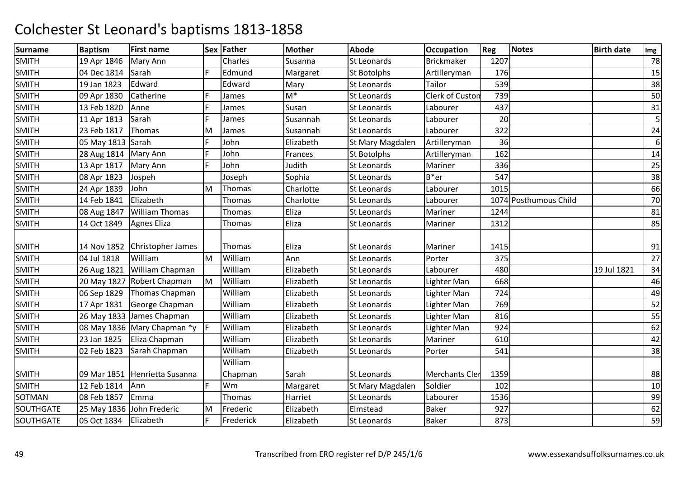| <b>Surname</b> | <b>Baptism</b> | <b>First name</b>           |    | Sex Father    | <b>Mother</b> | <b>Abode</b>       | <b>Occupation</b>     | <b>Reg</b> | <b>Notes</b>          | <b>Birth date</b> | Img |
|----------------|----------------|-----------------------------|----|---------------|---------------|--------------------|-----------------------|------------|-----------------------|-------------------|-----|
| <b>SMITH</b>   | 19 Apr 1846    | Mary Ann                    |    | Charles       | Susanna       | <b>St Leonards</b> | <b>Brickmaker</b>     | 1207       |                       |                   | 78  |
| <b>SMITH</b>   | 04 Dec 1814    | Sarah                       | F. | Edmund        | Margaret      | <b>St Botolphs</b> | Artilleryman          | 176        |                       |                   | 15  |
| <b>SMITH</b>   | 19 Jan 1823    | Edward                      |    | Edward        | Mary          | St Leonards        | Tailor                | 539        |                       |                   | 38  |
| <b>SMITH</b>   | 09 Apr 1830    | Catherine                   | F  | James         | $M^*$         | St Leonards        | Clerk of Custon       | 739        |                       |                   | 50  |
| <b>SMITH</b>   | 13 Feb 1820    | Anne                        | F. | James         | Susan         | St Leonards        | Labourer              | 437        |                       |                   | 31  |
| <b>SMITH</b>   | 11 Apr 1813    | Sarah                       | F. | James         | Susannah      | St Leonards        | Labourer              | 20         |                       |                   | 5   |
| <b>SMITH</b>   | 23 Feb 1817    | Thomas                      | M  | James         | Susannah      | <b>St Leonards</b> | Labourer              | 322        |                       |                   | 24  |
| <b>SMITH</b>   | 05 May 1813    | Sarah                       | F  | John          | Elizabeth     | St Mary Magdalen   | Artilleryman          | 36         |                       |                   | 6   |
| <b>SMITH</b>   | 28 Aug 1814    | Mary Ann                    | F  | John          | Frances       | <b>St Botolphs</b> | Artilleryman          | 162        |                       |                   | 14  |
| <b>SMITH</b>   | 13 Apr 1817    | Mary Ann                    | F. | John          | Judith        | <b>St Leonards</b> | Mariner               | 336        |                       |                   | 25  |
| <b>SMITH</b>   | 08 Apr 1823    | Jospeh                      |    | Joseph        | Sophia        | <b>St Leonards</b> | $B*er$                | 547        |                       |                   | 38  |
| <b>SMITH</b>   | 24 Apr 1839    | John                        | M  | Thomas        | Charlotte     | St Leonards        | Labourer              | 1015       |                       |                   | 66  |
| <b>SMITH</b>   | 14 Feb 1841    | Elizabeth                   |    | Thomas        | Charlotte     | <b>St Leonards</b> | Labourer              |            | 1074 Posthumous Child |                   | 70  |
| <b>SMITH</b>   | 08 Aug 1847    | <b>William Thomas</b>       |    | <b>Thomas</b> | Eliza         | St Leonards        | Mariner               | 1244       |                       |                   | 81  |
| <b>SMITH</b>   | 14 Oct 1849    | <b>Agnes Eliza</b>          |    | Thomas        | Eliza         | St Leonards        | Mariner               | 1312       |                       |                   | 85  |
|                |                |                             |    |               |               |                    |                       |            |                       |                   |     |
| <b>SMITH</b>   | 14 Nov 1852    | Christopher James           |    | Thomas        | Eliza         | <b>St Leonards</b> | Mariner               | 1415       |                       |                   | 91  |
| <b>SMITH</b>   | 04 Jul 1818    | William                     | M  | William       | Ann           | St Leonards        | Porter                | 375        |                       |                   | 27  |
| <b>SMITH</b>   | 26 Aug 1821    | William Chapman             |    | William       | Elizabeth     | <b>St Leonards</b> | Labourer              | 480        |                       | 19 Jul 1821       | 34  |
| <b>SMITH</b>   | 20 May 1827    | Robert Chapman              | M  | William       | Elizabeth     | St Leonards        | Lighter Man           | 668        |                       |                   | 46  |
| <b>SMITH</b>   | 06 Sep 1829    | Thomas Chapman              |    | William       | Elizabeth     | <b>St Leonards</b> | Lighter Man           | 724        |                       |                   | 49  |
| <b>SMITH</b>   | 17 Apr 1831    | George Chapman              |    | William       | Elizabeth     | <b>St Leonards</b> | Lighter Man           | 769        |                       |                   | 52  |
| <b>SMITH</b>   | 26 May 1833    | James Chapman               |    | William       | Elizabeth     | <b>St Leonards</b> | Lighter Man           | 816        |                       |                   | 55  |
| <b>SMITH</b>   |                | 08 May 1836 Mary Chapman *y |    | William       | Elizabeth     | <b>St Leonards</b> | Lighter Man           | 924        |                       |                   | 62  |
| <b>SMITH</b>   | 23 Jan 1825    | Eliza Chapman               |    | William       | Elizabeth     | St Leonards        | Mariner               | 610        |                       |                   | 42  |
| <b>SMITH</b>   | 02 Feb 1823    | Sarah Chapman               |    | William       | Elizabeth     | St Leonards        | Porter                | 541        |                       |                   | 38  |
|                |                |                             |    | William       |               |                    |                       |            |                       |                   |     |
| <b>SMITH</b>   | 09 Mar 1851    | Henrietta Susanna           |    | Chapman       | Sarah         | St Leonards        | <b>Merchants Cler</b> | 1359       |                       |                   | 88  |
| <b>SMITH</b>   | 12 Feb 1814    | Ann                         | F. | Wm            | Margaret      | St Mary Magdalen   | Soldier               | 102        |                       |                   | 10  |
| <b>SOTMAN</b>  | 08 Feb 1857    | Emma                        |    | Thomas        | Harriet       | <b>St Leonards</b> | Labourer              | 1536       |                       |                   | 99  |
| SOUTHGATE      | 25 May 1836    | John Frederic               | M  | Frederic      | Elizabeth     | Elmstead           | <b>Baker</b>          | 927        |                       |                   | 62  |
| SOUTHGATE      | 05 Oct 1834    | Elizabeth                   | F. | Frederick     | Elizabeth     | <b>St Leonards</b> | <b>Baker</b>          | 873        |                       |                   | 59  |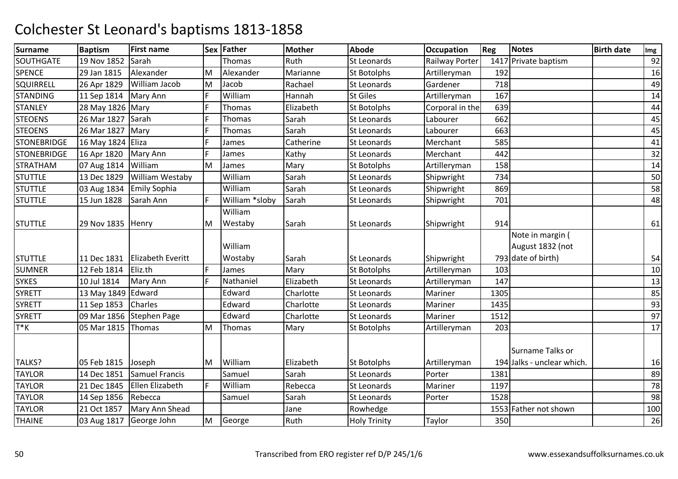| <b>Surname</b>     | <b>Baptism</b>   | <b>First name</b>        |    | Sex Father     | <b>Mother</b> | <b>Abode</b>        | Occupation      | Reg  | <b>Notes</b>               | <b>Birth date</b> | Img |
|--------------------|------------------|--------------------------|----|----------------|---------------|---------------------|-----------------|------|----------------------------|-------------------|-----|
| SOUTHGATE          | 19 Nov 1852      | Sarah                    |    | Thomas         | Ruth          | <b>St Leonards</b>  | Railway Porter  |      | 1417 Private baptism       |                   | 92  |
| <b>SPENCE</b>      | 29 Jan 1815      | Alexander                | M  | Alexander      | Marianne      | <b>St Botolphs</b>  | Artilleryman    | 192  |                            |                   | 16  |
| SQUIRRELL          | 26 Apr 1829      | William Jacob            | M  | Jacob          | Rachael       | St Leonards         | Gardener        | 718  |                            |                   | 49  |
| <b>STANDING</b>    | 11 Sep 1814      | Mary Ann                 | F  | William        | Hannah        | <b>St Giles</b>     | Artilleryman    | 167  |                            |                   | 14  |
| <b>STANLEY</b>     | 28 May 1826 Mary |                          | F. | Thomas         | Elizabeth     | <b>St Botolphs</b>  | Corporal in the | 639  |                            |                   | 44  |
| <b>STEOENS</b>     | 26 Mar 1827      | Sarah                    | F  | Thomas         | Sarah         | <b>St Leonards</b>  | Labourer        | 662  |                            |                   | 45  |
| <b>STEOENS</b>     | 26 Mar 1827      | Mary                     | F. | Thomas         | Sarah         | <b>St Leonards</b>  | Labourer        | 663  |                            |                   | 45  |
| <b>STONEBRIDGE</b> | 16 May 1824      | Eliza                    | F  | James          | Catherine     | St Leonards         | Merchant        | 585  |                            |                   | 41  |
| <b>STONEBRIDGE</b> | 16 Apr 1820      | Mary Ann                 | F. | James          | Kathy         | St Leonards         | Merchant        | 442  |                            |                   | 32  |
| <b>STRATHAM</b>    | 07 Aug 1814      | William                  | M  | James          | Mary          | <b>St Botolphs</b>  | Artilleryman    | 158  |                            |                   | 14  |
| <b>STUTTLE</b>     | 13 Dec 1829      | <b>William Westaby</b>   |    | William        | Sarah         | <b>St Leonards</b>  | Shipwright      | 734  |                            |                   | 50  |
| <b>STUTTLE</b>     | 03 Aug 1834      | <b>Emily Sophia</b>      |    | William        | Sarah         | St Leonards         | Shipwright      | 869  |                            |                   | 58  |
| <b>STUTTLE</b>     | 15 Jun 1828      | Sarah Ann                | F. | William *sloby | Sarah         | St Leonards         | Shipwright      | 701  |                            |                   | 48  |
|                    |                  |                          |    | William        |               |                     |                 |      |                            |                   |     |
| <b>STUTTLE</b>     | 29 Nov 1835      | Henry                    | M  | Westaby        | Sarah         | <b>St Leonards</b>  | Shipwright      | 914  |                            |                   | 61  |
|                    |                  |                          |    |                |               |                     |                 |      | Note in margin (           |                   |     |
|                    |                  |                          |    | William        |               |                     |                 |      | August 1832 (not           |                   |     |
| <b>STUTTLE</b>     | 11 Dec 1831      | <b>Elizabeth Everitt</b> |    | Wostaby        | Sarah         | <b>St Leonards</b>  | Shipwright      |      | 793 date of birth)         |                   | 54  |
| <b>SUMNER</b>      | 12 Feb 1814      | Eliz.th                  | F  | James          | Mary          | <b>St Botolphs</b>  | Artilleryman    | 103  |                            |                   | 10  |
| <b>SYKES</b>       | 10 Jul 1814      | Mary Ann                 | F  | Nathaniel      | Elizabeth     | St Leonards         | Artilleryman    | 147  |                            |                   | 13  |
| <b>SYRETT</b>      | 13 May 1849      | Edward                   |    | Edward         | Charlotte     | St Leonards         | Mariner         | 1305 |                            |                   | 85  |
| <b>SYRETT</b>      | 11 Sep 1853      | Charles                  |    | Edward         | Charlotte     | St Leonards         | Mariner         | 1435 |                            |                   | 93  |
| <b>SYRETT</b>      | 09 Mar 1856      | <b>Stephen Page</b>      |    | Edward         | Charlotte     | <b>St Leonards</b>  | Mariner         | 1512 |                            |                   | 97  |
| T*K                | 05 Mar 1815      | Thomas                   | M  | Thomas         | Mary          | <b>St Botolphs</b>  | Artilleryman    | 203  |                            |                   | 17  |
|                    |                  |                          |    |                |               |                     |                 |      |                            |                   |     |
|                    |                  |                          |    |                |               |                     |                 |      | Surname Talks or           |                   |     |
| TALKS?             | 05 Feb 1815      | Joseph                   | M  | William        | Elizabeth     | <b>St Botolphs</b>  | Artilleryman    |      | 194 Jalks - unclear which. |                   | 16  |
| <b>TAYLOR</b>      | 14 Dec 1851      | <b>Samuel Francis</b>    |    | Samuel         | Sarah         | St Leonards         | Porter          | 1381 |                            |                   | 89  |
| <b>TAYLOR</b>      | 21 Dec 1845      | Ellen Elizabeth          | F  | William        | Rebecca       | St Leonards         | Mariner         | 1197 |                            |                   | 78  |
| <b>TAYLOR</b>      | 14 Sep 1856      | Rebecca                  |    | Samuel         | Sarah         | <b>St Leonards</b>  | Porter          | 1528 |                            |                   | 98  |
| <b>TAYLOR</b>      | 21 Oct 1857      | Mary Ann Shead           |    |                | Jane          | Rowhedge            |                 |      | 1553 Father not shown      |                   | 100 |
| <b>THAINE</b>      | 03 Aug 1817      | George John              | M  | George         | Ruth          | <b>Holy Trinity</b> | Taylor          | 350  |                            |                   | 26  |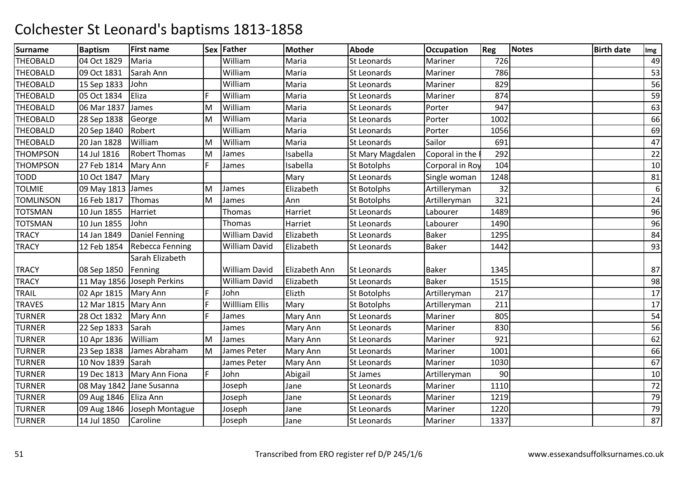| William<br><b>THEOBALD</b><br>04 Oct 1829<br>Maria<br>St Leonards<br>726<br>49<br>Maria<br>Mariner<br>William<br>Sarah Ann<br>53<br>09 Oct 1831<br>Maria<br>St Leonards<br>Mariner<br>786<br>William<br>829<br>15 Sep 1833<br>John<br>Maria<br>56<br>St Leonards<br>Mariner<br>Eliza<br>William<br>59<br>F<br>874<br>05 Oct 1834<br>Maria<br><b>St Leonards</b><br>Mariner<br>THEOBALD<br>William<br>63<br>06 Mar 1837<br>Maria<br>947<br>James<br>M<br>St Leonards<br>Porter<br>William<br>66<br>28 Sep 1838<br>George<br>M<br>Maria<br><b>St Leonards</b><br>Porter<br>1002<br>William<br>Robert<br>Maria<br>69<br>20 Sep 1840<br>St Leonards<br>Porter<br>1056<br>William<br>William<br>Sailor<br>47<br>20 Jan 1828<br>M<br>Maria<br>St Leonards<br>691<br><b>Robert Thomas</b><br><b>THOMPSON</b><br>14 Jul 1816<br>M<br>Isabella<br>Coporal in the<br>292<br>22<br>James<br>St Mary Magdalen<br><b>THOMPSON</b><br>F.<br>27 Feb 1814<br>Isabella<br>104<br>10<br>Mary Ann<br>St Botolphs<br>Corporal in Roy<br>James<br>10 Oct 1847<br>Mary<br>1248<br>TODD<br>Mary<br><b>St Leonards</b><br>Single woman<br>81<br>6<br><b>TOLMIE</b><br>32<br>09 May 1813<br>James<br>M<br>Elizabeth<br>St Botolphs<br>Artilleryman<br>James<br><b>TOMLINSON</b><br>16 Feb 1817<br>321<br>24<br>Thomas<br>M<br>Ann<br><b>St Botolphs</b><br>Artilleryman<br>James<br>10 Jun 1855<br>Harriet<br>Harriet<br>96<br>Thomas<br><b>St Leonards</b><br>Labourer<br>1489<br>John<br>96<br><b>TOTSMAN</b><br>10 Jun 1855<br>Harriet<br>St Leonards<br>Labourer<br>1490<br>Thomas<br><b>Daniel Fenning</b><br><b>William David</b><br><b>TRACY</b><br>14 Jan 1849<br>Elizabeth<br>1295<br>84<br>St Leonards<br><b>Baker</b><br><b>TRACY</b><br>12 Feb 1854<br><b>Rebecca Fenning</b><br><b>William David</b><br>Elizabeth<br><b>St Leonards</b><br>Baker<br>93<br>1442<br>Sarah Elizabeth<br>87<br><b>William David</b><br><b>Baker</b><br>1345<br>08 Sep 1850<br>Elizabeth Ann<br><b>St Leonards</b><br>Fenning<br><b>TRACY</b><br>98<br>11 May 1856 Joseph Perkins<br><b>William David</b><br>Elizabeth<br><b>Baker</b><br>St Leonards<br>1515<br>TRAIL<br>02 Apr 1815   Mary Ann<br>F<br>John<br>Elizth<br>17<br>Artilleryman<br>217<br><b>St Botolphs</b><br><b>Willliam Ellis</b><br><b>TRAVES</b><br>12 Mar 1815   Mary Ann<br>F<br>Mary<br>211<br>St Botolphs<br>Artilleryman<br>17<br>54<br>28 Oct 1832<br>F<br><b>TURNER</b><br>Mary Ann<br>Mary Ann<br><b>St Leonards</b><br>805<br>James<br>Mariner<br>Sarah<br><b>TURNER</b><br>56<br>22 Sep 1833<br>James<br>Mary Ann<br><b>St Leonards</b><br>Mariner<br>830<br><b>TURNER</b><br>William<br>62<br>10 Apr 1836<br>M<br>Mary Ann<br><b>St Leonards</b><br>Mariner<br>921<br>James<br>James Abraham<br>James Peter<br><b>TURNER</b><br>23 Sep 1838<br>1001<br>66<br>M<br>Mary Ann<br><b>St Leonards</b><br>Mariner<br>67<br><b>TURNER</b><br>10 Nov 1839<br>Sarah<br>James Peter<br>Mary Ann<br><b>St Leonards</b><br>1030<br>Mariner<br>F<br>John<br>Abigail<br>90<br>TURNER<br>19 Dec 1813<br>Mary Ann Fiona<br>10<br>St James<br>Artilleryman<br><b>TURNER</b><br>72<br>08 May 1842 Jane Susanna<br>Mariner<br>1110<br>Joseph<br>Jane<br>St Leonards<br>79<br><b>TURNER</b><br>09 Aug 1846 Eliza Ann<br>1219<br><b>St Leonards</b><br>Mariner<br>Joseph<br>Jane<br>79<br><b>TURNER</b><br>09 Aug 1846 Joseph Montague<br>1220<br>Joseph<br>St Leonards<br>Mariner<br>Jane<br>87<br>14 Jul 1850<br>Caroline<br><b>St Leonards</b><br>1337<br>Joseph<br>Jane<br>Mariner | <b>Surname</b>  | <b>Baptism</b> | <b>First name</b> | Sex Father | <b>Mother</b> | Abode | <b>Occupation</b> | Reg | <b>Notes</b> | <b>Birth date</b> | Img |
|-----------------------------------------------------------------------------------------------------------------------------------------------------------------------------------------------------------------------------------------------------------------------------------------------------------------------------------------------------------------------------------------------------------------------------------------------------------------------------------------------------------------------------------------------------------------------------------------------------------------------------------------------------------------------------------------------------------------------------------------------------------------------------------------------------------------------------------------------------------------------------------------------------------------------------------------------------------------------------------------------------------------------------------------------------------------------------------------------------------------------------------------------------------------------------------------------------------------------------------------------------------------------------------------------------------------------------------------------------------------------------------------------------------------------------------------------------------------------------------------------------------------------------------------------------------------------------------------------------------------------------------------------------------------------------------------------------------------------------------------------------------------------------------------------------------------------------------------------------------------------------------------------------------------------------------------------------------------------------------------------------------------------------------------------------------------------------------------------------------------------------------------------------------------------------------------------------------------------------------------------------------------------------------------------------------------------------------------------------------------------------------------------------------------------------------------------------------------------------------------------------------------------------------------------------------------------------------------------------------------------------------------------------------------------------------------------------------------------------------------------------------------------------------------------------------------------------------------------------------------------------------------------------------------------------------------------------------------------------------------------------------------------------------------------------------------------------------------------------------------------------------------------------------------------------------------------------------------------------------------------------------------------------------------------------------------------------------------------------------------------------------------------------------------------------------------------------------------------------------------------------------------|-----------------|----------------|-------------------|------------|---------------|-------|-------------------|-----|--------------|-------------------|-----|
|                                                                                                                                                                                                                                                                                                                                                                                                                                                                                                                                                                                                                                                                                                                                                                                                                                                                                                                                                                                                                                                                                                                                                                                                                                                                                                                                                                                                                                                                                                                                                                                                                                                                                                                                                                                                                                                                                                                                                                                                                                                                                                                                                                                                                                                                                                                                                                                                                                                                                                                                                                                                                                                                                                                                                                                                                                                                                                                                                                                                                                                                                                                                                                                                                                                                                                                                                                                                                                                                                                                 |                 |                |                   |            |               |       |                   |     |              |                   |     |
|                                                                                                                                                                                                                                                                                                                                                                                                                                                                                                                                                                                                                                                                                                                                                                                                                                                                                                                                                                                                                                                                                                                                                                                                                                                                                                                                                                                                                                                                                                                                                                                                                                                                                                                                                                                                                                                                                                                                                                                                                                                                                                                                                                                                                                                                                                                                                                                                                                                                                                                                                                                                                                                                                                                                                                                                                                                                                                                                                                                                                                                                                                                                                                                                                                                                                                                                                                                                                                                                                                                 | <b>THEOBALD</b> |                |                   |            |               |       |                   |     |              |                   |     |
|                                                                                                                                                                                                                                                                                                                                                                                                                                                                                                                                                                                                                                                                                                                                                                                                                                                                                                                                                                                                                                                                                                                                                                                                                                                                                                                                                                                                                                                                                                                                                                                                                                                                                                                                                                                                                                                                                                                                                                                                                                                                                                                                                                                                                                                                                                                                                                                                                                                                                                                                                                                                                                                                                                                                                                                                                                                                                                                                                                                                                                                                                                                                                                                                                                                                                                                                                                                                                                                                                                                 | <b>THEOBALD</b> |                |                   |            |               |       |                   |     |              |                   |     |
|                                                                                                                                                                                                                                                                                                                                                                                                                                                                                                                                                                                                                                                                                                                                                                                                                                                                                                                                                                                                                                                                                                                                                                                                                                                                                                                                                                                                                                                                                                                                                                                                                                                                                                                                                                                                                                                                                                                                                                                                                                                                                                                                                                                                                                                                                                                                                                                                                                                                                                                                                                                                                                                                                                                                                                                                                                                                                                                                                                                                                                                                                                                                                                                                                                                                                                                                                                                                                                                                                                                 | <b>THEOBALD</b> |                |                   |            |               |       |                   |     |              |                   |     |
|                                                                                                                                                                                                                                                                                                                                                                                                                                                                                                                                                                                                                                                                                                                                                                                                                                                                                                                                                                                                                                                                                                                                                                                                                                                                                                                                                                                                                                                                                                                                                                                                                                                                                                                                                                                                                                                                                                                                                                                                                                                                                                                                                                                                                                                                                                                                                                                                                                                                                                                                                                                                                                                                                                                                                                                                                                                                                                                                                                                                                                                                                                                                                                                                                                                                                                                                                                                                                                                                                                                 |                 |                |                   |            |               |       |                   |     |              |                   |     |
|                                                                                                                                                                                                                                                                                                                                                                                                                                                                                                                                                                                                                                                                                                                                                                                                                                                                                                                                                                                                                                                                                                                                                                                                                                                                                                                                                                                                                                                                                                                                                                                                                                                                                                                                                                                                                                                                                                                                                                                                                                                                                                                                                                                                                                                                                                                                                                                                                                                                                                                                                                                                                                                                                                                                                                                                                                                                                                                                                                                                                                                                                                                                                                                                                                                                                                                                                                                                                                                                                                                 | <b>THEOBALD</b> |                |                   |            |               |       |                   |     |              |                   |     |
|                                                                                                                                                                                                                                                                                                                                                                                                                                                                                                                                                                                                                                                                                                                                                                                                                                                                                                                                                                                                                                                                                                                                                                                                                                                                                                                                                                                                                                                                                                                                                                                                                                                                                                                                                                                                                                                                                                                                                                                                                                                                                                                                                                                                                                                                                                                                                                                                                                                                                                                                                                                                                                                                                                                                                                                                                                                                                                                                                                                                                                                                                                                                                                                                                                                                                                                                                                                                                                                                                                                 | <b>THEOBALD</b> |                |                   |            |               |       |                   |     |              |                   |     |
|                                                                                                                                                                                                                                                                                                                                                                                                                                                                                                                                                                                                                                                                                                                                                                                                                                                                                                                                                                                                                                                                                                                                                                                                                                                                                                                                                                                                                                                                                                                                                                                                                                                                                                                                                                                                                                                                                                                                                                                                                                                                                                                                                                                                                                                                                                                                                                                                                                                                                                                                                                                                                                                                                                                                                                                                                                                                                                                                                                                                                                                                                                                                                                                                                                                                                                                                                                                                                                                                                                                 | <b>THEOBALD</b> |                |                   |            |               |       |                   |     |              |                   |     |
|                                                                                                                                                                                                                                                                                                                                                                                                                                                                                                                                                                                                                                                                                                                                                                                                                                                                                                                                                                                                                                                                                                                                                                                                                                                                                                                                                                                                                                                                                                                                                                                                                                                                                                                                                                                                                                                                                                                                                                                                                                                                                                                                                                                                                                                                                                                                                                                                                                                                                                                                                                                                                                                                                                                                                                                                                                                                                                                                                                                                                                                                                                                                                                                                                                                                                                                                                                                                                                                                                                                 |                 |                |                   |            |               |       |                   |     |              |                   |     |
|                                                                                                                                                                                                                                                                                                                                                                                                                                                                                                                                                                                                                                                                                                                                                                                                                                                                                                                                                                                                                                                                                                                                                                                                                                                                                                                                                                                                                                                                                                                                                                                                                                                                                                                                                                                                                                                                                                                                                                                                                                                                                                                                                                                                                                                                                                                                                                                                                                                                                                                                                                                                                                                                                                                                                                                                                                                                                                                                                                                                                                                                                                                                                                                                                                                                                                                                                                                                                                                                                                                 |                 |                |                   |            |               |       |                   |     |              |                   |     |
|                                                                                                                                                                                                                                                                                                                                                                                                                                                                                                                                                                                                                                                                                                                                                                                                                                                                                                                                                                                                                                                                                                                                                                                                                                                                                                                                                                                                                                                                                                                                                                                                                                                                                                                                                                                                                                                                                                                                                                                                                                                                                                                                                                                                                                                                                                                                                                                                                                                                                                                                                                                                                                                                                                                                                                                                                                                                                                                                                                                                                                                                                                                                                                                                                                                                                                                                                                                                                                                                                                                 |                 |                |                   |            |               |       |                   |     |              |                   |     |
|                                                                                                                                                                                                                                                                                                                                                                                                                                                                                                                                                                                                                                                                                                                                                                                                                                                                                                                                                                                                                                                                                                                                                                                                                                                                                                                                                                                                                                                                                                                                                                                                                                                                                                                                                                                                                                                                                                                                                                                                                                                                                                                                                                                                                                                                                                                                                                                                                                                                                                                                                                                                                                                                                                                                                                                                                                                                                                                                                                                                                                                                                                                                                                                                                                                                                                                                                                                                                                                                                                                 |                 |                |                   |            |               |       |                   |     |              |                   |     |
|                                                                                                                                                                                                                                                                                                                                                                                                                                                                                                                                                                                                                                                                                                                                                                                                                                                                                                                                                                                                                                                                                                                                                                                                                                                                                                                                                                                                                                                                                                                                                                                                                                                                                                                                                                                                                                                                                                                                                                                                                                                                                                                                                                                                                                                                                                                                                                                                                                                                                                                                                                                                                                                                                                                                                                                                                                                                                                                                                                                                                                                                                                                                                                                                                                                                                                                                                                                                                                                                                                                 |                 |                |                   |            |               |       |                   |     |              |                   |     |
|                                                                                                                                                                                                                                                                                                                                                                                                                                                                                                                                                                                                                                                                                                                                                                                                                                                                                                                                                                                                                                                                                                                                                                                                                                                                                                                                                                                                                                                                                                                                                                                                                                                                                                                                                                                                                                                                                                                                                                                                                                                                                                                                                                                                                                                                                                                                                                                                                                                                                                                                                                                                                                                                                                                                                                                                                                                                                                                                                                                                                                                                                                                                                                                                                                                                                                                                                                                                                                                                                                                 | <b>TOTSMAN</b>  |                |                   |            |               |       |                   |     |              |                   |     |
|                                                                                                                                                                                                                                                                                                                                                                                                                                                                                                                                                                                                                                                                                                                                                                                                                                                                                                                                                                                                                                                                                                                                                                                                                                                                                                                                                                                                                                                                                                                                                                                                                                                                                                                                                                                                                                                                                                                                                                                                                                                                                                                                                                                                                                                                                                                                                                                                                                                                                                                                                                                                                                                                                                                                                                                                                                                                                                                                                                                                                                                                                                                                                                                                                                                                                                                                                                                                                                                                                                                 |                 |                |                   |            |               |       |                   |     |              |                   |     |
|                                                                                                                                                                                                                                                                                                                                                                                                                                                                                                                                                                                                                                                                                                                                                                                                                                                                                                                                                                                                                                                                                                                                                                                                                                                                                                                                                                                                                                                                                                                                                                                                                                                                                                                                                                                                                                                                                                                                                                                                                                                                                                                                                                                                                                                                                                                                                                                                                                                                                                                                                                                                                                                                                                                                                                                                                                                                                                                                                                                                                                                                                                                                                                                                                                                                                                                                                                                                                                                                                                                 |                 |                |                   |            |               |       |                   |     |              |                   |     |
|                                                                                                                                                                                                                                                                                                                                                                                                                                                                                                                                                                                                                                                                                                                                                                                                                                                                                                                                                                                                                                                                                                                                                                                                                                                                                                                                                                                                                                                                                                                                                                                                                                                                                                                                                                                                                                                                                                                                                                                                                                                                                                                                                                                                                                                                                                                                                                                                                                                                                                                                                                                                                                                                                                                                                                                                                                                                                                                                                                                                                                                                                                                                                                                                                                                                                                                                                                                                                                                                                                                 |                 |                |                   |            |               |       |                   |     |              |                   |     |
|                                                                                                                                                                                                                                                                                                                                                                                                                                                                                                                                                                                                                                                                                                                                                                                                                                                                                                                                                                                                                                                                                                                                                                                                                                                                                                                                                                                                                                                                                                                                                                                                                                                                                                                                                                                                                                                                                                                                                                                                                                                                                                                                                                                                                                                                                                                                                                                                                                                                                                                                                                                                                                                                                                                                                                                                                                                                                                                                                                                                                                                                                                                                                                                                                                                                                                                                                                                                                                                                                                                 |                 |                |                   |            |               |       |                   |     |              |                   |     |
|                                                                                                                                                                                                                                                                                                                                                                                                                                                                                                                                                                                                                                                                                                                                                                                                                                                                                                                                                                                                                                                                                                                                                                                                                                                                                                                                                                                                                                                                                                                                                                                                                                                                                                                                                                                                                                                                                                                                                                                                                                                                                                                                                                                                                                                                                                                                                                                                                                                                                                                                                                                                                                                                                                                                                                                                                                                                                                                                                                                                                                                                                                                                                                                                                                                                                                                                                                                                                                                                                                                 | <b>TRACY</b>    |                |                   |            |               |       |                   |     |              |                   |     |
|                                                                                                                                                                                                                                                                                                                                                                                                                                                                                                                                                                                                                                                                                                                                                                                                                                                                                                                                                                                                                                                                                                                                                                                                                                                                                                                                                                                                                                                                                                                                                                                                                                                                                                                                                                                                                                                                                                                                                                                                                                                                                                                                                                                                                                                                                                                                                                                                                                                                                                                                                                                                                                                                                                                                                                                                                                                                                                                                                                                                                                                                                                                                                                                                                                                                                                                                                                                                                                                                                                                 |                 |                |                   |            |               |       |                   |     |              |                   |     |
|                                                                                                                                                                                                                                                                                                                                                                                                                                                                                                                                                                                                                                                                                                                                                                                                                                                                                                                                                                                                                                                                                                                                                                                                                                                                                                                                                                                                                                                                                                                                                                                                                                                                                                                                                                                                                                                                                                                                                                                                                                                                                                                                                                                                                                                                                                                                                                                                                                                                                                                                                                                                                                                                                                                                                                                                                                                                                                                                                                                                                                                                                                                                                                                                                                                                                                                                                                                                                                                                                                                 |                 |                |                   |            |               |       |                   |     |              |                   |     |
|                                                                                                                                                                                                                                                                                                                                                                                                                                                                                                                                                                                                                                                                                                                                                                                                                                                                                                                                                                                                                                                                                                                                                                                                                                                                                                                                                                                                                                                                                                                                                                                                                                                                                                                                                                                                                                                                                                                                                                                                                                                                                                                                                                                                                                                                                                                                                                                                                                                                                                                                                                                                                                                                                                                                                                                                                                                                                                                                                                                                                                                                                                                                                                                                                                                                                                                                                                                                                                                                                                                 |                 |                |                   |            |               |       |                   |     |              |                   |     |
|                                                                                                                                                                                                                                                                                                                                                                                                                                                                                                                                                                                                                                                                                                                                                                                                                                                                                                                                                                                                                                                                                                                                                                                                                                                                                                                                                                                                                                                                                                                                                                                                                                                                                                                                                                                                                                                                                                                                                                                                                                                                                                                                                                                                                                                                                                                                                                                                                                                                                                                                                                                                                                                                                                                                                                                                                                                                                                                                                                                                                                                                                                                                                                                                                                                                                                                                                                                                                                                                                                                 |                 |                |                   |            |               |       |                   |     |              |                   |     |
|                                                                                                                                                                                                                                                                                                                                                                                                                                                                                                                                                                                                                                                                                                                                                                                                                                                                                                                                                                                                                                                                                                                                                                                                                                                                                                                                                                                                                                                                                                                                                                                                                                                                                                                                                                                                                                                                                                                                                                                                                                                                                                                                                                                                                                                                                                                                                                                                                                                                                                                                                                                                                                                                                                                                                                                                                                                                                                                                                                                                                                                                                                                                                                                                                                                                                                                                                                                                                                                                                                                 |                 |                |                   |            |               |       |                   |     |              |                   |     |
|                                                                                                                                                                                                                                                                                                                                                                                                                                                                                                                                                                                                                                                                                                                                                                                                                                                                                                                                                                                                                                                                                                                                                                                                                                                                                                                                                                                                                                                                                                                                                                                                                                                                                                                                                                                                                                                                                                                                                                                                                                                                                                                                                                                                                                                                                                                                                                                                                                                                                                                                                                                                                                                                                                                                                                                                                                                                                                                                                                                                                                                                                                                                                                                                                                                                                                                                                                                                                                                                                                                 |                 |                |                   |            |               |       |                   |     |              |                   |     |
|                                                                                                                                                                                                                                                                                                                                                                                                                                                                                                                                                                                                                                                                                                                                                                                                                                                                                                                                                                                                                                                                                                                                                                                                                                                                                                                                                                                                                                                                                                                                                                                                                                                                                                                                                                                                                                                                                                                                                                                                                                                                                                                                                                                                                                                                                                                                                                                                                                                                                                                                                                                                                                                                                                                                                                                                                                                                                                                                                                                                                                                                                                                                                                                                                                                                                                                                                                                                                                                                                                                 |                 |                |                   |            |               |       |                   |     |              |                   |     |
|                                                                                                                                                                                                                                                                                                                                                                                                                                                                                                                                                                                                                                                                                                                                                                                                                                                                                                                                                                                                                                                                                                                                                                                                                                                                                                                                                                                                                                                                                                                                                                                                                                                                                                                                                                                                                                                                                                                                                                                                                                                                                                                                                                                                                                                                                                                                                                                                                                                                                                                                                                                                                                                                                                                                                                                                                                                                                                                                                                                                                                                                                                                                                                                                                                                                                                                                                                                                                                                                                                                 |                 |                |                   |            |               |       |                   |     |              |                   |     |
|                                                                                                                                                                                                                                                                                                                                                                                                                                                                                                                                                                                                                                                                                                                                                                                                                                                                                                                                                                                                                                                                                                                                                                                                                                                                                                                                                                                                                                                                                                                                                                                                                                                                                                                                                                                                                                                                                                                                                                                                                                                                                                                                                                                                                                                                                                                                                                                                                                                                                                                                                                                                                                                                                                                                                                                                                                                                                                                                                                                                                                                                                                                                                                                                                                                                                                                                                                                                                                                                                                                 |                 |                |                   |            |               |       |                   |     |              |                   |     |
|                                                                                                                                                                                                                                                                                                                                                                                                                                                                                                                                                                                                                                                                                                                                                                                                                                                                                                                                                                                                                                                                                                                                                                                                                                                                                                                                                                                                                                                                                                                                                                                                                                                                                                                                                                                                                                                                                                                                                                                                                                                                                                                                                                                                                                                                                                                                                                                                                                                                                                                                                                                                                                                                                                                                                                                                                                                                                                                                                                                                                                                                                                                                                                                                                                                                                                                                                                                                                                                                                                                 |                 |                |                   |            |               |       |                   |     |              |                   |     |
|                                                                                                                                                                                                                                                                                                                                                                                                                                                                                                                                                                                                                                                                                                                                                                                                                                                                                                                                                                                                                                                                                                                                                                                                                                                                                                                                                                                                                                                                                                                                                                                                                                                                                                                                                                                                                                                                                                                                                                                                                                                                                                                                                                                                                                                                                                                                                                                                                                                                                                                                                                                                                                                                                                                                                                                                                                                                                                                                                                                                                                                                                                                                                                                                                                                                                                                                                                                                                                                                                                                 |                 |                |                   |            |               |       |                   |     |              |                   |     |
|                                                                                                                                                                                                                                                                                                                                                                                                                                                                                                                                                                                                                                                                                                                                                                                                                                                                                                                                                                                                                                                                                                                                                                                                                                                                                                                                                                                                                                                                                                                                                                                                                                                                                                                                                                                                                                                                                                                                                                                                                                                                                                                                                                                                                                                                                                                                                                                                                                                                                                                                                                                                                                                                                                                                                                                                                                                                                                                                                                                                                                                                                                                                                                                                                                                                                                                                                                                                                                                                                                                 |                 |                |                   |            |               |       |                   |     |              |                   |     |
|                                                                                                                                                                                                                                                                                                                                                                                                                                                                                                                                                                                                                                                                                                                                                                                                                                                                                                                                                                                                                                                                                                                                                                                                                                                                                                                                                                                                                                                                                                                                                                                                                                                                                                                                                                                                                                                                                                                                                                                                                                                                                                                                                                                                                                                                                                                                                                                                                                                                                                                                                                                                                                                                                                                                                                                                                                                                                                                                                                                                                                                                                                                                                                                                                                                                                                                                                                                                                                                                                                                 | <b>TURNER</b>   |                |                   |            |               |       |                   |     |              |                   |     |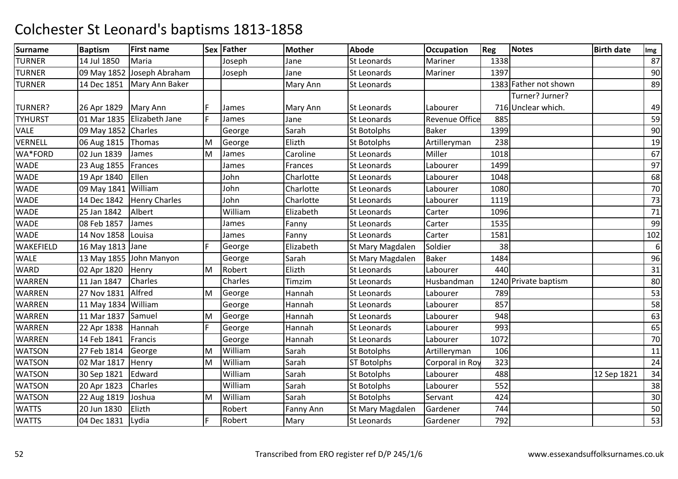| <b>Surname</b> | <b>Baptism</b>        | <b>First name</b>          |    | Sex Father | <b>Mother</b> | <b>Abode</b>       | Occupation            | Reg  | <b>Notes</b>          | <b>Birth date</b> | Img |
|----------------|-----------------------|----------------------------|----|------------|---------------|--------------------|-----------------------|------|-----------------------|-------------------|-----|
| <b>TURNER</b>  | 14 Jul 1850           | Maria                      |    | Joseph     | Jane          | St Leonards        | Mariner               | 1338 |                       |                   | 87  |
| <b>TURNER</b>  |                       | 09 May 1852 Joseph Abraham |    | Joseph     | Jane          | <b>St Leonards</b> | Mariner               | 1397 |                       |                   | 90  |
| <b>TURNER</b>  | 14 Dec 1851           | Mary Ann Baker             |    |            | Mary Ann      | <b>St Leonards</b> |                       |      | 1383 Father not shown |                   | 89  |
|                |                       |                            |    |            |               |                    |                       |      | Turner? Jurner?       |                   |     |
| TURNER?        | 26 Apr 1829           | <b>Mary Ann</b>            |    | James      | Mary Ann      | St Leonards        | Labourer              |      | 716 Unclear which.    |                   | 49  |
| <b>TYHURST</b> | 01 Mar 1835           | Elizabeth Jane             | E. | James      | Jane          | St Leonards        | <b>Revenue Office</b> | 885  |                       |                   | 59  |
| <b>VALE</b>    | 09 May 1852 Charles   |                            |    | George     | Sarah         | St Botolphs        | Baker                 | 1399 |                       |                   | 90  |
| VERNELL        | 06 Aug 1815           | Thomas                     | M  | George     | Elizth        | St Botolphs        | Artilleryman          | 238  |                       |                   | 19  |
| WA*FORD        | 02 Jun 1839           | James                      | M  | James      | Caroline      | St Leonards        | Miller                | 1018 |                       |                   | 67  |
| <b>WADE</b>    | 23 Aug 1855           | Frances                    |    | James      | Frances       | St Leonards        | Labourer              | 1499 |                       |                   | 97  |
| <b>WADE</b>    | 19 Apr 1840           | Ellen                      |    | John       | Charlotte     | St Leonards        | Labourer              | 1048 |                       |                   | 68  |
| <b>WADE</b>    | 09 May 1841           | William                    |    | John       | Charlotte     | St Leonards        | Labourer              | 1080 |                       |                   | 70  |
| <b>WADE</b>    | 14 Dec 1842           | <b>Henry Charles</b>       |    | John       | Charlotte     | St Leonards        | Labourer              | 1119 |                       |                   | 73  |
| <b>WADE</b>    | 25 Jan 1842           | Albert                     |    | William    | Elizabeth     | St Leonards        | Carter                | 1096 |                       |                   | 71  |
| <b>WADE</b>    | 08 Feb 1857           | James                      |    | James      | Fanny         | <b>St Leonards</b> | Carter                | 1535 |                       |                   | 99  |
| <b>WADE</b>    | 14 Nov 1858           | Louisa                     |    | James      | Fanny         | St Leonards        | Carter                | 1581 |                       |                   | 102 |
| WAKEFIELD      | 16 May 1813 Jane      |                            | F  | George     | Elizabeth     | St Mary Magdalen   | Soldier               | 38   |                       |                   | 6   |
| <b>WALE</b>    |                       | 13 May 1855 John Manyon    |    | George     | Sarah         | St Mary Magdalen   | <b>Baker</b>          | 1484 |                       |                   | 96  |
| <b>WARD</b>    | 02 Apr 1820           | Henry                      | M  | Robert     | Elizth        | St Leonards        | Labourer              | 440  |                       |                   | 31  |
| <b>WARREN</b>  | 11 Jan 1847           | Charles                    |    | Charles    | Timzim        | St Leonards        | Husbandman            |      | 1240 Private baptism  |                   | 80  |
| WARREN         | 27 Nov 1831           | Alfred                     | M  | George     | Hannah        | <b>St Leonards</b> | Labourer              | 789  |                       |                   | 53  |
| WARREN         | $11$ May 1834 William |                            |    | George     | Hannah        | St Leonards        | Labourer              | 857  |                       |                   | 58  |
| WARREN         | 11 Mar 1837           | Samuel                     | M  | George     | Hannah        | St Leonards        | Labourer              | 948  |                       |                   | 63  |
| <b>WARREN</b>  | 22 Apr 1838           | Hannah                     | F  | George     | Hannah        | St Leonards        | Labourer              | 993  |                       |                   | 65  |
| <b>WARREN</b>  | 14 Feb 1841           | Francis                    |    | George     | Hannah        | St Leonards        | Labourer              | 1072 |                       |                   | 70  |
| <b>WATSON</b>  | 27 Feb 1814           | George                     | M  | William    | Sarah         | St Botolphs        | Artilleryman          | 106  |                       |                   | 11  |
| <b>WATSON</b>  | 02 Mar 1817           | Henry                      | M  | William    | Sarah         | <b>ST Botolphs</b> | Corporal in Roy       | 323  |                       |                   | 24  |
| <b>WATSON</b>  | 30 Sep 1821           | Edward                     |    | William    | Sarah         | St Botolphs        | Labourer              | 488  |                       | 12 Sep 1821       | 34  |
| <b>WATSON</b>  | 20 Apr 1823           | Charles                    |    | William    | Sarah         | St Botolphs        | Labourer              | 552  |                       |                   | 38  |
| <b>WATSON</b>  | 22 Aug 1819           | Joshua                     | M  | William    | Sarah         | <b>St Botolphs</b> | Servant               | 424  |                       |                   | 30  |
| <b>WATTS</b>   | 20 Jun 1830           | Elizth                     |    | Robert     | Fanny Ann     | St Mary Magdalen   | Gardener              | 744  |                       |                   | 50  |
| <b>WATTS</b>   | 04 Dec 1831           | Lydia                      | F  | Robert     | Mary          | <b>St Leonards</b> | Gardener              | 792  |                       |                   | 53  |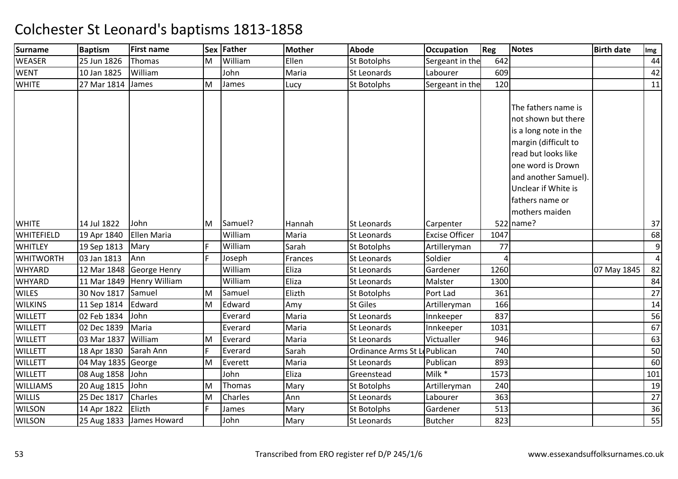| <b>Surname</b>   | <b>Baptism</b>     | <b>First name</b>        |   | Sex Father | <b>Mother</b> | Abode                         | <b>Occupation</b>     | Reg  | Notes                                                                                                                                                                                                                       | <b>Birth date</b> | Img             |
|------------------|--------------------|--------------------------|---|------------|---------------|-------------------------------|-----------------------|------|-----------------------------------------------------------------------------------------------------------------------------------------------------------------------------------------------------------------------------|-------------------|-----------------|
| <b>WEASER</b>    | 25 Jun 1826        | Thomas                   | M | William    | Ellen         | <b>St Botolphs</b>            | Sergeant in the       | 642  |                                                                                                                                                                                                                             |                   | 44              |
| <b>WENT</b>      | 10 Jan 1825        | William                  |   | John       | Maria         | St Leonards                   | Labourer              | 609  |                                                                                                                                                                                                                             |                   | 42              |
| <b>WHITE</b>     | 27 Mar 1814        | James                    | M | James      | Lucy          | <b>St Botolphs</b>            | Sergeant in the       | 120  |                                                                                                                                                                                                                             |                   | 11              |
|                  |                    |                          |   |            |               |                               |                       |      | The fathers name is<br>not shown but there<br>is a long note in the<br>margin (difficult to<br>read but looks like<br>one word is Drown<br>and another Samuel).<br>Unclear if White is<br>fathers name or<br>mothers maiden |                   |                 |
| <b>WHITE</b>     | 14 Jul 1822        | John                     | M | Samuel?    | Hannah        | St Leonards                   | Carpenter             |      | 522 name?                                                                                                                                                                                                                   |                   | 37              |
| WHITEFIELD       | 19 Apr 1840        | <b>Ellen Maria</b>       |   | William    | Maria         | St Leonards                   | <b>Excise Officer</b> | 1047 |                                                                                                                                                                                                                             |                   | 68              |
| <b>WHITLEY</b>   | 19 Sep 1813        | Mary                     | F | William    | Sarah         | St Botolphs                   | Artilleryman          | 77   |                                                                                                                                                                                                                             |                   | $\overline{9}$  |
| <b>WHITWORTH</b> | 03 Jan 1813        | Ann                      | F | Joseph     | Frances       | <b>St Leonards</b>            | Soldier               | Δ    |                                                                                                                                                                                                                             |                   | $\overline{4}$  |
| <b>WHYARD</b>    | 12 Mar 1848        | George Henry             |   | William    | Eliza         | St Leonards                   | Gardener              | 1260 |                                                                                                                                                                                                                             | 07 May 1845       | 82              |
| WHYARD           | 11 Mar 1849        | <b>Henry William</b>     |   | William    | Eliza         | St Leonards                   | Malster               | 1300 |                                                                                                                                                                                                                             |                   | 84              |
| <b>WILES</b>     | 30 Nov 1817        | Samuel                   | M | Samuel     | Elizth        | St Botolphs                   | Port Lad              | 361  |                                                                                                                                                                                                                             |                   | 27              |
| <b>WILKINS</b>   | 11 Sep 1814        | Edward                   | M | Edward     | Amy           | <b>St Giles</b>               | Artilleryman          | 166  |                                                                                                                                                                                                                             |                   | 14              |
| <b>WILLETT</b>   | 02 Feb 1834        | John                     |   | Everard    | Maria         | <b>St Leonards</b>            | Innkeeper             | 837  |                                                                                                                                                                                                                             |                   | 56              |
| <b>WILLETT</b>   | 02 Dec 1839        | Maria                    |   | Everard    | Maria         | St Leonards                   | Innkeeper             | 1031 |                                                                                                                                                                                                                             |                   | 67              |
| <b>WILLETT</b>   | 03 Mar 1837        | William                  | M | Everard    | Maria         | St Leonards                   | Victualler            | 946  |                                                                                                                                                                                                                             |                   | 63              |
| <b>WILLETT</b>   | 18 Apr 1830        | Sarah Ann                | F | Everard    | Sarah         | Ordinance Arms St Le Publican |                       | 740  |                                                                                                                                                                                                                             |                   | 50              |
| <b>WILLETT</b>   | 04 May 1835 George |                          | M | Everett    | Maria         | St Leonards                   | Publican              | 893  |                                                                                                                                                                                                                             |                   | 60              |
| <b>WILLETT</b>   | 08 Aug 1858        | John                     |   | John       | Eliza         | Greenstead                    | Milk *                | 1573 |                                                                                                                                                                                                                             |                   | 101             |
| <b>WILLIAMS</b>  | 20 Aug 1815        | John                     | M | Thomas     | Mary          | St Botolphs                   | Artilleryman          | 240  |                                                                                                                                                                                                                             |                   | 19              |
| <b>WILLIS</b>    | 25 Dec 1817        | Charles                  | M | Charles    | Ann           | St Leonards                   | Labourer              | 363  |                                                                                                                                                                                                                             |                   | $\overline{27}$ |
| <b>WILSON</b>    | 14 Apr 1822        | Elizth                   | F | James      | Mary          | St Botolphs                   | Gardener              | 513  |                                                                                                                                                                                                                             |                   | 36              |
| <b>WILSON</b>    |                    | 25 Aug 1833 James Howard |   | John       | Mary          | <b>St Leonards</b>            | <b>Butcher</b>        | 823  |                                                                                                                                                                                                                             |                   | 55              |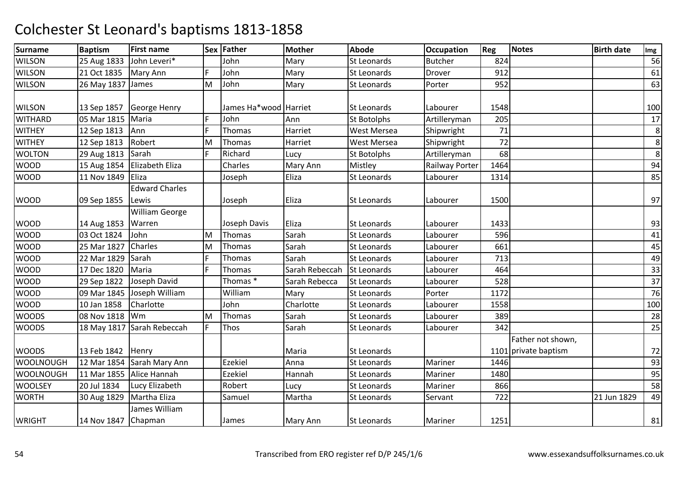| <b>Surname</b>   | <b>Baptism</b>      | <b>First name</b>     |    | Sex Father            | <b>Mother</b>  | <b>Abode</b>       | <b>Occupation</b>     | Reg  | Notes                | <b>Birth date</b> | Img |
|------------------|---------------------|-----------------------|----|-----------------------|----------------|--------------------|-----------------------|------|----------------------|-------------------|-----|
| <b>WILSON</b>    | 25 Aug 1833         | John Leveri*          |    | John                  | Mary           | <b>St Leonards</b> | <b>Butcher</b>        | 824  |                      |                   | 56  |
| <b>WILSON</b>    | 21 Oct 1835         | Mary Ann              | F. | John                  | Mary           | <b>St Leonards</b> | Drover                | 912  |                      |                   | 61  |
| <b>WILSON</b>    | 26 May 1837 James   |                       | M  | John                  | Mary           | <b>St Leonards</b> | Porter                | 952  |                      |                   | 63  |
|                  |                     |                       |    |                       |                |                    |                       |      |                      |                   |     |
| <b>WILSON</b>    | 13 Sep 1857         | <b>George Henry</b>   |    | James Ha*wood Harriet |                | <b>St Leonards</b> | Labourer              | 1548 |                      |                   | 100 |
| <b>WITHARD</b>   | 05 Mar 1815         | Maria                 | F  | John                  | Ann            | <b>St Botolphs</b> | Artilleryman          | 205  |                      |                   | 17  |
| <b>WITHEY</b>    | 12 Sep 1813         | Ann                   | F  | Thomas                | Harriet        | <b>West Mersea</b> | Shipwright            | 71   |                      |                   | 8   |
| <b>WITHEY</b>    | 12 Sep 1813         | Robert                | M  | Thomas                | Harriet        | <b>West Mersea</b> | Shipwright            | 72   |                      |                   | 8   |
| <b>WOLTON</b>    | 29 Aug 1813         | Sarah                 |    | Richard               | Lucy           | St Botolphs        | Artilleryman          | 68   |                      |                   | 8   |
| <b>WOOD</b>      | 15 Aug 1854         | Elizabeth Eliza       |    | Charles               | Mary Ann       | Mistley            | <b>Railway Porter</b> | 1464 |                      |                   | 94  |
| <b>WOOD</b>      | 11 Nov 1849         | Eliza                 |    | Joseph                | Eliza          | St Leonards        | Labourer              | 1314 |                      |                   | 85  |
|                  |                     | <b>Edward Charles</b> |    |                       |                |                    |                       |      |                      |                   |     |
| <b>WOOD</b>      | 09 Sep 1855         | Lewis                 |    | Joseph                | Eliza          | <b>St Leonards</b> | Labourer              | 1500 |                      |                   | 97  |
|                  |                     | <b>William George</b> |    |                       |                |                    |                       |      |                      |                   |     |
| <b>WOOD</b>      | 14 Aug 1853         | Warren                |    | Joseph Davis          | Eliza          | <b>St Leonards</b> | Labourer              | 1433 |                      |                   | 93  |
| <b>WOOD</b>      | 03 Oct 1824         | John                  | M  | Thomas                | Sarah          | <b>St Leonards</b> | Labourer              | 596  |                      |                   | 41  |
| <b>WOOD</b>      | 25 Mar 1827         | Charles               | M  | Thomas                | Sarah          | St Leonards        | Labourer              | 661  |                      |                   | 45  |
| <b>WOOD</b>      | 22 Mar 1829         | Sarah                 | F  | Thomas                | Sarah          | <b>St Leonards</b> | Labourer              | 713  |                      |                   | 49  |
| <b>WOOD</b>      | 17 Dec 1820         | Maria                 | E  | Thomas                | Sarah Rebeccah | <b>St Leonards</b> | Labourer              | 464  |                      |                   | 33  |
| <b>WOOD</b>      | 29 Sep 1822         | Joseph David          |    | Thomas <sup>*</sup>   | Sarah Rebecca  | <b>St Leonards</b> | Labourer              | 528  |                      |                   | 37  |
| <b>WOOD</b>      | 09 Mar 1845         | Joseph William        |    | William               | Mary           | <b>St Leonards</b> | Porter                | 1172 |                      |                   | 76  |
| <b>WOOD</b>      | 10 Jan 1858         | Charlotte             |    | John                  | Charlotte      | St Leonards        | Labourer              | 1558 |                      |                   | 100 |
| <b>WOODS</b>     | 08 Nov 1818         | Wm                    | M  | Thomas                | Sarah          | St Leonards        | Labourer              | 389  |                      |                   | 28  |
| <b>WOODS</b>     | 18 May 1817         | Sarah Rebeccah        | F. | Thos                  | Sarah          | St Leonards        | Labourer              | 342  |                      |                   | 25  |
|                  |                     |                       |    |                       |                |                    |                       |      | Father not shown,    |                   |     |
| <b>WOODS</b>     | 13 Feb 1842         | Henry                 |    |                       | Maria          | St Leonards        |                       |      | 1101 private baptism |                   | 72  |
| <b>WOOLNOUGH</b> | 12 Mar 1854         | Sarah Mary Ann        |    | Ezekiel               | Anna           | St Leonards        | Mariner               | 1446 |                      |                   | 93  |
| <b>WOOLNOUGH</b> | 11 Mar 1855         | Alice Hannah          |    | <b>Ezekiel</b>        | Hannah         | St Leonards        | Mariner               | 1480 |                      |                   | 95  |
| <b>WOOLSEY</b>   | 20 Jul 1834         | Lucy Elizabeth        |    | Robert                | Lucy           | <b>St Leonards</b> | Mariner               | 866  |                      |                   | 58  |
| <b>WORTH</b>     | 30 Aug 1829         | Martha Eliza          |    | Samuel                | Martha         | St Leonards        | Servant               | 722  |                      | 21 Jun 1829       | 49  |
|                  |                     | James William         |    |                       |                |                    |                       |      |                      |                   |     |
| <b>WRIGHT</b>    | 14 Nov 1847 Chapman |                       |    | James                 | Mary Ann       | <b>St Leonards</b> | Mariner               | 1251 |                      |                   | 81  |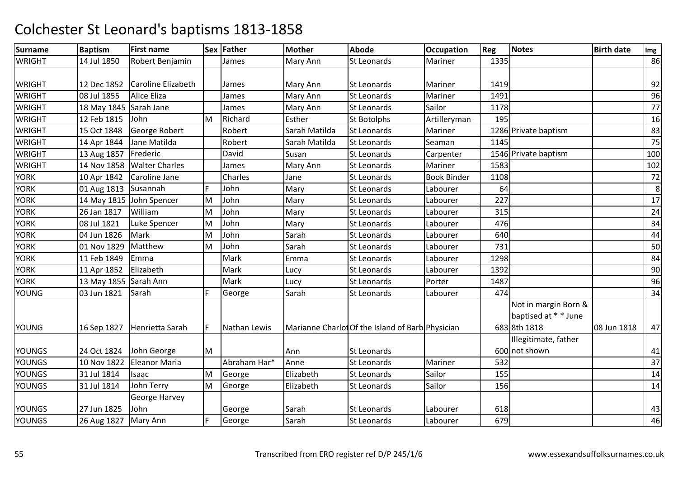| <b>Surname</b> | <b>Baptism</b>         | <b>First name</b>        |     | Sex Father   | Mother        | <b>Abode</b>                                     | <b>Occupation</b>  | Reg  | <b>Notes</b>         | <b>Birth date</b> | Img |
|----------------|------------------------|--------------------------|-----|--------------|---------------|--------------------------------------------------|--------------------|------|----------------------|-------------------|-----|
| <b>WRIGHT</b>  | 14 Jul 1850            | Robert Benjamin          |     | James        | Mary Ann      | St Leonards                                      | Mariner            | 1335 |                      |                   | 86  |
| <b>WRIGHT</b>  | 12 Dec 1852            | Caroline Elizabeth       |     | James        | Mary Ann      | <b>St Leonards</b>                               | Mariner            | 1419 |                      |                   | 92  |
| <b>WRIGHT</b>  | 08 Jul 1855            | Alice Eliza              |     | James        | Mary Ann      | St Leonards                                      | Mariner            | 1491 |                      |                   | 96  |
| <b>WRIGHT</b>  | 18 May 1845 Sarah Jane |                          |     | James        | Mary Ann      | <b>St Leonards</b>                               | Sailor             | 1178 |                      |                   | 77  |
| <b>WRIGHT</b>  | 12 Feb 1815            | John                     | M   | Richard      | Esther        | <b>St Botolphs</b>                               | Artilleryman       | 195  |                      |                   | 16  |
| <b>WRIGHT</b>  | 15 Oct 1848            | George Robert            |     | Robert       | Sarah Matilda | St Leonards                                      | Mariner            |      | 1286 Private baptism |                   | 83  |
| <b>WRIGHT</b>  | 14 Apr 1844            | Jane Matilda             |     | Robert       | Sarah Matilda | <b>St Leonards</b>                               | Seaman             | 1145 |                      |                   | 75  |
| <b>WRIGHT</b>  | 13 Aug 1857            | Frederic                 |     | David        | Susan         | St Leonards                                      | Carpenter          |      | 1546 Private baptism |                   | 100 |
| <b>WRIGHT</b>  | 14 Nov 1858            | <b>Walter Charles</b>    |     | James        | Mary Ann      | St Leonards                                      | Mariner            | 1583 |                      |                   | 102 |
| <b>YORK</b>    | 10 Apr 1842            | Caroline Jane            |     | Charles      | Jane          | <b>St Leonards</b>                               | <b>Book Binder</b> | 1108 |                      |                   | 72  |
| <b>YORK</b>    | 01 Aug 1813 Susannah   |                          | F.  | John         | Mary          | <b>St Leonards</b>                               | Labourer           | 64   |                      |                   | 8   |
| <b>YORK</b>    |                        | 14 May 1815 John Spencer | M   | John         | Mary          | <b>St Leonards</b>                               | Labourer           | 227  |                      |                   | 17  |
| <b>YORK</b>    | 26 Jan 1817            | William                  | M   | John         | Mary          | St Leonards                                      | Labourer           | 315  |                      |                   | 24  |
| <b>YORK</b>    | 08 Jul 1821            | Luke Spencer             | M   | John         | Mary          | St Leonards                                      | Labourer           | 476  |                      |                   | 34  |
| <b>YORK</b>    | 04 Jun 1826            | Mark                     | M   | John         | Sarah         | St Leonards                                      | Labourer           | 640  |                      |                   | 44  |
| <b>YORK</b>    | 01 Nov 1829            | Matthew                  | M   | John         | Sarah         | St Leonards                                      | Labourer           | 731  |                      |                   | 50  |
| <b>YORK</b>    | 11 Feb 1849            | Emma                     |     | Mark         | Emma          | <b>St Leonards</b>                               | Labourer           | 1298 |                      |                   | 84  |
| <b>YORK</b>    | 11 Apr 1852            | Elizabeth                |     | Mark         | Lucy          | <b>St Leonards</b>                               | Labourer           | 1392 |                      |                   | 90  |
| <b>YORK</b>    | 13 May 1855 Sarah Ann  |                          |     | Mark         | Lucy          | St Leonards                                      | Porter             | 1487 |                      |                   | 96  |
| <b>YOUNG</b>   | 03 Jun 1821            | Sarah                    | F   | George       | Sarah         | <b>St Leonards</b>                               | Labourer           | 474  |                      |                   | 34  |
|                |                        |                          |     |              |               |                                                  |                    |      | Not in margin Born & |                   |     |
|                |                        |                          |     |              |               |                                                  |                    |      | baptised at * * June |                   |     |
| <b>YOUNG</b>   | 16 Sep 1827            | Henrietta Sarah          | IF. | Nathan Lewis |               | Marianne Charlot Of the Island of Barb Physician |                    |      | 683 8th 1818         | 08 Jun 1818       | 47  |
|                |                        |                          |     |              |               |                                                  |                    |      | Illegitimate, father |                   |     |
| <b>YOUNGS</b>  | 24 Oct 1824            | John George              | M   |              | Ann           | St Leonards                                      |                    |      | 600 not shown        |                   | 41  |
| YOUNGS         | 10 Nov 1822            | <b>Eleanor Maria</b>     |     | Abraham Har* | Anne          | <b>St Leonards</b>                               | Mariner            | 532  |                      |                   | 37  |
| <b>YOUNGS</b>  | 31 Jul 1814            | Isaac                    | M   | George       | Elizabeth     | <b>St Leonards</b>                               | Sailor             | 155  |                      |                   | 14  |
| <b>YOUNGS</b>  | 31 Jul 1814            | John Terry               | M   | George       | Elizabeth     | <b>St Leonards</b>                               | Sailor             | 156  |                      |                   | 14  |
|                |                        | George Harvey            |     |              |               |                                                  |                    |      |                      |                   |     |
| <b>YOUNGS</b>  | 27 Jun 1825            | John                     |     | George       | Sarah         | <b>St Leonards</b>                               | Labourer           | 618  |                      |                   | 43  |
| <b>YOUNGS</b>  | 26 Aug 1827            | Mary Ann                 | E   | George       | Sarah         | <b>St Leonards</b>                               | Labourer           | 679  |                      |                   | 46  |